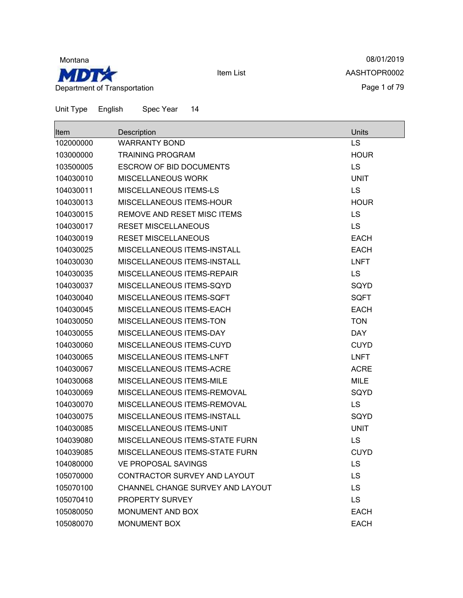

08/01/2019 AASHTOPR0002 Page 1 of 79

| Item      | Description                       | Units       |
|-----------|-----------------------------------|-------------|
| 102000000 | <b>WARRANTY BOND</b>              | <b>LS</b>   |
| 103000000 | <b>TRAINING PROGRAM</b>           | <b>HOUR</b> |
| 103500005 | <b>ESCROW OF BID DOCUMENTS</b>    | <b>LS</b>   |
| 104030010 | <b>MISCELLANEOUS WORK</b>         | <b>UNIT</b> |
| 104030011 | MISCELLANEOUS ITEMS-LS            | <b>LS</b>   |
| 104030013 | <b>MISCELLANEOUS ITEMS-HOUR</b>   | <b>HOUR</b> |
| 104030015 | REMOVE AND RESET MISC ITEMS       | <b>LS</b>   |
| 104030017 | <b>RESET MISCELLANEOUS</b>        | <b>LS</b>   |
| 104030019 | <b>RESET MISCELLANEOUS</b>        | <b>EACH</b> |
| 104030025 | MISCELLANEOUS ITEMS-INSTALL       | <b>EACH</b> |
| 104030030 | MISCELLANEOUS ITEMS-INSTALL       | <b>LNFT</b> |
| 104030035 | <b>MISCELLANEOUS ITEMS-REPAIR</b> | LS          |
| 104030037 | MISCELLANEOUS ITEMS-SQYD          | SQYD        |
| 104030040 | MISCELLANEOUS ITEMS-SQFT          | <b>SQFT</b> |
| 104030045 | <b>MISCELLANEOUS ITEMS-EACH</b>   | <b>EACH</b> |
| 104030050 | MISCELLANEOUS ITEMS-TON           | <b>TON</b>  |
| 104030055 | MISCELLANEOUS ITEMS-DAY           | <b>DAY</b>  |
| 104030060 | MISCELLANEOUS ITEMS-CUYD          | <b>CUYD</b> |
| 104030065 | MISCELLANEOUS ITEMS-LNFT          | <b>LNFT</b> |
| 104030067 | MISCELLANEOUS ITEMS-ACRE          | <b>ACRE</b> |
| 104030068 | MISCELLANEOUS ITEMS-MILE          | <b>MILE</b> |
| 104030069 | MISCELLANEOUS ITEMS-REMOVAL       | SQYD        |
| 104030070 | MISCELLANEOUS ITEMS-REMOVAL       | <b>LS</b>   |
| 104030075 | MISCELLANEOUS ITEMS-INSTALL       | SQYD        |
| 104030085 | MISCELLANEOUS ITEMS-UNIT          | <b>UNIT</b> |
| 104039080 | MISCELLANEOUS ITEMS-STATE FURN    | LS          |
| 104039085 | MISCELLANEOUS ITEMS-STATE FURN    | <b>CUYD</b> |
| 104080000 | VE PROPOSAL SAVINGS               | LS          |
| 105070000 | CONTRACTOR SURVEY AND LAYOUT      | <b>LS</b>   |
| 105070100 | CHANNEL CHANGE SURVEY AND LAYOUT  | <b>LS</b>   |
| 105070410 | PROPERTY SURVEY                   | <b>LS</b>   |
| 105080050 | MONUMENT AND BOX                  | <b>EACH</b> |
| 105080070 | <b>MONUMENT BOX</b>               | <b>EACH</b> |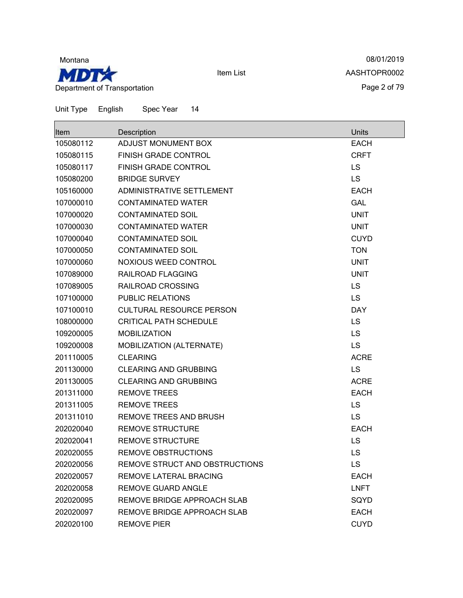

08/01/2019 AASHTOPR0002 Page 2 of 79

| Item      | Description                     | Units       |
|-----------|---------------------------------|-------------|
| 105080112 | ADJUST MONUMENT BOX             | <b>EACH</b> |
| 105080115 | <b>FINISH GRADE CONTROL</b>     | <b>CRFT</b> |
| 105080117 | <b>FINISH GRADE CONTROL</b>     | LS          |
| 105080200 | <b>BRIDGE SURVEY</b>            | <b>LS</b>   |
| 105160000 | ADMINISTRATIVE SETTLEMENT       | <b>EACH</b> |
| 107000010 | <b>CONTAMINATED WATER</b>       | <b>GAL</b>  |
| 107000020 | <b>CONTAMINATED SOIL</b>        | <b>UNIT</b> |
| 107000030 | <b>CONTAMINATED WATER</b>       | <b>UNIT</b> |
| 107000040 | <b>CONTAMINATED SOIL</b>        | <b>CUYD</b> |
| 107000050 | <b>CONTAMINATED SOIL</b>        | <b>TON</b>  |
| 107000060 | <b>NOXIOUS WEED CONTROL</b>     | <b>UNIT</b> |
| 107089000 | RAILROAD FLAGGING               | <b>UNIT</b> |
| 107089005 | RAILROAD CROSSING               | <b>LS</b>   |
| 107100000 | <b>PUBLIC RELATIONS</b>         | <b>LS</b>   |
| 107100010 | <b>CULTURAL RESOURCE PERSON</b> | <b>DAY</b>  |
| 108000000 | <b>CRITICAL PATH SCHEDULE</b>   | <b>LS</b>   |
| 109200005 | <b>MOBILIZATION</b>             | LS          |
| 109200008 | MOBILIZATION (ALTERNATE)        | <b>LS</b>   |
| 201110005 | <b>CLEARING</b>                 | <b>ACRE</b> |
| 201130000 | <b>CLEARING AND GRUBBING</b>    | <b>LS</b>   |
| 201130005 | <b>CLEARING AND GRUBBING</b>    | <b>ACRE</b> |
| 201311000 | <b>REMOVE TREES</b>             | <b>EACH</b> |
| 201311005 | <b>REMOVE TREES</b>             | LS          |
| 201311010 | REMOVE TREES AND BRUSH          | <b>LS</b>   |
| 202020040 | <b>REMOVE STRUCTURE</b>         | <b>EACH</b> |
| 202020041 | <b>REMOVE STRUCTURE</b>         | LS          |
| 202020055 | <b>REMOVE OBSTRUCTIONS</b>      | LS          |
| 202020056 | REMOVE STRUCT AND OBSTRUCTIONS  | LS          |
| 202020057 | REMOVE LATERAL BRACING          | <b>EACH</b> |
| 202020058 | REMOVE GUARD ANGLE              | <b>LNFT</b> |
| 202020095 | REMOVE BRIDGE APPROACH SLAB     | SQYD        |
| 202020097 | REMOVE BRIDGE APPROACH SLAB     | <b>EACH</b> |
| 202020100 | <b>REMOVE PIER</b>              | <b>CUYD</b> |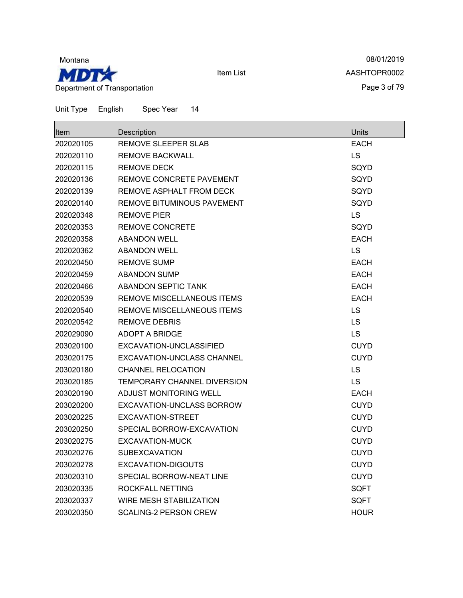

08/01/2019 AASHTOPR0002 Page 3 of 79

| Item      | Description                  | <b>Units</b> |
|-----------|------------------------------|--------------|
| 202020105 | REMOVE SLEEPER SLAB          | <b>EACH</b>  |
| 202020110 | REMOVE BACKWALL              | <b>LS</b>    |
| 202020115 | <b>REMOVE DECK</b>           | SQYD         |
| 202020136 | REMOVE CONCRETE PAVEMENT     | SQYD         |
| 202020139 | REMOVE ASPHALT FROM DECK     | SQYD         |
| 202020140 | REMOVE BITUMINOUS PAVEMENT   | SQYD         |
| 202020348 | <b>REMOVE PIER</b>           | LS           |
| 202020353 | <b>REMOVE CONCRETE</b>       | SQYD         |
| 202020358 | <b>ABANDON WELL</b>          | <b>EACH</b>  |
| 202020362 | <b>ABANDON WELL</b>          | <b>LS</b>    |
| 202020450 | <b>REMOVE SUMP</b>           | <b>EACH</b>  |
| 202020459 | <b>ABANDON SUMP</b>          | <b>EACH</b>  |
| 202020466 | ABANDON SEPTIC TANK          | <b>EACH</b>  |
| 202020539 | REMOVE MISCELLANEOUS ITEMS   | <b>EACH</b>  |
| 202020540 | REMOVE MISCELLANEOUS ITEMS   | <b>LS</b>    |
| 202020542 | <b>REMOVE DEBRIS</b>         | <b>LS</b>    |
| 202029090 | ADOPT A BRIDGE               | <b>LS</b>    |
| 203020100 | EXCAVATION-UNCLASSIFIED      | <b>CUYD</b>  |
| 203020175 | EXCAVATION-UNCLASS CHANNEL   | <b>CUYD</b>  |
| 203020180 | <b>CHANNEL RELOCATION</b>    | <b>LS</b>    |
| 203020185 | TEMPORARY CHANNEL DIVERSION  | <b>LS</b>    |
| 203020190 | ADJUST MONITORING WELL       | <b>EACH</b>  |
| 203020200 | EXCAVATION-UNCLASS BORROW    | <b>CUYD</b>  |
| 203020225 | EXCAVATION-STREET            | <b>CUYD</b>  |
| 203020250 | SPECIAL BORROW-EXCAVATION    | <b>CUYD</b>  |
| 203020275 | EXCAVATION-MUCK              | <b>CUYD</b>  |
| 203020276 | <b>SUBEXCAVATION</b>         | <b>CUYD</b>  |
| 203020278 | EXCAVATION-DIGOUTS           | <b>CUYD</b>  |
| 203020310 | SPECIAL BORROW-NEAT LINE     | <b>CUYD</b>  |
| 203020335 | ROCKFALL NETTING             | <b>SQFT</b>  |
| 203020337 | WIRE MESH STABILIZATION      | <b>SQFT</b>  |
| 203020350 | <b>SCALING-2 PERSON CREW</b> | <b>HOUR</b>  |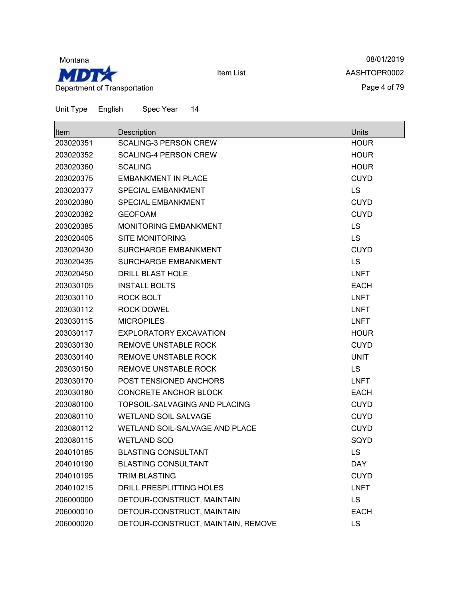

08/01/2019 AASHTOPR0002 Page 4 of 79

| lltem     | Description                        | <b>Units</b> |
|-----------|------------------------------------|--------------|
| 203020351 | <b>SCALING-3 PERSON CREW</b>       | <b>HOUR</b>  |
| 203020352 | <b>SCALING-4 PERSON CREW</b>       | <b>HOUR</b>  |
| 203020360 | <b>SCALING</b>                     | <b>HOUR</b>  |
| 203020375 | <b>EMBANKMENT IN PLACE</b>         | <b>CUYD</b>  |
| 203020377 | SPECIAL EMBANKMENT                 | LS           |
| 203020380 | <b>SPECIAL EMBANKMENT</b>          | <b>CUYD</b>  |
| 203020382 | <b>GEOFOAM</b>                     | <b>CUYD</b>  |
| 203020385 | MONITORING EMBANKMENT              | LS           |
| 203020405 | <b>SITE MONITORING</b>             | LS           |
| 203020430 | <b>SURCHARGE EMBANKMENT</b>        | <b>CUYD</b>  |
| 203020435 | SURCHARGE EMBANKMENT               | <b>LS</b>    |
| 203020450 | <b>DRILL BLAST HOLE</b>            | <b>LNFT</b>  |
| 203030105 | <b>INSTALL BOLTS</b>               | <b>EACH</b>  |
| 203030110 | <b>ROCK BOLT</b>                   | <b>LNFT</b>  |
| 203030112 | <b>ROCK DOWEL</b>                  | <b>LNFT</b>  |
| 203030115 | <b>MICROPILES</b>                  | <b>LNFT</b>  |
| 203030117 | <b>EXPLORATORY EXCAVATION</b>      | <b>HOUR</b>  |
| 203030130 | <b>REMOVE UNSTABLE ROCK</b>        | <b>CUYD</b>  |
| 203030140 | <b>REMOVE UNSTABLE ROCK</b>        | <b>UNIT</b>  |
| 203030150 | <b>REMOVE UNSTABLE ROCK</b>        | LS           |
| 203030170 | POST TENSIONED ANCHORS             | <b>LNFT</b>  |
| 203030180 | <b>CONCRETE ANCHOR BLOCK</b>       | <b>EACH</b>  |
| 203080100 | TOPSOIL-SALVAGING AND PLACING      | <b>CUYD</b>  |
| 203080110 | <b>WETLAND SOIL SALVAGE</b>        | <b>CUYD</b>  |
| 203080112 | WETLAND SOIL-SALVAGE AND PLACE     | <b>CUYD</b>  |
| 203080115 | <b>WETLAND SOD</b>                 | SQYD         |
| 204010185 | <b>BLASTING CONSULTANT</b>         | LS           |
| 204010190 | <b>BLASTING CONSULTANT</b>         | <b>DAY</b>   |
| 204010195 | <b>TRIM BLASTING</b>               | <b>CUYD</b>  |
| 204010215 | DRILL PRESPLITTING HOLES           | <b>LNFT</b>  |
| 206000000 | DETOUR-CONSTRUCT, MAINTAIN         | <b>LS</b>    |
| 206000010 | DETOUR-CONSTRUCT, MAINTAIN         | <b>EACH</b>  |
| 206000020 | DETOUR-CONSTRUCT, MAINTAIN, REMOVE | LS           |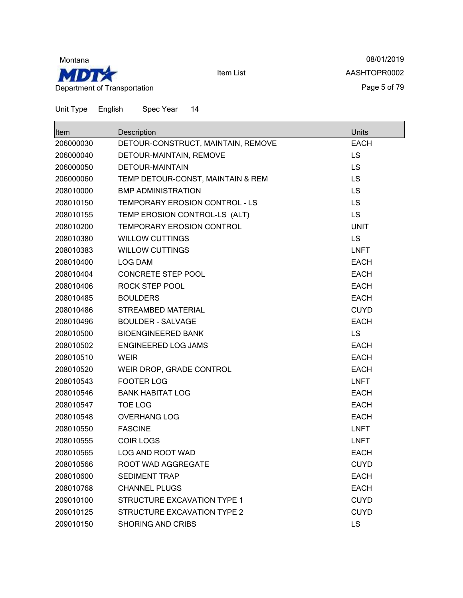

08/01/2019 AASHTOPR0002 Page 5 of 79

| Item      | Description                        | Units       |
|-----------|------------------------------------|-------------|
| 206000030 | DETOUR-CONSTRUCT, MAINTAIN, REMOVE | <b>EACH</b> |
| 206000040 | DETOUR-MAINTAIN, REMOVE            | <b>LS</b>   |
| 206000050 | <b>DETOUR-MAINTAIN</b>             | LS          |
| 206000060 | TEMP DETOUR-CONST, MAINTAIN & REM  | LS          |
| 208010000 | <b>BMP ADMINISTRATION</b>          | LS          |
| 208010150 | TEMPORARY EROSION CONTROL - LS     | LS          |
| 208010155 | TEMP EROSION CONTROL-LS (ALT)      | LS          |
| 208010200 | TEMPORARY EROSION CONTROL          | <b>UNIT</b> |
| 208010380 | <b>WILLOW CUTTINGS</b>             | LS          |
| 208010383 | <b>WILLOW CUTTINGS</b>             | <b>LNFT</b> |
| 208010400 | LOG DAM                            | <b>EACH</b> |
| 208010404 | <b>CONCRETE STEP POOL</b>          | <b>EACH</b> |
| 208010406 | ROCK STEP POOL                     | <b>EACH</b> |
| 208010485 | <b>BOULDERS</b>                    | <b>EACH</b> |
| 208010486 | <b>STREAMBED MATERIAL</b>          | <b>CUYD</b> |
| 208010496 | <b>BOULDER - SALVAGE</b>           | <b>EACH</b> |
| 208010500 | <b>BIOENGINEERED BANK</b>          | LS          |
| 208010502 | ENGINEERED LOG JAMS                | <b>EACH</b> |
| 208010510 | <b>WEIR</b>                        | <b>EACH</b> |
| 208010520 | WEIR DROP, GRADE CONTROL           | <b>EACH</b> |
| 208010543 | <b>FOOTER LOG</b>                  | <b>LNFT</b> |
| 208010546 | <b>BANK HABITAT LOG</b>            | <b>EACH</b> |
| 208010547 | <b>TOE LOG</b>                     | <b>EACH</b> |
| 208010548 | <b>OVERHANG LOG</b>                | <b>EACH</b> |
| 208010550 | <b>FASCINE</b>                     | <b>LNFT</b> |
| 208010555 | <b>COIR LOGS</b>                   | <b>LNFT</b> |
| 208010565 | <b>LOG AND ROOT WAD</b>            | <b>EACH</b> |
| 208010566 | ROOT WAD AGGREGATE                 | <b>CUYD</b> |
| 208010600 | <b>SEDIMENT TRAP</b>               | <b>EACH</b> |
| 208010768 | <b>CHANNEL PLUGS</b>               | <b>EACH</b> |
| 209010100 | <b>STRUCTURE EXCAVATION TYPE 1</b> | <b>CUYD</b> |
| 209010125 | STRUCTURE EXCAVATION TYPE 2        | <b>CUYD</b> |
| 209010150 | <b>SHORING AND CRIBS</b>           | <b>LS</b>   |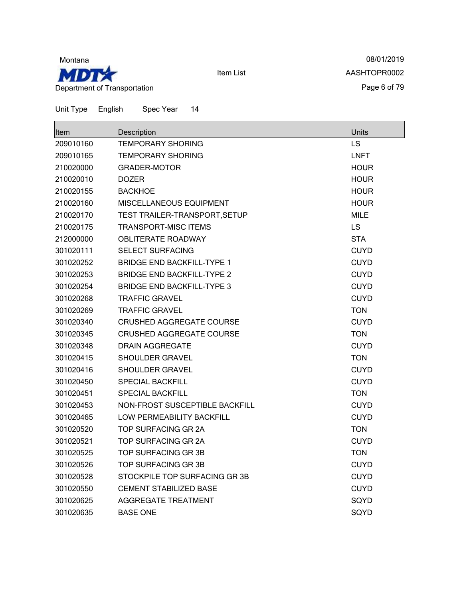

08/01/2019 AASHTOPR0002 Page 6 of 79

| Item      | Description                       | Units       |
|-----------|-----------------------------------|-------------|
| 209010160 | <b>TEMPORARY SHORING</b>          | LS          |
| 209010165 | <b>TEMPORARY SHORING</b>          | <b>LNFT</b> |
| 210020000 | <b>GRADER-MOTOR</b>               | <b>HOUR</b> |
| 210020010 | <b>DOZER</b>                      | <b>HOUR</b> |
| 210020155 | <b>BACKHOE</b>                    | <b>HOUR</b> |
| 210020160 | MISCELLANEOUS EQUIPMENT           | <b>HOUR</b> |
| 210020170 | TEST TRAILER-TRANSPORT, SETUP     | MILE        |
| 210020175 | <b>TRANSPORT-MISC ITEMS</b>       | LS          |
| 212000000 | <b>OBLITERATE ROADWAY</b>         | <b>STA</b>  |
| 301020111 | <b>SELECT SURFACING</b>           | <b>CUYD</b> |
| 301020252 | <b>BRIDGE END BACKFILL-TYPE 1</b> | <b>CUYD</b> |
| 301020253 | <b>BRIDGE END BACKFILL-TYPE 2</b> | <b>CUYD</b> |
| 301020254 | <b>BRIDGE END BACKFILL-TYPE 3</b> | <b>CUYD</b> |
| 301020268 | <b>TRAFFIC GRAVEL</b>             | <b>CUYD</b> |
| 301020269 | <b>TRAFFIC GRAVEL</b>             | <b>TON</b>  |
| 301020340 | CRUSHED AGGREGATE COURSE          | <b>CUYD</b> |
| 301020345 | <b>CRUSHED AGGREGATE COURSE</b>   | <b>TON</b>  |
| 301020348 | DRAIN AGGREGATE                   | <b>CUYD</b> |
| 301020415 | <b>SHOULDER GRAVEL</b>            | <b>TON</b>  |
| 301020416 | <b>SHOULDER GRAVEL</b>            | <b>CUYD</b> |
| 301020450 | <b>SPECIAL BACKFILL</b>           | <b>CUYD</b> |
| 301020451 | <b>SPECIAL BACKFILL</b>           | <b>TON</b>  |
| 301020453 | NON-FROST SUSCEPTIBLE BACKFILL    | <b>CUYD</b> |
| 301020465 | <b>LOW PERMEABILITY BACKFILL</b>  | <b>CUYD</b> |
| 301020520 | TOP SURFACING GR 2A               | <b>TON</b>  |
| 301020521 | TOP SURFACING GR 2A               | <b>CUYD</b> |
| 301020525 | TOP SURFACING GR 3B               | <b>TON</b>  |
| 301020526 | TOP SURFACING GR 3B               | <b>CUYD</b> |
| 301020528 | STOCKPILE TOP SURFACING GR 3B     | <b>CUYD</b> |
| 301020550 | <b>CEMENT STABILIZED BASE</b>     | <b>CUYD</b> |
| 301020625 | <b>AGGREGATE TREATMENT</b>        | SQYD        |
| 301020635 | <b>BASE ONE</b>                   | SQYD        |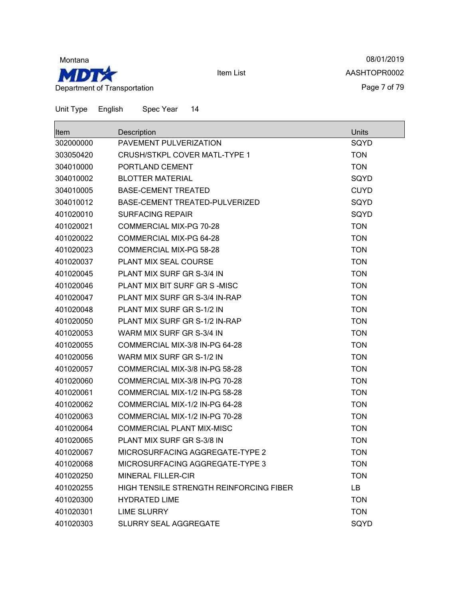

08/01/2019 AASHTOPR0002 Page 7 of 79

| Item      | Description                             | Units       |
|-----------|-----------------------------------------|-------------|
| 302000000 | PAVEMENT PULVERIZATION                  | SQYD        |
| 303050420 | CRUSH/STKPL COVER MATL-TYPE 1           | <b>TON</b>  |
| 304010000 | PORTLAND CEMENT                         | <b>TON</b>  |
| 304010002 | <b>BLOTTER MATERIAL</b>                 | SQYD        |
| 304010005 | <b>BASE-CEMENT TREATED</b>              | <b>CUYD</b> |
| 304010012 | BASE-CEMENT TREATED-PULVERIZED          | SQYD        |
| 401020010 | <b>SURFACING REPAIR</b>                 | SQYD        |
| 401020021 | <b>COMMERCIAL MIX-PG 70-28</b>          | <b>TON</b>  |
| 401020022 | COMMERCIAL MIX-PG 64-28                 | <b>TON</b>  |
| 401020023 | <b>COMMERCIAL MIX-PG 58-28</b>          | <b>TON</b>  |
| 401020037 | PLANT MIX SEAL COURSE                   | <b>TON</b>  |
| 401020045 | PLANT MIX SURF GR S-3/4 IN              | <b>TON</b>  |
| 401020046 | PLANT MIX BIT SURF GR S-MISC            | <b>TON</b>  |
| 401020047 | PLANT MIX SURF GR S-3/4 IN-RAP          | <b>TON</b>  |
| 401020048 | PLANT MIX SURF GR S-1/2 IN              | <b>TON</b>  |
| 401020050 | PLANT MIX SURF GR S-1/2 IN-RAP          | <b>TON</b>  |
| 401020053 | WARM MIX SURF GR S-3/4 IN               | <b>TON</b>  |
| 401020055 | COMMERCIAL MIX-3/8 IN-PG 64-28          | <b>TON</b>  |
| 401020056 | WARM MIX SURF GR S-1/2 IN               | <b>TON</b>  |
| 401020057 | COMMERCIAL MIX-3/8 IN-PG 58-28          | <b>TON</b>  |
| 401020060 | COMMERCIAL MIX-3/8 IN-PG 70-28          | <b>TON</b>  |
| 401020061 | COMMERCIAL MIX-1/2 IN-PG 58-28          | <b>TON</b>  |
| 401020062 | COMMERCIAL MIX-1/2 IN-PG 64-28          | <b>TON</b>  |
| 401020063 | COMMERCIAL MIX-1/2 IN-PG 70-28          | <b>TON</b>  |
| 401020064 | <b>COMMERCIAL PLANT MIX-MISC</b>        | <b>TON</b>  |
| 401020065 | PLANT MIX SURF GR S-3/8 IN              | <b>TON</b>  |
| 401020067 | MICROSURFACING AGGREGATE-TYPE 2         | <b>TON</b>  |
| 401020068 | MICROSURFACING AGGREGATE-TYPE 3         | <b>TON</b>  |
| 401020250 | <b>MINERAL FILLER-CIR</b>               | <b>TON</b>  |
| 401020255 | HIGH TENSILE STRENGTH REINFORCING FIBER | LB          |
| 401020300 | <b>HYDRATED LIME</b>                    | <b>TON</b>  |
| 401020301 | <b>LIME SLURRY</b>                      | <b>TON</b>  |
| 401020303 | SLURRY SEAL AGGREGATE                   | SQYD        |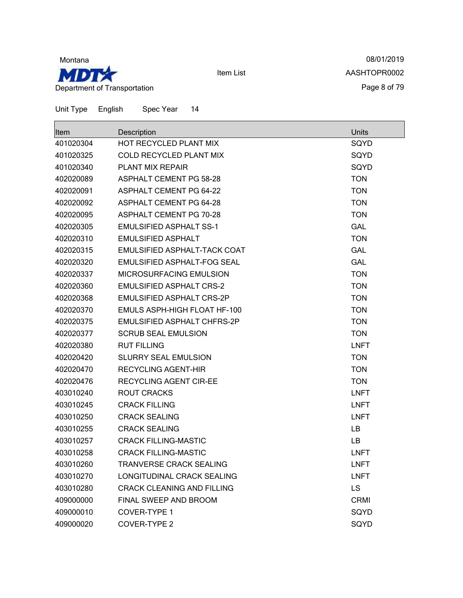

08/01/2019 AASHTOPR0002 Page 8 of 79

| <b>Item</b> | Description                         | Units       |
|-------------|-------------------------------------|-------------|
| 401020304   | HOT RECYCLED PLANT MIX              | SQYD        |
| 401020325   | <b>COLD RECYCLED PLANT MIX</b>      | SQYD        |
| 401020340   | <b>PLANT MIX REPAIR</b>             | SQYD        |
| 402020089   | <b>ASPHALT CEMENT PG 58-28</b>      | <b>TON</b>  |
| 402020091   | <b>ASPHALT CEMENT PG 64-22</b>      | <b>TON</b>  |
| 402020092   | <b>ASPHALT CEMENT PG 64-28</b>      | <b>TON</b>  |
| 402020095   | <b>ASPHALT CEMENT PG 70-28</b>      | <b>TON</b>  |
| 402020305   | <b>EMULSIFIED ASPHALT SS-1</b>      | <b>GAL</b>  |
| 402020310   | <b>EMULSIFIED ASPHALT</b>           | <b>TON</b>  |
| 402020315   | EMULSIFIED ASPHALT-TACK COAT        | <b>GAL</b>  |
| 402020320   | EMULSIFIED ASPHALT-FOG SEAL         | <b>GAL</b>  |
| 402020337   | <b>MICROSURFACING EMULSION</b>      | <b>TON</b>  |
| 402020360   | <b>EMULSIFIED ASPHALT CRS-2</b>     | <b>TON</b>  |
| 402020368   | <b>EMULSIFIED ASPHALT CRS-2P</b>    | <b>TON</b>  |
| 402020370   | <b>EMULS ASPH-HIGH FLOAT HF-100</b> | <b>TON</b>  |
| 402020375   | EMULSIFIED ASPHALT CHFRS-2P         | <b>TON</b>  |
| 402020377   | <b>SCRUB SEAL EMULSION</b>          | <b>TON</b>  |
| 402020380   | <b>RUT FILLING</b>                  | <b>LNFT</b> |
| 402020420   | <b>SLURRY SEAL EMULSION</b>         | <b>TON</b>  |
| 402020470   | <b>RECYCLING AGENT-HIR</b>          | <b>TON</b>  |
| 402020476   | <b>RECYCLING AGENT CIR-EE</b>       | <b>TON</b>  |
| 403010240   | <b>ROUT CRACKS</b>                  | <b>LNFT</b> |
| 403010245   | <b>CRACK FILLING</b>                | <b>LNFT</b> |
| 403010250   | <b>CRACK SEALING</b>                | <b>LNFT</b> |
| 403010255   | <b>CRACK SEALING</b>                | LB          |
| 403010257   | <b>CRACK FILLING-MASTIC</b>         | LВ          |
| 403010258   | <b>CRACK FILLING-MASTIC</b>         | <b>LNFT</b> |
| 403010260   | TRANVERSE CRACK SEALING             | <b>LNFT</b> |
| 403010270   | LONGITUDINAL CRACK SEALING          | <b>LNFT</b> |
| 403010280   | <b>CRACK CLEANING AND FILLING</b>   | <b>LS</b>   |
| 409000000   | FINAL SWEEP AND BROOM               | <b>CRMI</b> |
| 409000010   | COVER-TYPE 1                        | SQYD        |
| 409000020   | COVER-TYPE 2                        | SQYD        |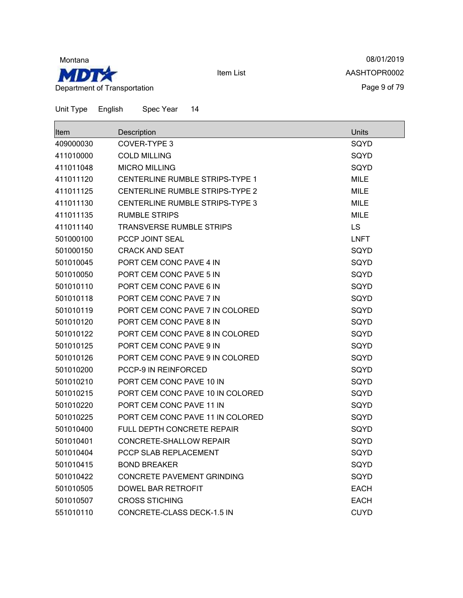

08/01/2019 AASHTOPR0002 Page 9 of 79

| <b>Item</b> | Description                            | Units       |
|-------------|----------------------------------------|-------------|
| 409000030   | COVER-TYPE 3                           | SQYD        |
| 411010000   | <b>COLD MILLING</b>                    | SQYD        |
| 411011048   | <b>MICRO MILLING</b>                   | SQYD        |
| 411011120   | <b>CENTERLINE RUMBLE STRIPS-TYPE 1</b> | <b>MILE</b> |
| 411011125   | <b>CENTERLINE RUMBLE STRIPS-TYPE 2</b> | MILE        |
| 411011130   | <b>CENTERLINE RUMBLE STRIPS-TYPE 3</b> | <b>MILE</b> |
| 411011135   | <b>RUMBLE STRIPS</b>                   | <b>MILE</b> |
| 411011140   | <b>TRANSVERSE RUMBLE STRIPS</b>        | <b>LS</b>   |
| 501000100   | PCCP JOINT SEAL                        | <b>LNFT</b> |
| 501000150   | <b>CRACK AND SEAT</b>                  | SQYD        |
| 501010045   | PORT CEM CONC PAVE 4 IN                | SQYD        |
| 501010050   | PORT CEM CONC PAVE 5 IN                | SQYD        |
| 501010110   | PORT CEM CONC PAVE 6 IN                | SQYD        |
| 501010118   | PORT CEM CONC PAVE 7 IN                | SQYD        |
| 501010119   | PORT CEM CONC PAVE 7 IN COLORED        | SQYD        |
| 501010120   | PORT CEM CONC PAVE 8 IN                | SQYD        |
| 501010122   | PORT CEM CONC PAVE 8 IN COLORED        | SQYD        |
| 501010125   | PORT CEM CONC PAVE 9 IN                | SQYD        |
| 501010126   | PORT CEM CONC PAVE 9 IN COLORED        | SQYD        |
| 501010200   | <b>PCCP-9 IN REINFORCED</b>            | SQYD        |
| 501010210   | PORT CEM CONC PAVE 10 IN               | SQYD        |
| 501010215   | PORT CEM CONC PAVE 10 IN COLORED       | SQYD        |
| 501010220   | PORT CEM CONC PAVE 11 IN               | SQYD        |
| 501010225   | PORT CEM CONC PAVE 11 IN COLORED       | SQYD        |
| 501010400   | <b>FULL DEPTH CONCRETE REPAIR</b>      | SQYD        |
| 501010401   | <b>CONCRETE-SHALLOW REPAIR</b>         | SQYD        |
| 501010404   | PCCP SLAB REPLACEMENT                  | SQYD        |
| 501010415   | <b>BOND BREAKER</b>                    | SQYD        |
| 501010422   | CONCRETE PAVEMENT GRINDING             | SQYD        |
| 501010505   | DOWEL BAR RETROFIT                     | <b>EACH</b> |
| 501010507   | <b>CROSS STICHING</b>                  | <b>EACH</b> |
| 551010110   | CONCRETE-CLASS DECK-1.5 IN             | <b>CUYD</b> |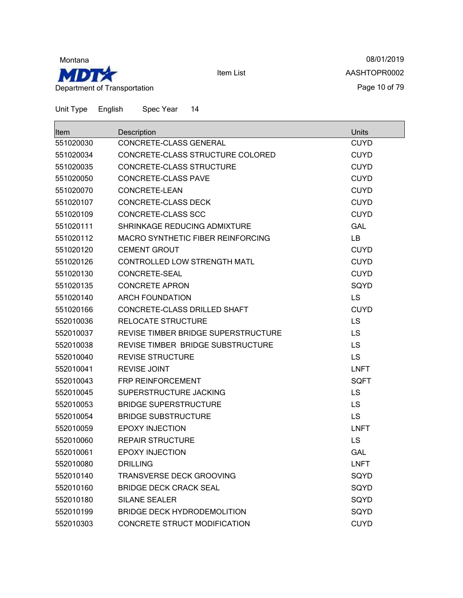

 $\blacksquare$ 

Item List

08/01/2019 AASHTOPR0002 Page 10 of 79

 $\overline{\phantom{0}}$ 

| <b>Item</b> | Description                              | Units       |
|-------------|------------------------------------------|-------------|
| 551020030   | CONCRETE-CLASS GENERAL                   | <b>CUYD</b> |
| 551020034   | CONCRETE-CLASS STRUCTURE COLORED         | <b>CUYD</b> |
| 551020035   | CONCRETE-CLASS STRUCTURE                 | <b>CUYD</b> |
| 551020050   | CONCRETE-CLASS PAVE                      | <b>CUYD</b> |
| 551020070   | CONCRETE-LEAN                            | <b>CUYD</b> |
| 551020107   | <b>CONCRETE-CLASS DECK</b>               | <b>CUYD</b> |
| 551020109   | CONCRETE-CLASS SCC                       | <b>CUYD</b> |
| 551020111   | SHRINKAGE REDUCING ADMIXTURE             | <b>GAL</b>  |
| 551020112   | <b>MACRO SYNTHETIC FIBER REINFORCING</b> | LB          |
| 551020120   | <b>CEMENT GROUT</b>                      | <b>CUYD</b> |
| 551020126   | CONTROLLED LOW STRENGTH MATL             | <b>CUYD</b> |
| 551020130   | CONCRETE-SEAL                            | <b>CUYD</b> |
| 551020135   | <b>CONCRETE APRON</b>                    | SQYD        |
| 551020140   | <b>ARCH FOUNDATION</b>                   | <b>LS</b>   |
| 551020166   | CONCRETE-CLASS DRILLED SHAFT             | <b>CUYD</b> |
| 552010036   | <b>RELOCATE STRUCTURE</b>                | <b>LS</b>   |
| 552010037   | REVISE TIMBER BRIDGE SUPERSTRUCTURE      | <b>LS</b>   |
| 552010038   | REVISE TIMBER BRIDGE SUBSTRUCTURE        | <b>LS</b>   |
| 552010040   | <b>REVISE STRUCTURE</b>                  | <b>LS</b>   |
| 552010041   | <b>REVISE JOINT</b>                      | <b>LNFT</b> |
| 552010043   | FRP REINFORCEMENT                        | <b>SQFT</b> |
| 552010045   | SUPERSTRUCTURE JACKING                   | <b>LS</b>   |
| 552010053   | <b>BRIDGE SUPERSTRUCTURE</b>             | <b>LS</b>   |
| 552010054   | <b>BRIDGE SUBSTRUCTURE</b>               | <b>LS</b>   |
| 552010059   | <b>EPOXY INJECTION</b>                   | <b>LNFT</b> |
| 552010060   | <b>REPAIR STRUCTURE</b>                  | <b>LS</b>   |
| 552010061   | <b>EPOXY INJECTION</b>                   | <b>GAL</b>  |
| 552010080   | <b>DRILLING</b>                          | <b>LNFT</b> |
| 552010140   | TRANSVERSE DECK GROOVING                 | SQYD        |
| 552010160   | <b>BRIDGE DECK CRACK SEAL</b>            | SQYD        |
| 552010180   | <b>SILANE SEALER</b>                     | SQYD        |
| 552010199   | <b>BRIDGE DECK HYDRODEMOLITION</b>       | SQYD        |
| 552010303   | CONCRETE STRUCT MODIFICATION             | <b>CUYD</b> |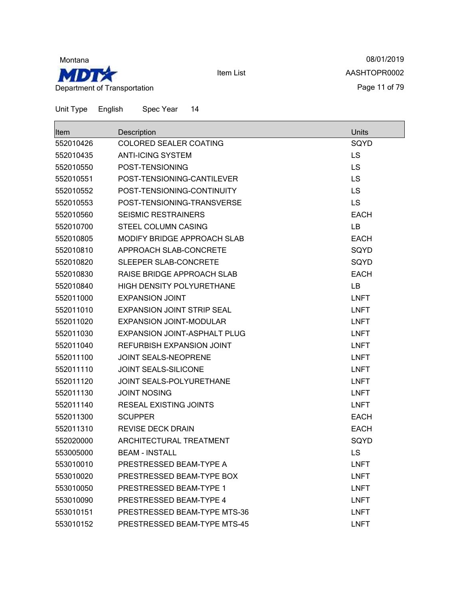

08/01/2019 AASHTOPR0002 Page 11 of 79

| <b>Item</b> | Description                         | Units       |
|-------------|-------------------------------------|-------------|
| 552010426   | <b>COLORED SEALER COATING</b>       | SQYD        |
| 552010435   | <b>ANTI-ICING SYSTEM</b>            | LS          |
| 552010550   | POST-TENSIONING                     | <b>LS</b>   |
| 552010551   | POST-TENSIONING-CANTILEVER          | LS          |
| 552010552   | POST-TENSIONING-CONTINUITY          | LS          |
| 552010553   | POST-TENSIONING-TRANSVERSE          | <b>LS</b>   |
| 552010560   | <b>SEISMIC RESTRAINERS</b>          | <b>EACH</b> |
| 552010700   | <b>STEEL COLUMN CASING</b>          | LB          |
| 552010805   | MODIFY BRIDGE APPROACH SLAB         | <b>EACH</b> |
| 552010810   | APPROACH SLAB-CONCRETE              | SQYD        |
| 552010820   | SLEEPER SLAB-CONCRETE               | SQYD        |
| 552010830   | RAISE BRIDGE APPROACH SLAB          | <b>EACH</b> |
| 552010840   | <b>HIGH DENSITY POLYURETHANE</b>    | LВ          |
| 552011000   | <b>EXPANSION JOINT</b>              | <b>LNFT</b> |
| 552011010   | <b>EXPANSION JOINT STRIP SEAL</b>   | <b>LNFT</b> |
| 552011020   | <b>EXPANSION JOINT-MODULAR</b>      | <b>LNFT</b> |
| 552011030   | <b>EXPANSION JOINT-ASPHALT PLUG</b> | <b>LNFT</b> |
| 552011040   | REFURBISH EXPANSION JOINT           | <b>LNFT</b> |
| 552011100   | <b>JOINT SEALS-NEOPRENE</b>         | <b>LNFT</b> |
| 552011110   | <b>JOINT SEALS-SILICONE</b>         | <b>LNFT</b> |
| 552011120   | JOINT SEALS-POLYURETHANE            | <b>LNFT</b> |
| 552011130   | <b>JOINT NOSING</b>                 | <b>LNFT</b> |
| 552011140   | <b>RESEAL EXISTING JOINTS</b>       | <b>LNFT</b> |
| 552011300   | <b>SCUPPER</b>                      | <b>EACH</b> |
| 552011310   | <b>REVISE DECK DRAIN</b>            | <b>EACH</b> |
| 552020000   | ARCHITECTURAL TREATMENT             | SQYD        |
| 553005000   | <b>BEAM - INSTALL</b>               | LS          |
| 553010010   | PRESTRESSED BEAM-TYPE A             | <b>LNFT</b> |
| 553010020   | PRESTRESSED BEAM-TYPE BOX           | <b>LNFT</b> |
| 553010050   | PRESTRESSED BEAM-TYPE 1             | <b>LNFT</b> |
| 553010090   | PRESTRESSED BEAM-TYPE 4             | <b>LNFT</b> |
| 553010151   | PRESTRESSED BEAM-TYPE MTS-36        | <b>LNFT</b> |
| 553010152   | PRESTRESSED BEAM-TYPE MTS-45        | <b>LNFT</b> |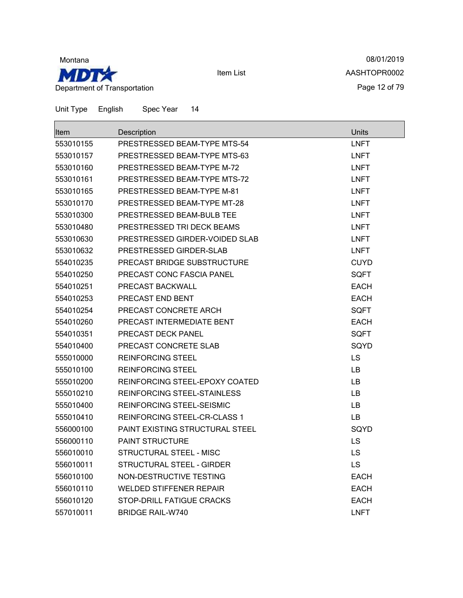

08/01/2019 AASHTOPR0002 Page 12 of 79

| Item      | Description                     | Units       |
|-----------|---------------------------------|-------------|
| 553010155 | PRESTRESSED BEAM-TYPE MTS-54    | <b>LNFT</b> |
| 553010157 | PRESTRESSED BEAM-TYPE MTS-63    | <b>LNFT</b> |
| 553010160 | PRESTRESSED BEAM-TYPE M-72      | <b>LNFT</b> |
| 553010161 | PRESTRESSED BEAM-TYPE MTS-72    | <b>LNFT</b> |
| 553010165 | PRESTRESSED BEAM-TYPE M-81      | <b>LNFT</b> |
| 553010170 | PRESTRESSED BEAM-TYPE MT-28     | <b>LNFT</b> |
| 553010300 | PRESTRESSED BEAM-BULB TEE       | LNFT        |
| 553010480 | PRESTRESSED TRI DECK BEAMS      | LNFT        |
| 553010630 | PRESTRESSED GIRDER-VOIDED SLAB  | <b>LNFT</b> |
| 553010632 | PRESTRESSED GIRDER-SLAB         | <b>LNFT</b> |
| 554010235 | PRECAST BRIDGE SUBSTRUCTURE     | <b>CUYD</b> |
| 554010250 | PRECAST CONC FASCIA PANEL       | <b>SQFT</b> |
| 554010251 | PRECAST BACKWALL                | <b>EACH</b> |
| 554010253 | PRECAST END BENT                | <b>EACH</b> |
| 554010254 | PRECAST CONCRETE ARCH           | <b>SQFT</b> |
| 554010260 | PRECAST INTERMEDIATE BENT       | <b>EACH</b> |
| 554010351 | PRECAST DECK PANEL              | SQFT        |
| 554010400 | PRECAST CONCRETE SLAB           | SQYD        |
| 555010000 | <b>REINFORCING STEEL</b>        | LS          |
| 555010100 | <b>REINFORCING STEEL</b>        | LB.         |
| 555010200 | REINFORCING STEEL-EPOXY COATED  | <b>LB</b>   |
| 555010210 | REINFORCING STEEL-STAINLESS     | <b>LB</b>   |
| 555010400 | REINFORCING STEEL-SEISMIC       | <b>LB</b>   |
| 555010410 | REINFORCING STEEL-CR-CLASS 1    | LB          |
| 556000100 | PAINT EXISTING STRUCTURAL STEEL | SQYD        |
| 556000110 | <b>PAINT STRUCTURE</b>          | <b>LS</b>   |
| 556010010 | STRUCTURAL STEEL - MISC         | <b>LS</b>   |
| 556010011 | STRUCTURAL STEEL - GIRDER       | LS          |
| 556010100 | NON-DESTRUCTIVE TESTING         | <b>EACH</b> |
| 556010110 | <b>WELDED STIFFENER REPAIR</b>  | <b>EACH</b> |
| 556010120 | STOP-DRILL FATIGUE CRACKS       | <b>EACH</b> |
| 557010011 | <b>BRIDGE RAIL-W740</b>         | <b>LNFT</b> |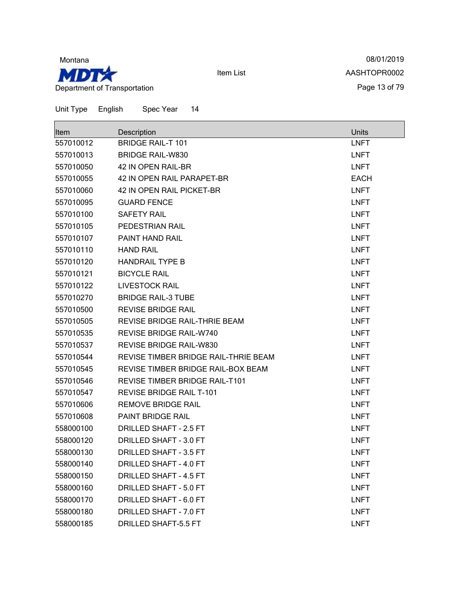

08/01/2019 AASHTOPR0002 Page 13 of 79

| Item      | Description                          | <b>Units</b> |
|-----------|--------------------------------------|--------------|
| 557010012 | <b>BRIDGE RAIL-T 101</b>             | <b>LNFT</b>  |
| 557010013 | <b>BRIDGE RAIL-W830</b>              | <b>LNFT</b>  |
| 557010050 | 42 IN OPEN RAIL-BR                   | <b>LNFT</b>  |
| 557010055 | <b>42 IN OPEN RAIL PARAPET-BR</b>    | <b>EACH</b>  |
| 557010060 | 42 IN OPEN RAIL PICKET-BR            | <b>LNFT</b>  |
| 557010095 | <b>GUARD FENCE</b>                   | <b>LNFT</b>  |
| 557010100 | <b>SAFETY RAIL</b>                   | <b>LNFT</b>  |
| 557010105 | PEDESTRIAN RAIL                      | <b>LNFT</b>  |
| 557010107 | <b>PAINT HAND RAIL</b>               | <b>LNFT</b>  |
| 557010110 | <b>HAND RAIL</b>                     | <b>LNFT</b>  |
| 557010120 | <b>HANDRAIL TYPE B</b>               | <b>LNFT</b>  |
| 557010121 | <b>BICYCLE RAIL</b>                  | <b>LNFT</b>  |
| 557010122 | <b>LIVESTOCK RAIL</b>                | <b>LNFT</b>  |
| 557010270 | <b>BRIDGE RAIL-3 TUBE</b>            | <b>LNFT</b>  |
| 557010500 | <b>REVISE BRIDGE RAIL</b>            | <b>LNFT</b>  |
| 557010505 | REVISE BRIDGE RAIL-THRIE BEAM        | <b>LNFT</b>  |
| 557010535 | <b>REVISE BRIDGE RAIL-W740</b>       | <b>LNFT</b>  |
| 557010537 | REVISE BRIDGE RAIL-W830              | <b>LNFT</b>  |
| 557010544 | REVISE TIMBER BRIDGE RAIL-THRIE BEAM | <b>LNFT</b>  |
| 557010545 | REVISE TIMBER BRIDGE RAIL-BOX BEAM   | <b>LNFT</b>  |
| 557010546 | REVISE TIMBER BRIDGE RAIL-T101       | <b>LNFT</b>  |
| 557010547 | <b>REVISE BRIDGE RAIL T-101</b>      | <b>LNFT</b>  |
| 557010606 | <b>REMOVE BRIDGE RAIL</b>            | <b>LNFT</b>  |
| 557010608 | PAINT BRIDGE RAIL                    | <b>LNFT</b>  |
| 558000100 | DRILLED SHAFT - 2.5 FT               | <b>LNFT</b>  |
| 558000120 | DRILLED SHAFT - 3.0 FT               | <b>LNFT</b>  |
| 558000130 | DRILLED SHAFT - 3.5 FT               | <b>LNFT</b>  |
| 558000140 | DRILLED SHAFT - 4.0 FT               | <b>LNFT</b>  |
| 558000150 | DRILLED SHAFT - 4.5 FT               | <b>LNFT</b>  |
| 558000160 | DRILLED SHAFT - 5.0 FT               | <b>LNFT</b>  |
| 558000170 | DRILLED SHAFT - 6.0 FT               | <b>LNFT</b>  |
| 558000180 | DRILLED SHAFT - 7.0 FT               | <b>LNFT</b>  |
| 558000185 | DRILLED SHAFT-5.5 FT                 | <b>LNFT</b>  |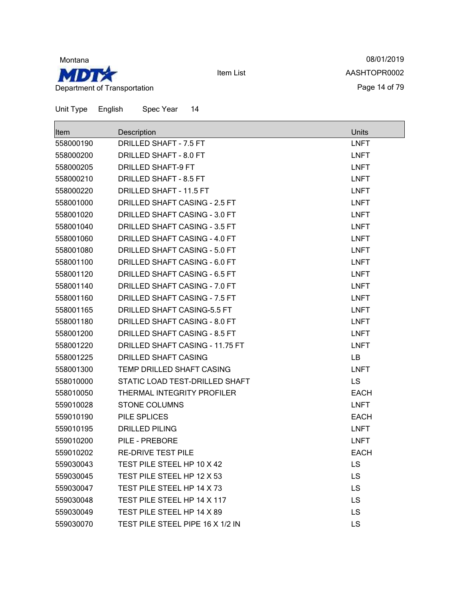

08/01/2019 AASHTOPR0002 Page 14 of 79

| lltem     | Description                          | <b>Units</b> |
|-----------|--------------------------------------|--------------|
| 558000190 | DRILLED SHAFT - 7.5 FT               | <b>LNFT</b>  |
| 558000200 | DRILLED SHAFT - 8.0 FT               | <b>LNFT</b>  |
| 558000205 | <b>DRILLED SHAFT-9 FT</b>            | <b>LNFT</b>  |
| 558000210 | DRILLED SHAFT - 8.5 FT               | <b>LNFT</b>  |
| 558000220 | DRILLED SHAFT - 11.5 FT              | <b>LNFT</b>  |
| 558001000 | DRILLED SHAFT CASING - 2.5 FT        | <b>LNFT</b>  |
| 558001020 | DRILLED SHAFT CASING - 3.0 FT        | <b>LNFT</b>  |
| 558001040 | DRILLED SHAFT CASING - 3.5 FT        | <b>LNFT</b>  |
| 558001060 | DRILLED SHAFT CASING - 4.0 FT        | <b>LNFT</b>  |
| 558001080 | DRILLED SHAFT CASING - 5.0 FT        | <b>LNFT</b>  |
| 558001100 | DRILLED SHAFT CASING - 6.0 FT        | <b>LNFT</b>  |
| 558001120 | DRILLED SHAFT CASING - 6.5 FT        | <b>LNFT</b>  |
| 558001140 | DRILLED SHAFT CASING - 7.0 FT        | <b>LNFT</b>  |
| 558001160 | <b>DRILLED SHAFT CASING - 7.5 FT</b> | <b>LNFT</b>  |
| 558001165 | DRILLED SHAFT CASING-5.5 FT          | <b>LNFT</b>  |
| 558001180 | DRILLED SHAFT CASING - 8.0 FT        | <b>LNFT</b>  |
| 558001200 | DRILLED SHAFT CASING - 8.5 FT        | <b>LNFT</b>  |
| 558001220 | DRILLED SHAFT CASING - 11.75 FT      | <b>LNFT</b>  |
| 558001225 | <b>DRILLED SHAFT CASING</b>          | LB           |
| 558001300 | <b>TEMP DRILLED SHAFT CASING</b>     | <b>LNFT</b>  |
| 558010000 | STATIC LOAD TEST-DRILLED SHAFT       | <b>LS</b>    |
| 558010050 | THERMAL INTEGRITY PROFILER           | <b>EACH</b>  |
| 559010028 | <b>STONE COLUMNS</b>                 | <b>LNFT</b>  |
| 559010190 | PILE SPLICES                         | <b>EACH</b>  |
| 559010195 | <b>DRILLED PILING</b>                | <b>LNFT</b>  |
| 559010200 | PILE - PREBORE                       | <b>LNFT</b>  |
| 559010202 | <b>RE-DRIVE TEST PILE</b>            | <b>EACH</b>  |
| 559030043 | TEST PILE STEEL HP 10 X 42           | LS           |
| 559030045 | TEST PILE STEEL HP 12 X 53           | LS           |
| 559030047 | TEST PILE STEEL HP 14 X 73           | LS           |
| 559030048 | TEST PILE STEEL HP 14 X 117          | <b>LS</b>    |
| 559030049 | TEST PILE STEEL HP 14 X 89           | LS           |
| 559030070 | TEST PILE STEEL PIPE 16 X 1/2 IN     | LS           |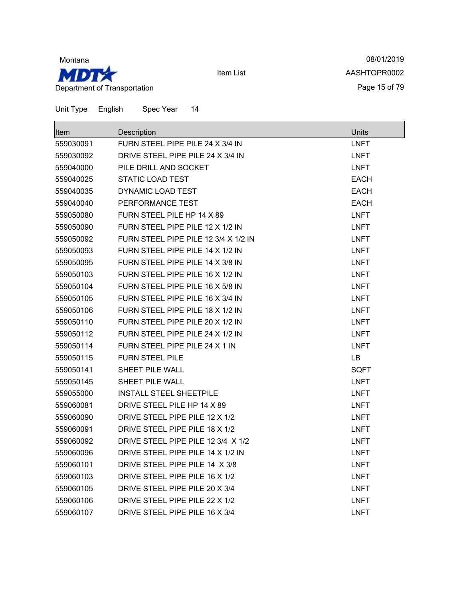

08/01/2019 AASHTOPR0002 Page 15 of 79

| Item      | Description                          | Units       |
|-----------|--------------------------------------|-------------|
| 559030091 | FURN STEEL PIPE PILE 24 X 3/4 IN     | <b>LNFT</b> |
| 559030092 | DRIVE STEEL PIPE PILE 24 X 3/4 IN    | <b>LNFT</b> |
| 559040000 | PILE DRILL AND SOCKET                | <b>LNFT</b> |
| 559040025 | <b>STATIC LOAD TEST</b>              | <b>EACH</b> |
| 559040035 | DYNAMIC LOAD TEST                    | <b>EACH</b> |
| 559040040 | PERFORMANCE TEST                     | <b>EACH</b> |
| 559050080 | FURN STEEL PILE HP 14 X 89           | <b>LNFT</b> |
| 559050090 | FURN STEEL PIPE PILE 12 X 1/2 IN     | <b>LNFT</b> |
| 559050092 | FURN STEEL PIPE PILE 12 3/4 X 1/2 IN | <b>LNFT</b> |
| 559050093 | FURN STEEL PIPE PILE 14 X 1/2 IN     | <b>LNFT</b> |
| 559050095 | FURN STEEL PIPE PILE 14 X 3/8 IN     | <b>LNFT</b> |
| 559050103 | FURN STEEL PIPE PILE 16 X 1/2 IN     | <b>LNFT</b> |
| 559050104 | FURN STEEL PIPE PILE 16 X 5/8 IN     | LNFT        |
| 559050105 | FURN STEEL PIPE PILE 16 X 3/4 IN     | <b>LNFT</b> |
| 559050106 | FURN STEEL PIPE PILE 18 X 1/2 IN     | <b>LNFT</b> |
| 559050110 | FURN STEEL PIPE PILE 20 X 1/2 IN     | <b>LNFT</b> |
| 559050112 | FURN STEEL PIPE PILE 24 X 1/2 IN     | <b>LNFT</b> |
| 559050114 | FURN STEEL PIPE PILE 24 X 1 IN       | <b>LNFT</b> |
| 559050115 | <b>FURN STEEL PILE</b>               | LB.         |
| 559050141 | <b>SHEET PILE WALL</b>               | <b>SQFT</b> |
| 559050145 | <b>SHEET PILE WALL</b>               | <b>LNFT</b> |
| 559055000 | <b>INSTALL STEEL SHEETPILE</b>       | <b>LNFT</b> |
| 559060081 | DRIVE STEEL PILE HP 14 X 89          | <b>LNFT</b> |
| 559060090 | DRIVE STEEL PIPE PILE 12 X 1/2       | <b>LNFT</b> |
| 559060091 | DRIVE STEEL PIPE PILE 18 X 1/2       | <b>LNFT</b> |
| 559060092 | DRIVE STEEL PIPE PILE 12 3/4 X 1/2   | <b>LNFT</b> |
| 559060096 | DRIVE STEEL PIPE PILE 14 X 1/2 IN    | <b>LNFT</b> |
| 559060101 | DRIVE STEEL PIPE PILE 14 X 3/8       | LNFT        |
| 559060103 | DRIVE STEEL PIPE PILE 16 X 1/2       | <b>LNFT</b> |
| 559060105 | DRIVE STEEL PIPE PILE 20 X 3/4       | <b>LNFT</b> |
| 559060106 | DRIVE STEEL PIPE PILE 22 X 1/2       | <b>LNFT</b> |
| 559060107 | DRIVE STEEL PIPE PILE 16 X 3/4       | LNFT        |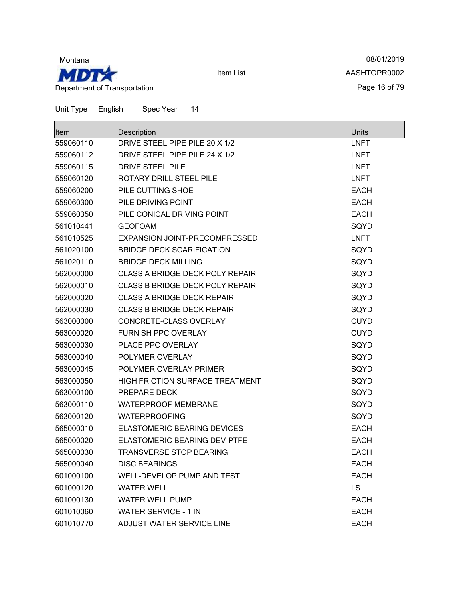

08/01/2019 AASHTOPR0002 Page 16 of 79

| <b>Item</b> | Description                            | Units       |
|-------------|----------------------------------------|-------------|
| 559060110   | DRIVE STEEL PIPE PILE 20 X 1/2         | <b>LNFT</b> |
| 559060112   | DRIVE STEEL PIPE PILE 24 X 1/2         | <b>LNFT</b> |
| 559060115   | DRIVE STEEL PILE                       | <b>LNFT</b> |
| 559060120   | ROTARY DRILL STEEL PILE                | <b>LNFT</b> |
| 559060200   | PILE CUTTING SHOE                      | <b>EACH</b> |
| 559060300   | PILE DRIVING POINT                     | <b>EACH</b> |
| 559060350   | PILE CONICAL DRIVING POINT             | <b>EACH</b> |
| 561010441   | <b>GEOFOAM</b>                         | SQYD        |
| 561010525   | EXPANSION JOINT-PRECOMPRESSED          | <b>LNFT</b> |
| 561020100   | <b>BRIDGE DECK SCARIFICATION</b>       | SQYD        |
| 561020110   | <b>BRIDGE DECK MILLING</b>             | SQYD        |
| 562000000   | <b>CLASS A BRIDGE DECK POLY REPAIR</b> | SQYD        |
| 562000010   | <b>CLASS B BRIDGE DECK POLY REPAIR</b> | SQYD        |
| 562000020   | <b>CLASS A BRIDGE DECK REPAIR</b>      | SQYD        |
| 562000030   | <b>CLASS B BRIDGE DECK REPAIR</b>      | SQYD        |
| 563000000   | CONCRETE-CLASS OVERLAY                 | <b>CUYD</b> |
| 563000020   | <b>FURNISH PPC OVERLAY</b>             | <b>CUYD</b> |
| 563000030   | PLACE PPC OVERLAY                      | SQYD        |
| 563000040   | POLYMER OVERLAY                        | SQYD        |
| 563000045   | POLYMER OVERLAY PRIMER                 | SQYD        |
| 563000050   | <b>HIGH FRICTION SURFACE TREATMENT</b> | SQYD        |
| 563000100   | PREPARE DECK                           | SQYD        |
| 563000110   | <b>WATERPROOF MEMBRANE</b>             | SQYD        |
| 563000120   | <b>WATERPROOFING</b>                   | SQYD        |
| 565000010   | <b>ELASTOMERIC BEARING DEVICES</b>     | <b>EACH</b> |
| 565000020   | ELASTOMERIC BEARING DEV-PTFE           | <b>EACH</b> |
| 565000030   | <b>TRANSVERSE STOP BEARING</b>         | <b>EACH</b> |
| 565000040   | <b>DISC BEARINGS</b>                   | <b>EACH</b> |
| 601000100   | WELL-DEVELOP PUMP AND TEST             | <b>EACH</b> |
| 601000120   | <b>WATER WELL</b>                      | <b>LS</b>   |
| 601000130   | <b>WATER WELL PUMP</b>                 | <b>EACH</b> |
| 601010060   | <b>WATER SERVICE - 1 IN</b>            | <b>EACH</b> |
| 601010770   | ADJUST WATER SERVICE LINE              | <b>EACH</b> |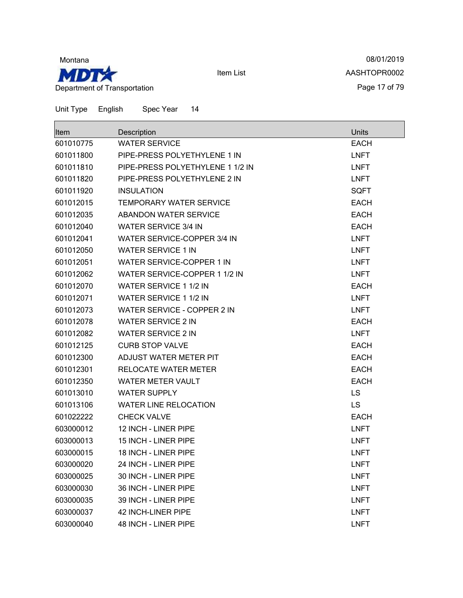

08/01/2019 AASHTOPR0002 Page 17 of 79

| <b>Item</b> | Description                      | Units       |
|-------------|----------------------------------|-------------|
| 601010775   | <b>WATER SERVICE</b>             | <b>EACH</b> |
| 601011800   | PIPE-PRESS POLYETHYLENE 1 IN     | <b>LNFT</b> |
| 601011810   | PIPE-PRESS POLYETHYLENE 1 1/2 IN | <b>LNFT</b> |
| 601011820   | PIPE-PRESS POLYETHYLENE 2 IN     | <b>LNFT</b> |
| 601011920   | <b>INSULATION</b>                | <b>SQFT</b> |
| 601012015   | <b>TEMPORARY WATER SERVICE</b>   | <b>EACH</b> |
| 601012035   | <b>ABANDON WATER SERVICE</b>     | <b>EACH</b> |
| 601012040   | <b>WATER SERVICE 3/4 IN</b>      | <b>EACH</b> |
| 601012041   | WATER SERVICE-COPPER 3/4 IN      | <b>LNFT</b> |
| 601012050   | <b>WATER SERVICE 1 IN</b>        | <b>LNFT</b> |
| 601012051   | WATER SERVICE-COPPER 1 IN        | <b>LNFT</b> |
| 601012062   | WATER SERVICE-COPPER 1 1/2 IN    | <b>LNFT</b> |
| 601012070   | WATER SERVICE 1 1/2 IN           | <b>EACH</b> |
| 601012071   | WATER SERVICE 1 1/2 IN           | <b>LNFT</b> |
| 601012073   | WATER SERVICE - COPPER 2 IN      | <b>LNFT</b> |
| 601012078   | <b>WATER SERVICE 2 IN</b>        | <b>EACH</b> |
| 601012082   | <b>WATER SERVICE 2 IN</b>        | <b>LNFT</b> |
| 601012125   | <b>CURB STOP VALVE</b>           | <b>EACH</b> |
| 601012300   | ADJUST WATER METER PIT           | <b>EACH</b> |
| 601012301   | RELOCATE WATER METER             | <b>EACH</b> |
| 601012350   | <b>WATER METER VAULT</b>         | <b>EACH</b> |
| 601013010   | <b>WATER SUPPLY</b>              | <b>LS</b>   |
| 601013106   | <b>WATER LINE RELOCATION</b>     | <b>LS</b>   |
| 601022222   | <b>CHECK VALVE</b>               | <b>EACH</b> |
| 603000012   | 12 INCH - LINER PIPE             | <b>LNFT</b> |
| 603000013   | 15 INCH - LINER PIPE             | <b>LNFT</b> |
| 603000015   | 18 INCH - LINER PIPE             | <b>LNFT</b> |
| 603000020   | 24 INCH - LINER PIPE             | <b>LNFT</b> |
| 603000025   | 30 INCH - LINER PIPE             | <b>LNFT</b> |
| 603000030   | 36 INCH - LINER PIPE             | <b>LNFT</b> |
| 603000035   | 39 INCH - LINER PIPE             | <b>LNFT</b> |
| 603000037   | 42 INCH-LINER PIPE               | <b>LNFT</b> |
| 603000040   | 48 INCH - LINER PIPE             | <b>LNFT</b> |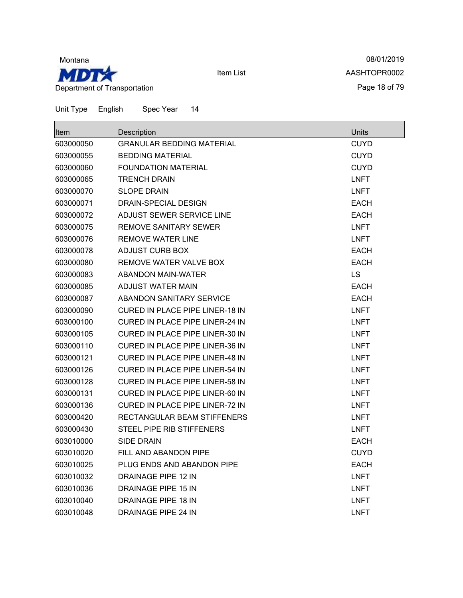

08/01/2019 AASHTOPR0002 Page 18 of 79

| <b>Item</b> | Description                            | Units       |
|-------------|----------------------------------------|-------------|
| 603000050   | <b>GRANULAR BEDDING MATERIAL</b>       | CUYD        |
| 603000055   | <b>BEDDING MATERIAL</b>                | <b>CUYD</b> |
| 603000060   | <b>FOUNDATION MATERIAL</b>             | <b>CUYD</b> |
| 603000065   | <b>TRENCH DRAIN</b>                    | <b>LNFT</b> |
| 603000070   | <b>SLOPE DRAIN</b>                     | <b>LNFT</b> |
| 603000071   | <b>DRAIN-SPECIAL DESIGN</b>            | <b>EACH</b> |
| 603000072   | ADJUST SEWER SERVICE LINE              | <b>EACH</b> |
| 603000075   | REMOVE SANITARY SEWER                  | <b>LNFT</b> |
| 603000076   | <b>REMOVE WATER LINE</b>               | <b>LNFT</b> |
| 603000078   | <b>ADJUST CURB BOX</b>                 | <b>EACH</b> |
| 603000080   | REMOVE WATER VALVE BOX                 | <b>EACH</b> |
| 603000083   | ABANDON MAIN-WATER                     | LS          |
| 603000085   | ADJUST WATER MAIN                      | <b>EACH</b> |
| 603000087   | <b>ABANDON SANITARY SERVICE</b>        | <b>EACH</b> |
| 603000090   | <b>CURED IN PLACE PIPE LINER-18 IN</b> | <b>LNFT</b> |
| 603000100   | <b>CURED IN PLACE PIPE LINER-24 IN</b> | <b>LNFT</b> |
| 603000105   | <b>CURED IN PLACE PIPE LINER-30 IN</b> | <b>LNFT</b> |
| 603000110   | <b>CURED IN PLACE PIPE LINER-36 IN</b> | <b>LNFT</b> |
| 603000121   | CURED IN PLACE PIPE LINER-48 IN        | <b>LNFT</b> |
| 603000126   | <b>CURED IN PLACE PIPE LINER-54 IN</b> | <b>LNFT</b> |
| 603000128   | <b>CURED IN PLACE PIPE LINER-58 IN</b> | <b>LNFT</b> |
| 603000131   | CURED IN PLACE PIPE LINER-60 IN        | <b>LNFT</b> |
| 603000136   | <b>CURED IN PLACE PIPE LINER-72 IN</b> | <b>LNFT</b> |
| 603000420   | RECTANGULAR BEAM STIFFENERS            | <b>LNFT</b> |
| 603000430   | STEEL PIPE RIB STIFFENERS              | <b>LNFT</b> |
| 603010000   | <b>SIDE DRAIN</b>                      | <b>EACH</b> |
| 603010020   | FILL AND ABANDON PIPE                  | CUYD        |
| 603010025   | PLUG ENDS AND ABANDON PIPE             | <b>EACH</b> |
| 603010032   | DRAINAGE PIPE 12 IN                    | <b>LNFT</b> |
| 603010036   | DRAINAGE PIPE 15 IN                    | <b>LNFT</b> |
| 603010040   | DRAINAGE PIPE 18 IN                    | <b>LNFT</b> |
| 603010048   | DRAINAGE PIPE 24 IN                    | <b>LNFT</b> |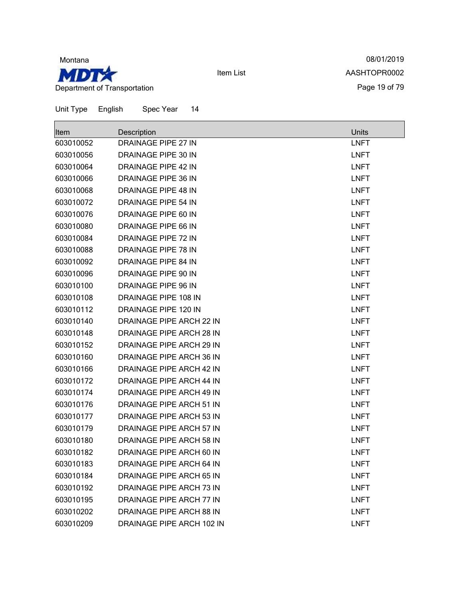

08/01/2019 AASHTOPR0002 Page 19 of 79

| Item      | Description                     | <b>Units</b> |
|-----------|---------------------------------|--------------|
| 603010052 | <b>DRAINAGE PIPE 27 IN</b>      | <b>LNFT</b>  |
| 603010056 | DRAINAGE PIPE 30 IN             | <b>LNFT</b>  |
| 603010064 | <b>DRAINAGE PIPE 42 IN</b>      | <b>LNFT</b>  |
| 603010066 | <b>DRAINAGE PIPE 36 IN</b>      | <b>LNFT</b>  |
| 603010068 | <b>DRAINAGE PIPE 48 IN</b>      | <b>LNFT</b>  |
| 603010072 | <b>DRAINAGE PIPE 54 IN</b>      | <b>LNFT</b>  |
| 603010076 | DRAINAGE PIPE 60 IN             | <b>LNFT</b>  |
| 603010080 | DRAINAGE PIPE 66 IN             | <b>LNFT</b>  |
| 603010084 | <b>DRAINAGE PIPE 72 IN</b>      | <b>LNFT</b>  |
| 603010088 | DRAINAGE PIPE 78 IN             | <b>LNFT</b>  |
| 603010092 | <b>DRAINAGE PIPE 84 IN</b>      | <b>LNFT</b>  |
| 603010096 | DRAINAGE PIPE 90 IN             | <b>LNFT</b>  |
| 603010100 | DRAINAGE PIPE 96 IN             | <b>LNFT</b>  |
| 603010108 | DRAINAGE PIPE 108 IN            | <b>LNFT</b>  |
| 603010112 | DRAINAGE PIPE 120 IN            | <b>LNFT</b>  |
| 603010140 | <b>DRAINAGE PIPE ARCH 22 IN</b> | <b>LNFT</b>  |
| 603010148 | DRAINAGE PIPE ARCH 28 IN        | <b>LNFT</b>  |
| 603010152 | DRAINAGE PIPE ARCH 29 IN        | <b>LNFT</b>  |
| 603010160 | DRAINAGE PIPE ARCH 36 IN        | <b>LNFT</b>  |
| 603010166 | DRAINAGE PIPE ARCH 42 IN        | <b>LNFT</b>  |
| 603010172 | DRAINAGE PIPE ARCH 44 IN        | <b>LNFT</b>  |
| 603010174 | DRAINAGE PIPE ARCH 49 IN        | <b>LNFT</b>  |
| 603010176 | DRAINAGE PIPE ARCH 51 IN        | <b>LNFT</b>  |
| 603010177 | DRAINAGE PIPE ARCH 53 IN        | <b>LNFT</b>  |
| 603010179 | <b>DRAINAGE PIPE ARCH 57 IN</b> | <b>LNFT</b>  |
| 603010180 | DRAINAGE PIPE ARCH 58 IN        | <b>LNFT</b>  |
| 603010182 | DRAINAGE PIPE ARCH 60 IN        | <b>LNFT</b>  |
| 603010183 | DRAINAGE PIPE ARCH 64 IN        | <b>LNFT</b>  |
| 603010184 | DRAINAGE PIPE ARCH 65 IN        | <b>LNFT</b>  |
| 603010192 | DRAINAGE PIPE ARCH 73 IN        | <b>LNFT</b>  |
| 603010195 | DRAINAGE PIPE ARCH 77 IN        | <b>LNFT</b>  |
| 603010202 | DRAINAGE PIPE ARCH 88 IN        | <b>LNFT</b>  |
| 603010209 | DRAINAGE PIPE ARCH 102 IN       | <b>LNFT</b>  |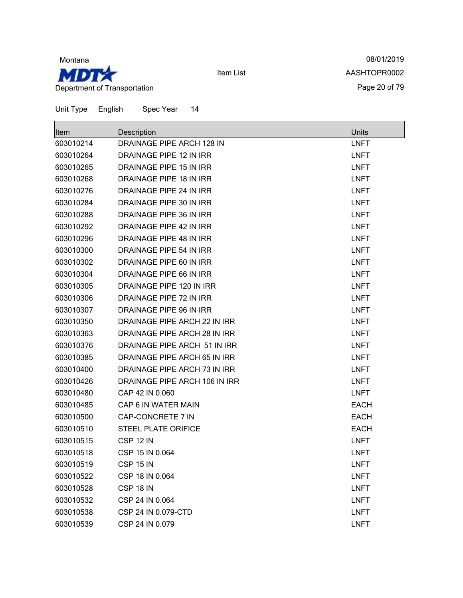

08/01/2019 AASHTOPR0002 Page 20 of 79

| <b>Item</b> | Description                    | Units       |
|-------------|--------------------------------|-------------|
| 603010214   | DRAINAGE PIPE ARCH 128 IN      | <b>LNFT</b> |
| 603010264   | DRAINAGE PIPE 12 IN IRR        | <b>LNFT</b> |
| 603010265   | <b>DRAINAGE PIPE 15 IN IRR</b> | <b>LNFT</b> |
| 603010268   | DRAINAGE PIPE 18 IN IRR        | <b>LNFT</b> |
| 603010276   | DRAINAGE PIPE 24 IN IRR        | <b>LNFT</b> |
| 603010284   | DRAINAGE PIPE 30 IN IRR        | <b>LNFT</b> |
| 603010288   | DRAINAGE PIPE 36 IN IRR        | <b>LNFT</b> |
| 603010292   | DRAINAGE PIPE 42 IN IRR        | <b>LNFT</b> |
| 603010296   | DRAINAGE PIPE 48 IN IRR        | <b>LNFT</b> |
| 603010300   | DRAINAGE PIPE 54 IN IRR        | <b>LNFT</b> |
| 603010302   | DRAINAGE PIPE 60 IN IRR        | <b>LNFT</b> |
| 603010304   | DRAINAGE PIPE 66 IN IRR        | <b>LNFT</b> |
| 603010305   | DRAINAGE PIPE 120 IN IRR       | <b>LNFT</b> |
| 603010306   | DRAINAGE PIPE 72 IN IRR        | <b>LNFT</b> |
| 603010307   | DRAINAGE PIPE 96 IN IRR        | <b>LNFT</b> |
| 603010350   | DRAINAGE PIPE ARCH 22 IN IRR   | <b>LNFT</b> |
| 603010363   | DRAINAGE PIPE ARCH 28 IN IRR   | <b>LNFT</b> |
| 603010376   | DRAINAGE PIPE ARCH 51 IN IRR   | <b>LNFT</b> |
| 603010385   | DRAINAGE PIPE ARCH 65 IN IRR   | <b>LNFT</b> |
| 603010400   | DRAINAGE PIPE ARCH 73 IN IRR   | <b>LNFT</b> |
| 603010426   | DRAINAGE PIPE ARCH 106 IN IRR  | <b>LNFT</b> |
| 603010480   | CAP 42 IN 0.060                | <b>LNFT</b> |
| 603010485   | CAP 6 IN WATER MAIN            | <b>EACH</b> |
| 603010500   | CAP-CONCRETE 7 IN              | <b>EACH</b> |
| 603010510   | <b>STEEL PLATE ORIFICE</b>     | <b>EACH</b> |
| 603010515   | CSP 12 IN                      | <b>LNFT</b> |
| 603010518   | CSP 15 IN 0.064                | <b>LNFT</b> |
| 603010519   | <b>CSP 15 IN</b>               | <b>LNFT</b> |
| 603010522   | CSP 18 IN 0.064                | <b>LNFT</b> |
| 603010528   | CSP 18 IN                      | <b>LNFT</b> |
| 603010532   | CSP 24 IN 0.064                | <b>LNFT</b> |
| 603010538   | CSP 24 IN 0.079-CTD            | <b>LNFT</b> |
| 603010539   | CSP 24 IN 0.079                | <b>LNFT</b> |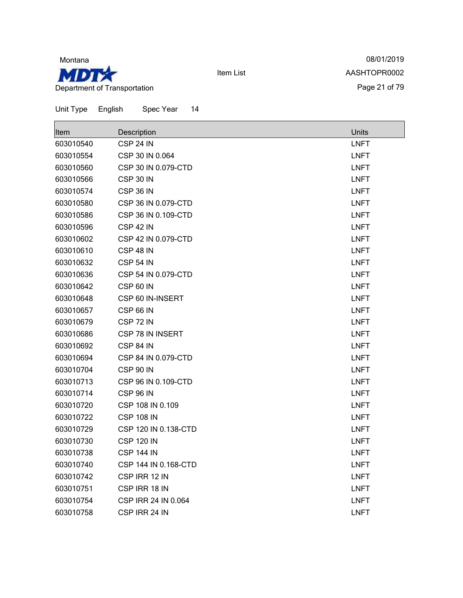

08/01/2019 AASHTOPR0002 Page 21 of 79

| Item      | Description          | Units       |
|-----------|----------------------|-------------|
| 603010540 | CSP 24 IN            | <b>LNFT</b> |
| 603010554 | CSP 30 IN 0.064      | <b>LNFT</b> |
| 603010560 | CSP 30 IN 0.079-CTD  | <b>LNFT</b> |
| 603010566 | CSP 30 IN            | <b>LNFT</b> |
| 603010574 | CSP 36 IN            | <b>LNFT</b> |
| 603010580 | CSP 36 IN 0.079-CTD  | <b>LNFT</b> |
| 603010586 | CSP 36 IN 0.109-CTD  | <b>LNFT</b> |
| 603010596 | CSP 42 IN            | <b>LNFT</b> |
| 603010602 | CSP 42 IN 0.079-CTD  | <b>LNFT</b> |
| 603010610 | CSP 48 IN            | <b>LNFT</b> |
| 603010632 | <b>CSP 54 IN</b>     | <b>LNFT</b> |
| 603010636 | CSP 54 IN 0.079-CTD  | <b>LNFT</b> |
| 603010642 | CSP 60 IN            | <b>LNFT</b> |
| 603010648 | CSP 60 IN-INSERT     | <b>LNFT</b> |
| 603010657 | <b>CSP 66 IN</b>     | <b>LNFT</b> |
| 603010679 | CSP 72 IN            | <b>LNFT</b> |
| 603010686 | CSP 78 IN INSERT     | <b>LNFT</b> |
| 603010692 | CSP 84 IN            | <b>LNFT</b> |
| 603010694 | CSP 84 IN 0.079-CTD  | <b>LNFT</b> |
| 603010704 | <b>CSP 90 IN</b>     | <b>LNFT</b> |
| 603010713 | CSP 96 IN 0.109-CTD  | <b>LNFT</b> |
| 603010714 | <b>CSP 96 IN</b>     | <b>LNFT</b> |
| 603010720 | CSP 108 IN 0.109     | <b>LNFT</b> |
| 603010722 | <b>CSP 108 IN</b>    | <b>LNFT</b> |
| 603010729 | CSP 120 IN 0.138-CTD | <b>LNFT</b> |
| 603010730 | <b>CSP 120 IN</b>    | <b>LNFT</b> |
| 603010738 | <b>CSP 144 IN</b>    | <b>LNFT</b> |
| 603010740 | CSP 144 IN 0.168-CTD | <b>LNFT</b> |
| 603010742 | CSP IRR 12 IN        | <b>LNFT</b> |
| 603010751 | CSP IRR 18 IN        | <b>LNFT</b> |
| 603010754 | CSP IRR 24 IN 0.064  | <b>LNFT</b> |
| 603010758 | CSP IRR 24 IN        | <b>LNFT</b> |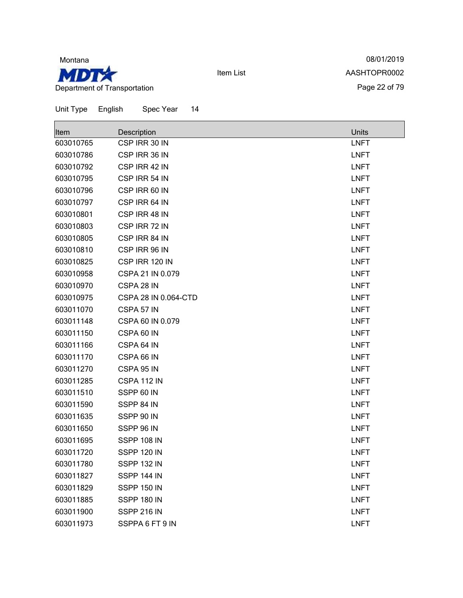

08/01/2019 AASHTOPR0002 Page 22 of 79

| Item      | Description          | Units       |
|-----------|----------------------|-------------|
| 603010765 | CSP IRR 30 IN        | <b>LNFT</b> |
| 603010786 | CSP IRR 36 IN        | <b>LNFT</b> |
| 603010792 | CSP IRR 42 IN        | <b>LNFT</b> |
| 603010795 | CSP IRR 54 IN        | <b>LNFT</b> |
| 603010796 | CSP IRR 60 IN        | <b>LNFT</b> |
| 603010797 | CSP IRR 64 IN        | <b>LNFT</b> |
| 603010801 | CSP IRR 48 IN        | <b>LNFT</b> |
| 603010803 | CSP IRR 72 IN        | <b>LNFT</b> |
| 603010805 | CSP IRR 84 IN        | <b>LNFT</b> |
| 603010810 | CSP IRR 96 IN        | <b>LNFT</b> |
| 603010825 | CSP IRR 120 IN       | <b>LNFT</b> |
| 603010958 | CSPA 21 IN 0.079     | <b>LNFT</b> |
| 603010970 | CSPA 28 IN           | <b>LNFT</b> |
| 603010975 | CSPA 28 IN 0.064-CTD | <b>LNFT</b> |
| 603011070 | CSPA 57 IN           | <b>LNFT</b> |
| 603011148 | CSPA 60 IN 0.079     | <b>LNFT</b> |
| 603011150 | CSPA 60 IN           | <b>LNFT</b> |
| 603011166 | CSPA 64 IN           | <b>LNFT</b> |
| 603011170 | CSPA 66 IN           | <b>LNFT</b> |
| 603011270 | CSPA 95 IN           | <b>LNFT</b> |
| 603011285 | CSPA 112 IN          | <b>LNFT</b> |
| 603011510 | SSPP 60 IN           | <b>LNFT</b> |
| 603011590 | SSPP 84 IN           | <b>LNFT</b> |
| 603011635 | SSPP 90 IN           | <b>LNFT</b> |
| 603011650 | SSPP 96 IN           | <b>LNFT</b> |
| 603011695 | SSPP 108 IN          | <b>LNFT</b> |
| 603011720 | <b>SSPP 120 IN</b>   | <b>LNFT</b> |
| 603011780 | SSPP 132 IN          | LNFT        |
| 603011827 | SSPP 144 IN          | <b>LNFT</b> |
| 603011829 | <b>SSPP 150 IN</b>   | <b>LNFT</b> |
| 603011885 | SSPP 180 IN          | <b>LNFT</b> |
| 603011900 | SSPP 216 IN          | <b>LNFT</b> |
| 603011973 | SSPPA 6 FT 9 IN      | <b>LNFT</b> |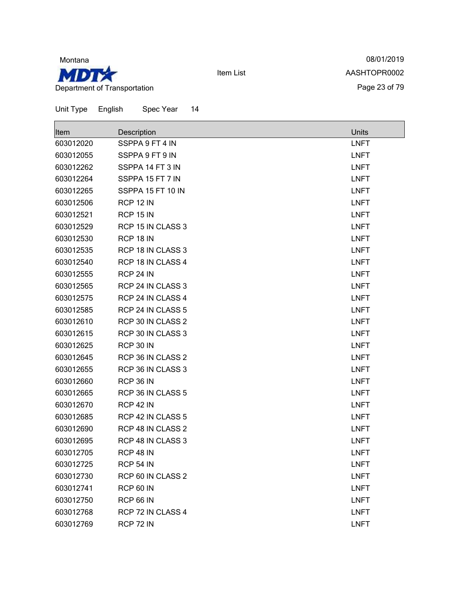

08/01/2019 AASHTOPR0002 Page 23 of 79

| Item      | Description       | <b>Units</b> |
|-----------|-------------------|--------------|
| 603012020 | SSPPA 9 FT 4 IN   | <b>LNFT</b>  |
| 603012055 | SSPPA 9 FT 9 IN   | <b>LNFT</b>  |
| 603012262 | SSPPA 14 FT 3 IN  | <b>LNFT</b>  |
| 603012264 | SSPPA 15 FT 7 IN  | <b>LNFT</b>  |
| 603012265 | SSPPA 15 FT 10 IN | <b>LNFT</b>  |
| 603012506 | <b>RCP 12 IN</b>  | <b>LNFT</b>  |
| 603012521 | <b>RCP 15 IN</b>  | <b>LNFT</b>  |
| 603012529 | RCP 15 IN CLASS 3 | <b>LNFT</b>  |
| 603012530 | <b>RCP 18 IN</b>  | <b>LNFT</b>  |
| 603012535 | RCP 18 IN CLASS 3 | <b>LNFT</b>  |
| 603012540 | RCP 18 IN CLASS 4 | <b>LNFT</b>  |
| 603012555 | <b>RCP 24 IN</b>  | <b>LNFT</b>  |
| 603012565 | RCP 24 IN CLASS 3 | <b>LNFT</b>  |
| 603012575 | RCP 24 IN CLASS 4 | <b>LNFT</b>  |
| 603012585 | RCP 24 IN CLASS 5 | <b>LNFT</b>  |
| 603012610 | RCP 30 IN CLASS 2 | <b>LNFT</b>  |
| 603012615 | RCP 30 IN CLASS 3 | <b>LNFT</b>  |
| 603012625 | <b>RCP 30 IN</b>  | <b>LNFT</b>  |
| 603012645 | RCP 36 IN CLASS 2 | <b>LNFT</b>  |
| 603012655 | RCP 36 IN CLASS 3 | <b>LNFT</b>  |
| 603012660 | <b>RCP 36 IN</b>  | <b>LNFT</b>  |
| 603012665 | RCP 36 IN CLASS 5 | <b>LNFT</b>  |
| 603012670 | <b>RCP 42 IN</b>  | <b>LNFT</b>  |
| 603012685 | RCP 42 IN CLASS 5 | <b>LNFT</b>  |
| 603012690 | RCP 48 IN CLASS 2 | <b>LNFT</b>  |
| 603012695 | RCP 48 IN CLASS 3 | <b>LNFT</b>  |
| 603012705 | <b>RCP 48 IN</b>  | <b>LNFT</b>  |
| 603012725 | <b>RCP 54 IN</b>  | LNFT         |
| 603012730 | RCP 60 IN CLASS 2 | <b>LNFT</b>  |
| 603012741 | <b>RCP 60 IN</b>  | <b>LNFT</b>  |
| 603012750 | <b>RCP 66 IN</b>  | <b>LNFT</b>  |
| 603012768 | RCP 72 IN CLASS 4 | <b>LNFT</b>  |
| 603012769 | RCP 72 IN         | <b>LNFT</b>  |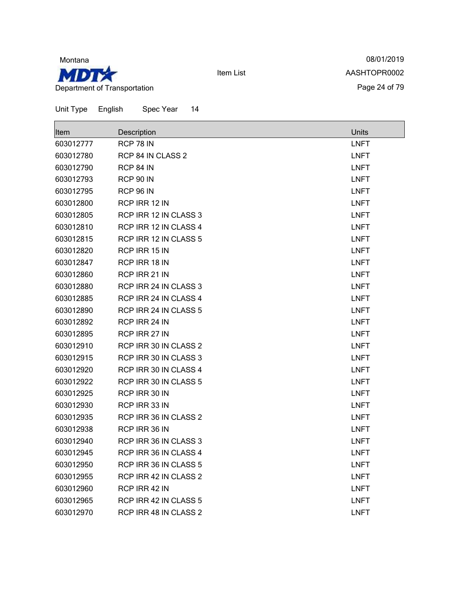

08/01/2019 AASHTOPR0002 Page 24 of 79

| Item      | Description           | Units       |
|-----------|-----------------------|-------------|
| 603012777 | <b>RCP 78 IN</b>      | <b>LNFT</b> |
| 603012780 | RCP 84 IN CLASS 2     | <b>LNFT</b> |
| 603012790 | RCP 84 IN             | <b>LNFT</b> |
| 603012793 | <b>RCP 90 IN</b>      | <b>LNFT</b> |
| 603012795 | <b>RCP 96 IN</b>      | <b>LNFT</b> |
| 603012800 | RCP IRR 12 IN         | <b>LNFT</b> |
| 603012805 | RCP IRR 12 IN CLASS 3 | <b>LNFT</b> |
| 603012810 | RCP IRR 12 IN CLASS 4 | <b>LNFT</b> |
| 603012815 | RCP IRR 12 IN CLASS 5 | <b>LNFT</b> |
| 603012820 | RCP IRR 15 IN         | <b>LNFT</b> |
| 603012847 | RCP IRR 18 IN         | <b>LNFT</b> |
| 603012860 | RCP IRR 21 IN         | <b>LNFT</b> |
| 603012880 | RCP IRR 24 IN CLASS 3 | <b>LNFT</b> |
| 603012885 | RCP IRR 24 IN CLASS 4 | <b>LNFT</b> |
| 603012890 | RCP IRR 24 IN CLASS 5 | <b>LNFT</b> |
| 603012892 | RCP IRR 24 IN         | <b>LNFT</b> |
| 603012895 | RCP IRR 27 IN         | <b>LNFT</b> |
| 603012910 | RCP IRR 30 IN CLASS 2 | <b>LNFT</b> |
| 603012915 | RCP IRR 30 IN CLASS 3 | <b>LNFT</b> |
| 603012920 | RCP IRR 30 IN CLASS 4 | <b>LNFT</b> |
| 603012922 | RCP IRR 30 IN CLASS 5 | <b>LNFT</b> |
| 603012925 | RCP IRR 30 IN         | <b>LNFT</b> |
| 603012930 | RCP IRR 33 IN         | <b>LNFT</b> |
| 603012935 | RCP IRR 36 IN CLASS 2 | <b>LNFT</b> |
| 603012938 | RCP IRR 36 IN         | <b>LNFT</b> |
| 603012940 | RCP IRR 36 IN CLASS 3 | <b>LNFT</b> |
| 603012945 | RCP IRR 36 IN CLASS 4 | <b>LNFT</b> |
| 603012950 | RCP IRR 36 IN CLASS 5 | LNFT        |
| 603012955 | RCP IRR 42 IN CLASS 2 | <b>LNFT</b> |
| 603012960 | RCP IRR 42 IN         | <b>LNFT</b> |
| 603012965 | RCP IRR 42 IN CLASS 5 | <b>LNFT</b> |
| 603012970 | RCP IRR 48 IN CLASS 2 | <b>LNFT</b> |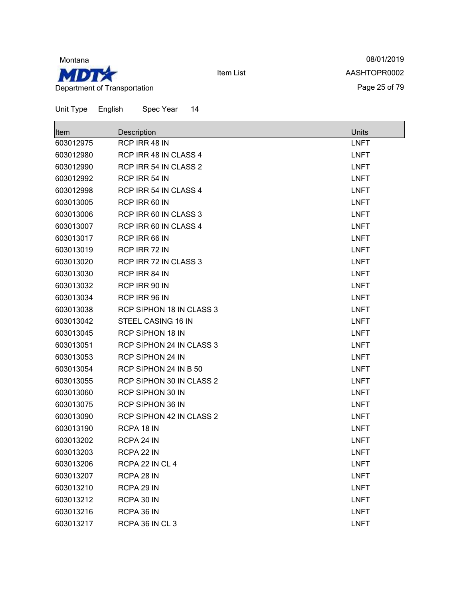

08/01/2019 AASHTOPR0002 Page 25 of 79

| <b>Item</b> | Description                     | Units       |
|-------------|---------------------------------|-------------|
| 603012975   | RCP IRR 48 IN                   | <b>LNFT</b> |
| 603012980   | RCP IRR 48 IN CLASS 4           | <b>LNFT</b> |
| 603012990   | RCP IRR 54 IN CLASS 2           | <b>LNFT</b> |
| 603012992   | RCP IRR 54 IN                   | <b>LNFT</b> |
| 603012998   | RCP IRR 54 IN CLASS 4           | <b>LNFT</b> |
| 603013005   | RCP IRR 60 IN                   | <b>LNFT</b> |
| 603013006   | RCP IRR 60 IN CLASS 3           | <b>LNFT</b> |
| 603013007   | RCP IRR 60 IN CLASS 4           | <b>LNFT</b> |
| 603013017   | RCP IRR 66 IN                   | <b>LNFT</b> |
| 603013019   | RCP IRR 72 IN                   | <b>LNFT</b> |
| 603013020   | RCP IRR 72 IN CLASS 3           | <b>LNFT</b> |
| 603013030   | RCP IRR 84 IN                   | <b>LNFT</b> |
| 603013032   | RCP IRR 90 IN                   | <b>LNFT</b> |
| 603013034   | RCP IRR 96 IN                   | <b>LNFT</b> |
| 603013038   | <b>RCP SIPHON 18 IN CLASS 3</b> | <b>LNFT</b> |
| 603013042   | STEEL CASING 16 IN              | <b>LNFT</b> |
| 603013045   | <b>RCP SIPHON 18 IN</b>         | <b>LNFT</b> |
| 603013051   | RCP SIPHON 24 IN CLASS 3        | <b>LNFT</b> |
| 603013053   | <b>RCP SIPHON 24 IN</b>         | <b>LNFT</b> |
| 603013054   | RCP SIPHON 24 IN B 50           | <b>LNFT</b> |
| 603013055   | RCP SIPHON 30 IN CLASS 2        | <b>LNFT</b> |
| 603013060   | <b>RCP SIPHON 30 IN</b>         | <b>LNFT</b> |
| 603013075   | <b>RCP SIPHON 36 IN</b>         | <b>LNFT</b> |
| 603013090   | RCP SIPHON 42 IN CLASS 2        | <b>LNFT</b> |
| 603013190   | RCPA 18 IN                      | <b>LNFT</b> |
| 603013202   | RCPA 24 IN                      | <b>LNFT</b> |
| 603013203   | RCPA 22 IN                      | <b>LNFT</b> |
| 603013206   | RCPA 22 IN CL 4                 | <b>LNFT</b> |
| 603013207   | RCPA 28 IN                      | <b>LNFT</b> |
| 603013210   | RCPA 29 IN                      | <b>LNFT</b> |
| 603013212   | RCPA 30 IN                      | <b>LNFT</b> |
| 603013216   | RCPA 36 IN                      | <b>LNFT</b> |
| 603013217   | RCPA 36 IN CL 3                 | <b>LNFT</b> |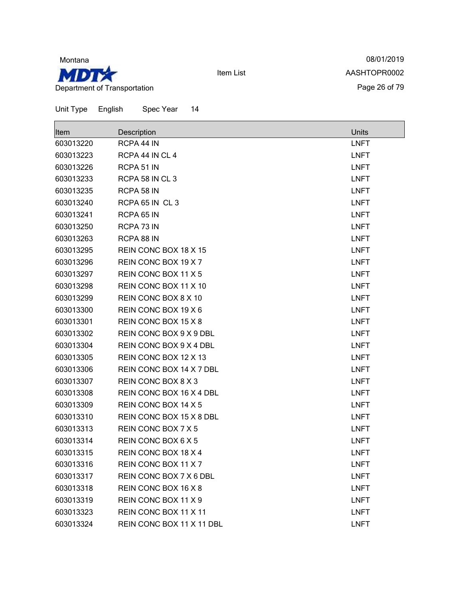

08/01/2019 AASHTOPR0002 Page 26 of 79

| Item      | Description               | <b>Units</b> |
|-----------|---------------------------|--------------|
| 603013220 | RCPA 44 IN                | <b>LNFT</b>  |
| 603013223 | RCPA 44 IN CL 4           | <b>LNFT</b>  |
| 603013226 | RCPA 51 IN                | <b>LNFT</b>  |
| 603013233 | RCPA 58 IN CL 3           | <b>LNFT</b>  |
| 603013235 | RCPA 58 IN                | <b>LNFT</b>  |
| 603013240 | RCPA 65 IN CL 3           | <b>LNFT</b>  |
| 603013241 | RCPA 65 IN                | <b>LNFT</b>  |
| 603013250 | RCPA 73 IN                | <b>LNFT</b>  |
| 603013263 | RCPA 88 IN                | <b>LNFT</b>  |
| 603013295 | REIN CONC BOX 18 X 15     | <b>LNFT</b>  |
| 603013296 | REIN CONC BOX 19 X 7      | <b>LNFT</b>  |
| 603013297 | REIN CONC BOX 11 X 5      | <b>LNFT</b>  |
| 603013298 | REIN CONC BOX 11 X 10     | <b>LNFT</b>  |
| 603013299 | REIN CONC BOX 8 X 10      | <b>LNFT</b>  |
| 603013300 | REIN CONC BOX 19 X 6      | <b>LNFT</b>  |
| 603013301 | REIN CONC BOX 15 X 8      | <b>LNFT</b>  |
| 603013302 | REIN CONC BOX 9 X 9 DBL   | <b>LNFT</b>  |
| 603013304 | REIN CONC BOX 9 X 4 DBL   | <b>LNFT</b>  |
| 603013305 | REIN CONC BOX 12 X 13     | <b>LNFT</b>  |
| 603013306 | REIN CONC BOX 14 X 7 DBL  | <b>LNFT</b>  |
| 603013307 | REIN CONC BOX 8 X 3       | <b>LNFT</b>  |
| 603013308 | REIN CONC BOX 16 X 4 DBL  | <b>LNFT</b>  |
| 603013309 | REIN CONC BOX 14 X 5      | <b>LNFT</b>  |
| 603013310 | REIN CONC BOX 15 X 8 DBL  | <b>LNFT</b>  |
| 603013313 | REIN CONC BOX 7 X 5       | <b>LNFT</b>  |
| 603013314 | REIN CONC BOX 6 X 5       | <b>LNFT</b>  |
| 603013315 | REIN CONC BOX 18 X 4      | <b>LNFT</b>  |
| 603013316 | REIN CONC BOX 11 X 7      | <b>LNFT</b>  |
| 603013317 | REIN CONC BOX 7 X 6 DBL   | <b>LNFT</b>  |
| 603013318 | REIN CONC BOX 16 X 8      | <b>LNFT</b>  |
| 603013319 | REIN CONC BOX 11 X 9      | <b>LNFT</b>  |
| 603013323 | REIN CONC BOX 11 X 11     | <b>LNFT</b>  |
| 603013324 | REIN CONC BOX 11 X 11 DBL | <b>LNFT</b>  |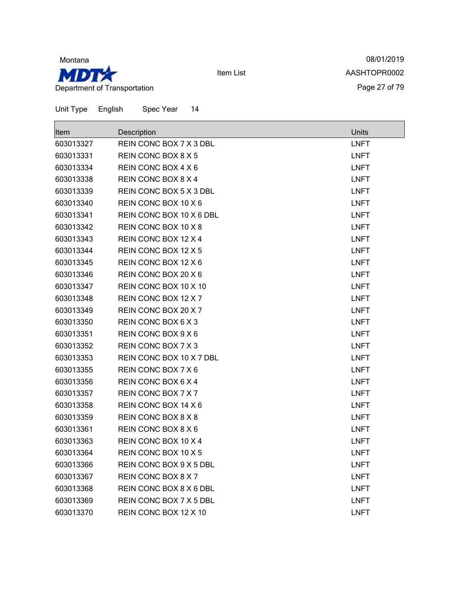

08/01/2019 AASHTOPR0002 Page 27 of 79

| Unit Type | English<br>Spec Year<br>14 |             |
|-----------|----------------------------|-------------|
| Item      | Description                | Units       |
| 603013327 | REIN CONC BOX 7 X 3 DBL    | <b>LNFT</b> |
| 603013331 | REIN CONC BOX 8 X 5        | <b>LNFT</b> |
| 603013334 | REIN CONC BOX 4 X 6        | <b>LNFT</b> |
| 603013338 | REIN CONC BOX 8 X 4        | <b>LNFT</b> |
| 603013339 | REIN CONC BOX 5 X 3 DBL    | <b>LNFT</b> |
| 603013340 | REIN CONC BOX 10 X 6       | <b>LNFT</b> |
| 603013341 | REIN CONC BOX 10 X 6 DBL   | <b>LNFT</b> |
| 603013342 | REIN CONC BOX 10 X 8       | <b>LNFT</b> |
| 603013343 | REIN CONC BOX 12 X 4       | <b>LNFT</b> |
| 603013344 | REIN CONC BOX 12 X 5       | <b>LNFT</b> |
| 603013345 | REIN CONC BOX 12 X 6       | <b>LNFT</b> |
| 603013346 | REIN CONC BOX 20 X 6       | <b>LNFT</b> |
| 603013347 | REIN CONC BOX 10 X 10      | <b>LNFT</b> |
| 603013348 | REIN CONC BOX 12 X 7       | <b>LNFT</b> |
| 603013349 | REIN CONC BOX 20 X 7       | <b>LNFT</b> |
| 603013350 | REIN CONC BOX 6 X 3        | <b>LNFT</b> |
| 603013351 | REIN CONC BOX 9 X 6        | <b>LNFT</b> |
| 603013352 | REIN CONC BOX 7 X 3        | <b>LNFT</b> |
| 603013353 | REIN CONC BOX 10 X 7 DBL   | <b>LNFT</b> |
| 603013355 | REIN CONC BOX 7 X 6        | <b>LNFT</b> |
| 603013356 | REIN CONC BOX 6 X 4        | <b>LNFT</b> |
| 603013357 | REIN CONC BOX 7 X 7        | <b>LNFT</b> |
| 603013358 | REIN CONC BOX 14 X 6       | <b>LNFT</b> |
| 603013359 | REIN CONC BOX 8 X 8        | <b>LNFT</b> |
| 603013361 | REIN CONC BOX 8 X 6        | <b>LNFT</b> |
| 603013363 | REIN CONC BOX 10 X 4       | <b>LNFT</b> |
| 603013364 | REIN CONC BOX 10 X 5       | <b>LNFT</b> |
| 603013366 | REIN CONC BOX 9 X 5 DBL    | <b>LNFT</b> |
| 603013367 | REIN CONC BOX 8 X 7        | <b>LNFT</b> |
| 603013368 | REIN CONC BOX 8 X 6 DBL    | <b>LNFT</b> |
| 603013369 | REIN CONC BOX 7 X 5 DBL    | <b>LNFT</b> |

603013370 REIN CONC BOX 12 X 10 CONCRETE AND REIN CONCRETE AND REAL LINET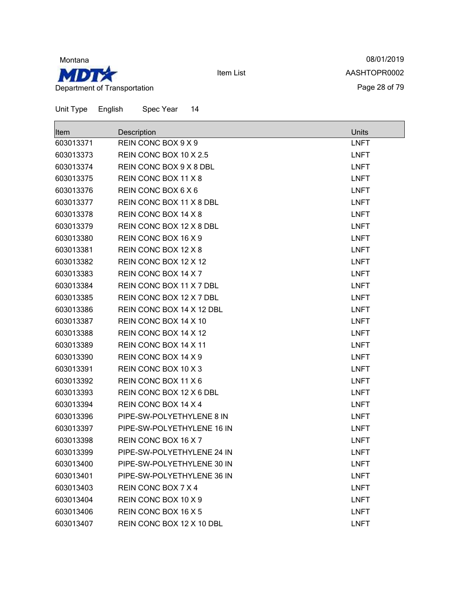

08/01/2019 AASHTOPR0002 Page 28 of 79

| Item      | Description                | <b>Units</b> |
|-----------|----------------------------|--------------|
| 603013371 | REIN CONC BOX 9 X 9        | <b>LNFT</b>  |
| 603013373 | REIN CONC BOX 10 X 2.5     | <b>LNFT</b>  |
| 603013374 | REIN CONC BOX 9 X 8 DBL    | <b>LNFT</b>  |
| 603013375 | REIN CONC BOX 11 X 8       | <b>LNFT</b>  |
| 603013376 | REIN CONC BOX 6 X 6        | <b>LNFT</b>  |
| 603013377 | REIN CONC BOX 11 X 8 DBL   | <b>LNFT</b>  |
| 603013378 | REIN CONC BOX 14 X 8       | <b>LNFT</b>  |
| 603013379 | REIN CONC BOX 12 X 8 DBL   | <b>LNFT</b>  |
| 603013380 | REIN CONC BOX 16 X 9       | <b>LNFT</b>  |
| 603013381 | REIN CONC BOX 12 X 8       | <b>LNFT</b>  |
| 603013382 | REIN CONC BOX 12 X 12      | <b>LNFT</b>  |
| 603013383 | REIN CONC BOX 14 X 7       | <b>LNFT</b>  |
| 603013384 | REIN CONC BOX 11 X 7 DBL   | <b>LNFT</b>  |
| 603013385 | REIN CONC BOX 12 X 7 DBL   | <b>LNFT</b>  |
| 603013386 | REIN CONC BOX 14 X 12 DBL  | <b>LNFT</b>  |
| 603013387 | REIN CONC BOX 14 X 10      | <b>LNFT</b>  |
| 603013388 | REIN CONC BOX 14 X 12      | <b>LNFT</b>  |
| 603013389 | REIN CONC BOX 14 X 11      | <b>LNFT</b>  |
| 603013390 | REIN CONC BOX 14 X 9       | <b>LNFT</b>  |
| 603013391 | REIN CONC BOX 10 X 3       | <b>LNFT</b>  |
| 603013392 | REIN CONC BOX 11 X 6       | <b>LNFT</b>  |
| 603013393 | REIN CONC BOX 12 X 6 DBL   | <b>LNFT</b>  |
| 603013394 | REIN CONC BOX 14 X 4       | <b>LNFT</b>  |
| 603013396 | PIPE-SW-POLYETHYLENE 8 IN  | <b>LNFT</b>  |
| 603013397 | PIPE-SW-POLYETHYLENE 16 IN | <b>LNFT</b>  |
| 603013398 | REIN CONC BOX 16 X 7       | <b>LNFT</b>  |
| 603013399 | PIPE-SW-POLYETHYLENE 24 IN | <b>LNFT</b>  |
| 603013400 | PIPE-SW-POLYETHYLENE 30 IN | <b>LNFT</b>  |
| 603013401 | PIPE-SW-POLYETHYLENE 36 IN | <b>LNFT</b>  |
| 603013403 | REIN CONC BOX 7 X 4        | <b>LNFT</b>  |
| 603013404 | REIN CONC BOX 10 X 9       | <b>LNFT</b>  |
| 603013406 | REIN CONC BOX 16 X 5       | <b>LNFT</b>  |
| 603013407 | REIN CONC BOX 12 X 10 DBL  | <b>LNFT</b>  |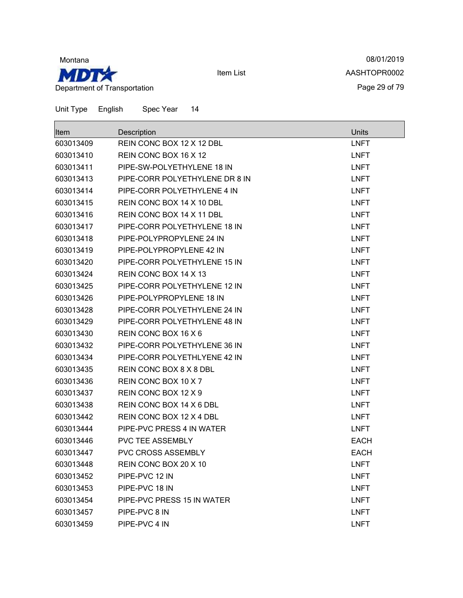

08/01/2019 AASHTOPR0002 Page 29 of 79

| Item      | Description                    | Units       |
|-----------|--------------------------------|-------------|
| 603013409 | REIN CONC BOX 12 X 12 DBL      | <b>LNFT</b> |
| 603013410 | REIN CONC BOX 16 X 12          | <b>LNFT</b> |
| 603013411 | PIPE-SW-POLYETHYLENE 18 IN     | <b>LNFT</b> |
| 603013413 | PIPE-CORR POLYETHYLENE DR 8 IN | <b>LNFT</b> |
| 603013414 | PIPE-CORR POLYETHYLENE 4 IN    | <b>LNFT</b> |
| 603013415 | REIN CONC BOX 14 X 10 DBL      | <b>LNFT</b> |
| 603013416 | REIN CONC BOX 14 X 11 DBL      | <b>LNFT</b> |
| 603013417 | PIPE-CORR POLYETHYLENE 18 IN   | <b>LNFT</b> |
| 603013418 | PIPE-POLYPROPYLENE 24 IN       | <b>LNFT</b> |
| 603013419 | PIPE-POLYPROPYLENE 42 IN       | <b>LNFT</b> |
| 603013420 | PIPE-CORR POLYETHYLENE 15 IN   | <b>LNFT</b> |
| 603013424 | REIN CONC BOX 14 X 13          | <b>LNFT</b> |
| 603013425 | PIPE-CORR POLYETHYLENE 12 IN   | <b>LNFT</b> |
| 603013426 | PIPE-POLYPROPYLENE 18 IN       | <b>LNFT</b> |
| 603013428 | PIPE-CORR POLYETHYLENE 24 IN   | <b>LNFT</b> |
| 603013429 | PIPE-CORR POLYETHYLENE 48 IN   | <b>LNFT</b> |
| 603013430 | REIN CONC BOX 16 X 6           | <b>LNFT</b> |
| 603013432 | PIPE-CORR POLYETHYLENE 36 IN   | <b>LNFT</b> |
| 603013434 | PIPE-CORR POLYETHLYENE 42 IN   | <b>LNFT</b> |
| 603013435 | REIN CONC BOX 8 X 8 DBL        | <b>LNFT</b> |
| 603013436 | REIN CONC BOX 10 X 7           | <b>LNFT</b> |
| 603013437 | REIN CONC BOX 12 X 9           | <b>LNFT</b> |
| 603013438 | REIN CONC BOX 14 X 6 DBL       | <b>LNFT</b> |
| 603013442 | REIN CONC BOX 12 X 4 DBL       | <b>LNFT</b> |
| 603013444 | PIPE-PVC PRESS 4 IN WATER      | <b>LNFT</b> |
| 603013446 | <b>PVC TEE ASSEMBLY</b>        | <b>EACH</b> |
| 603013447 | <b>PVC CROSS ASSEMBLY</b>      | <b>EACH</b> |
| 603013448 | REIN CONC BOX 20 X 10          | <b>LNFT</b> |
| 603013452 | PIPE-PVC 12 IN                 | <b>LNFT</b> |
| 603013453 | PIPE-PVC 18 IN                 | <b>LNFT</b> |
| 603013454 | PIPE-PVC PRESS 15 IN WATER     | <b>LNFT</b> |
| 603013457 | PIPE-PVC 8 IN                  | <b>LNFT</b> |
| 603013459 | PIPE-PVC 4 IN                  | <b>LNFT</b> |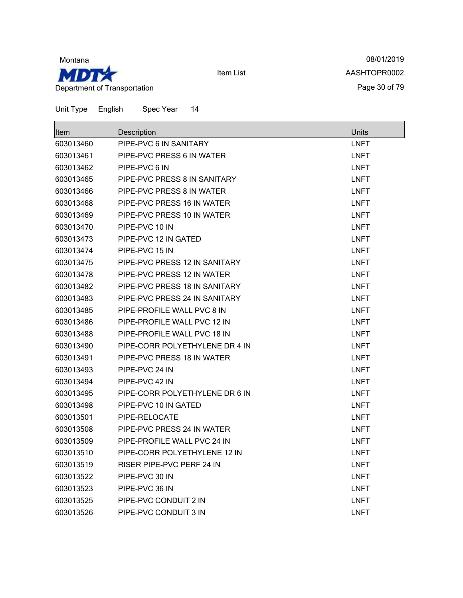

08/01/2019 AASHTOPR0002 Page 30 of 79

| Item      | Description                    | Units       |
|-----------|--------------------------------|-------------|
| 603013460 | PIPE-PVC 6 IN SANITARY         | <b>LNFT</b> |
| 603013461 | PIPE-PVC PRESS 6 IN WATER      | <b>LNFT</b> |
| 603013462 | PIPE-PVC 6 IN                  | <b>LNFT</b> |
| 603013465 | PIPE-PVC PRESS 8 IN SANITARY   | <b>LNFT</b> |
| 603013466 | PIPE-PVC PRESS 8 IN WATER      | LNFT        |
| 603013468 | PIPE-PVC PRESS 16 IN WATER     | <b>LNFT</b> |
| 603013469 | PIPE-PVC PRESS 10 IN WATER     | <b>LNFT</b> |
| 603013470 | PIPE-PVC 10 IN                 | <b>LNFT</b> |
| 603013473 | PIPE-PVC 12 IN GATED           | <b>LNFT</b> |
| 603013474 | PIPE-PVC 15 IN                 | <b>LNFT</b> |
| 603013475 | PIPE-PVC PRESS 12 IN SANITARY  | <b>LNFT</b> |
| 603013478 | PIPE-PVC PRESS 12 IN WATER     | <b>LNFT</b> |
| 603013482 | PIPE-PVC PRESS 18 IN SANITARY  | <b>LNFT</b> |
| 603013483 | PIPE-PVC PRESS 24 IN SANITARY  | <b>LNFT</b> |
| 603013485 | PIPE-PROFILE WALL PVC 8 IN     | <b>LNFT</b> |
| 603013486 | PIPE-PROFILE WALL PVC 12 IN    | <b>LNFT</b> |
| 603013488 | PIPE-PROFILE WALL PVC 18 IN    | <b>LNFT</b> |
| 603013490 | PIPE-CORR POLYETHYLENE DR 4 IN | <b>LNFT</b> |
| 603013491 | PIPE-PVC PRESS 18 IN WATER     | <b>LNFT</b> |
| 603013493 | PIPE-PVC 24 IN                 | <b>LNFT</b> |
| 603013494 | PIPE-PVC 42 IN                 | <b>LNFT</b> |
| 603013495 | PIPE-CORR POLYETHYLENE DR 6 IN | <b>LNFT</b> |
| 603013498 | PIPE-PVC 10 IN GATED           | <b>LNFT</b> |
| 603013501 | PIPE-RELOCATE                  | <b>LNFT</b> |
| 603013508 | PIPE-PVC PRESS 24 IN WATER     | <b>LNFT</b> |
| 603013509 | PIPE-PROFILE WALL PVC 24 IN    | <b>LNFT</b> |
| 603013510 | PIPE-CORR POLYETHYLENE 12 IN   | <b>LNFT</b> |
| 603013519 | RISER PIPE-PVC PERF 24 IN      | <b>LNFT</b> |
| 603013522 | PIPE-PVC 30 IN                 | <b>LNFT</b> |
| 603013523 | PIPE-PVC 36 IN                 | <b>LNFT</b> |
| 603013525 | PIPE-PVC CONDUIT 2 IN          | <b>LNFT</b> |
| 603013526 | PIPE-PVC CONDUIT 3 IN          | <b>LNFT</b> |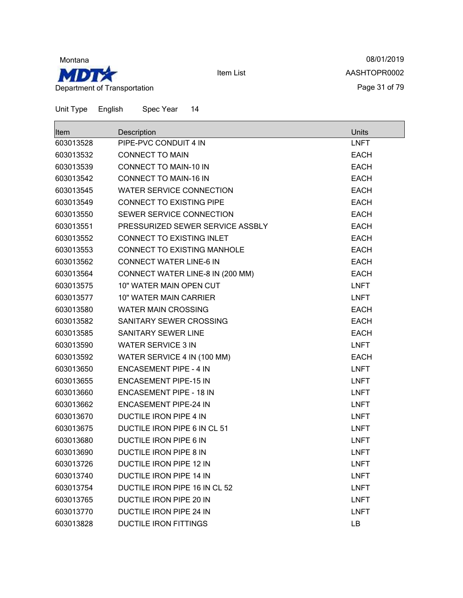

08/01/2019 AASHTOPR0002 Page 31 of 79

| <b>Item</b> | Description                      | <b>Units</b> |
|-------------|----------------------------------|--------------|
| 603013528   | PIPE-PVC CONDUIT 4 IN            | <b>LNFT</b>  |
| 603013532   | <b>CONNECT TO MAIN</b>           | <b>EACH</b>  |
| 603013539   | <b>CONNECT TO MAIN-10 IN</b>     | <b>EACH</b>  |
| 603013542   | <b>CONNECT TO MAIN-16 IN</b>     | <b>EACH</b>  |
| 603013545   | <b>WATER SERVICE CONNECTION</b>  | <b>EACH</b>  |
| 603013549   | <b>CONNECT TO EXISTING PIPE</b>  | <b>EACH</b>  |
| 603013550   | SEWER SERVICE CONNECTION         | <b>EACH</b>  |
| 603013551   | PRESSURIZED SEWER SERVICE ASSBLY | <b>EACH</b>  |
| 603013552   | CONNECT TO EXISTING INLET        | <b>EACH</b>  |
| 603013553   | CONNECT TO EXISTING MANHOLE      | <b>EACH</b>  |
| 603013562   | <b>CONNECT WATER LINE-6 IN</b>   | <b>EACH</b>  |
| 603013564   | CONNECT WATER LINE-8 IN (200 MM) | <b>EACH</b>  |
| 603013575   | 10" WATER MAIN OPEN CUT          | <b>LNFT</b>  |
| 603013577   | 10" WATER MAIN CARRIER           | <b>LNFT</b>  |
| 603013580   | <b>WATER MAIN CROSSING</b>       | <b>EACH</b>  |
| 603013582   | SANITARY SEWER CROSSING          | <b>EACH</b>  |
| 603013585   | SANITARY SEWER LINE              | <b>EACH</b>  |
| 603013590   | <b>WATER SERVICE 3 IN</b>        | <b>LNFT</b>  |
| 603013592   | WATER SERVICE 4 IN (100 MM)      | <b>EACH</b>  |
| 603013650   | <b>ENCASEMENT PIPE - 4 IN</b>    | <b>LNFT</b>  |
| 603013655   | <b>ENCASEMENT PIPE-15 IN</b>     | <b>LNFT</b>  |
| 603013660   | <b>ENCASEMENT PIPE - 18 IN</b>   | <b>LNFT</b>  |
| 603013662   | <b>ENCASEMENT PIPE-24 IN</b>     | <b>LNFT</b>  |
| 603013670   | DUCTILE IRON PIPE 4 IN           | <b>LNFT</b>  |
| 603013675   | DUCTILE IRON PIPE 6 IN CL 51     | <b>LNFT</b>  |
| 603013680   | DUCTILE IRON PIPE 6 IN           | <b>LNFT</b>  |
| 603013690   | DUCTILE IRON PIPE 8 IN           | <b>LNFT</b>  |
| 603013726   | DUCTILE IRON PIPE 12 IN          | <b>LNFT</b>  |
| 603013740   | <b>DUCTILE IRON PIPE 14 IN</b>   | <b>LNFT</b>  |
| 603013754   | DUCTILE IRON PIPE 16 IN CL 52    | <b>LNFT</b>  |
| 603013765   | DUCTILE IRON PIPE 20 IN          | <b>LNFT</b>  |
| 603013770   | DUCTILE IRON PIPE 24 IN          | <b>LNFT</b>  |
| 603013828   | <b>DUCTILE IRON FITTINGS</b>     | LB           |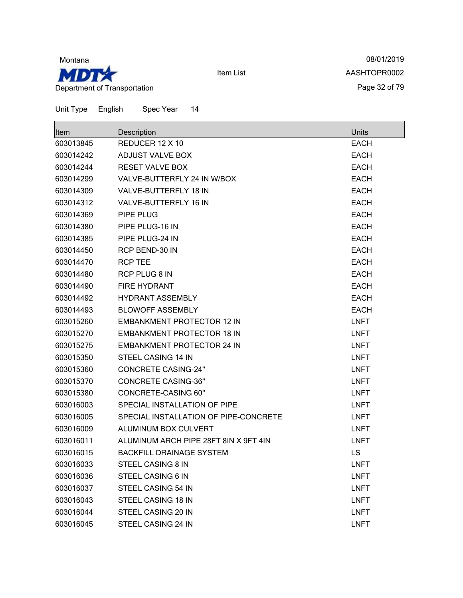

08/01/2019 AASHTOPR0002 Page 32 of 79

| <b>Item</b> | Description                           | <b>Units</b> |
|-------------|---------------------------------------|--------------|
| 603013845   | REDUCER 12 X 10                       | <b>EACH</b>  |
| 603014242   | ADJUST VALVE BOX                      | <b>EACH</b>  |
| 603014244   | <b>RESET VALVE BOX</b>                | <b>EACH</b>  |
| 603014299   | VALVE-BUTTERFLY 24 IN W/BOX           | <b>EACH</b>  |
| 603014309   | VALVE-BUTTERFLY 18 IN                 | <b>EACH</b>  |
| 603014312   | VALVE-BUTTERFLY 16 IN                 | <b>EACH</b>  |
| 603014369   | PIPE PLUG                             | <b>EACH</b>  |
| 603014380   | PIPE PLUG-16 IN                       | <b>EACH</b>  |
| 603014385   | PIPE PLUG-24 IN                       | <b>EACH</b>  |
| 603014450   | RCP BEND-30 IN                        | <b>EACH</b>  |
| 603014470   | <b>RCP TEE</b>                        | <b>EACH</b>  |
| 603014480   | RCP PLUG 8 IN                         | <b>EACH</b>  |
| 603014490   | <b>FIRE HYDRANT</b>                   | <b>EACH</b>  |
| 603014492   | <b>HYDRANT ASSEMBLY</b>               | <b>EACH</b>  |
| 603014493   | <b>BLOWOFF ASSEMBLY</b>               | <b>EACH</b>  |
| 603015260   | <b>EMBANKMENT PROTECTOR 12 IN</b>     | <b>LNFT</b>  |
| 603015270   | <b>EMBANKMENT PROTECTOR 18 IN</b>     | <b>LNFT</b>  |
| 603015275   | <b>EMBANKMENT PROTECTOR 24 IN</b>     | <b>LNFT</b>  |
| 603015350   | STEEL CASING 14 IN                    | <b>LNFT</b>  |
| 603015360   | <b>CONCRETE CASING-24"</b>            | <b>LNFT</b>  |
| 603015370   | <b>CONCRETE CASING-36"</b>            | <b>LNFT</b>  |
| 603015380   | <b>CONCRETE-CASING 60"</b>            | <b>LNFT</b>  |
| 603016003   | SPECIAL INSTALLATION OF PIPE          | <b>LNFT</b>  |
| 603016005   | SPECIAL INSTALLATION OF PIPE-CONCRETE | <b>LNFT</b>  |
| 603016009   | ALUMINUM BOX CULVERT                  | <b>LNFT</b>  |
| 603016011   | ALUMINUM ARCH PIPE 28FT 8IN X 9FT 4IN | <b>LNFT</b>  |
| 603016015   | <b>BACKFILL DRAINAGE SYSTEM</b>       | LS           |
| 603016033   | STEEL CASING 8 IN                     | <b>LNFT</b>  |
| 603016036   | STEEL CASING 6 IN                     | <b>LNFT</b>  |
| 603016037   | STEEL CASING 54 IN                    | <b>LNFT</b>  |
| 603016043   | STEEL CASING 18 IN                    | <b>LNFT</b>  |
| 603016044   | STEEL CASING 20 IN                    | <b>LNFT</b>  |
| 603016045   | STEEL CASING 24 IN                    | <b>LNFT</b>  |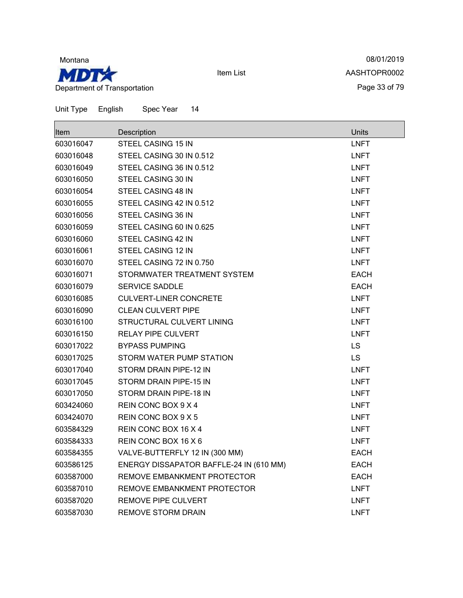

08/01/2019 AASHTOPR0002 Page 33 of 79

| <b>Item</b> | Description                             | <b>Units</b> |
|-------------|-----------------------------------------|--------------|
| 603016047   | STEEL CASING 15 IN                      | <b>LNFT</b>  |
| 603016048   | STEEL CASING 30 IN 0.512                | <b>LNFT</b>  |
| 603016049   | STEEL CASING 36 IN 0.512                | <b>LNFT</b>  |
| 603016050   | STEEL CASING 30 IN                      | <b>LNFT</b>  |
| 603016054   | STEEL CASING 48 IN                      | <b>LNFT</b>  |
| 603016055   | STEEL CASING 42 IN 0.512                | <b>LNFT</b>  |
| 603016056   | STEEL CASING 36 IN                      | <b>LNFT</b>  |
| 603016059   | STEEL CASING 60 IN 0.625                | <b>LNFT</b>  |
| 603016060   | STEEL CASING 42 IN                      | <b>LNFT</b>  |
| 603016061   | STEEL CASING 12 IN                      | <b>LNFT</b>  |
| 603016070   | STEEL CASING 72 IN 0.750                | <b>LNFT</b>  |
| 603016071   | STORMWATER TREATMENT SYSTEM             | <b>EACH</b>  |
| 603016079   | <b>SERVICE SADDLE</b>                   | <b>EACH</b>  |
| 603016085   | <b>CULVERT-LINER CONCRETE</b>           | <b>LNFT</b>  |
| 603016090   | <b>CLEAN CULVERT PIPE</b>               | <b>LNFT</b>  |
| 603016100   | STRUCTURAL CULVERT LINING               | <b>LNFT</b>  |
| 603016150   | <b>RELAY PIPE CULVERT</b>               | <b>LNFT</b>  |
| 603017022   | <b>BYPASS PUMPING</b>                   | <b>LS</b>    |
| 603017025   | STORM WATER PUMP STATION                | <b>LS</b>    |
| 603017040   | STORM DRAIN PIPE-12 IN                  | <b>LNFT</b>  |
| 603017045   | STORM DRAIN PIPE-15 IN                  | <b>LNFT</b>  |
| 603017050   | STORM DRAIN PIPE-18 IN                  | <b>LNFT</b>  |
| 603424060   | REIN CONC BOX 9 X 4                     | <b>LNFT</b>  |
| 603424070   | REIN CONC BOX 9 X 5                     | <b>LNFT</b>  |
| 603584329   | REIN CONC BOX 16 X 4                    | <b>LNFT</b>  |
| 603584333   | REIN CONC BOX 16 X 6                    | <b>LNFT</b>  |
| 603584355   | VALVE-BUTTERFLY 12 IN (300 MM)          | <b>EACH</b>  |
| 603586125   | ENERGY DISSAPATOR BAFFLE-24 IN (610 MM) | <b>EACH</b>  |
| 603587000   | REMOVE EMBANKMENT PROTECTOR             | <b>EACH</b>  |
| 603587010   | REMOVE EMBANKMENT PROTECTOR             | <b>LNFT</b>  |
| 603587020   | REMOVE PIPE CULVERT                     | <b>LNFT</b>  |
| 603587030   | <b>REMOVE STORM DRAIN</b>               | <b>LNFT</b>  |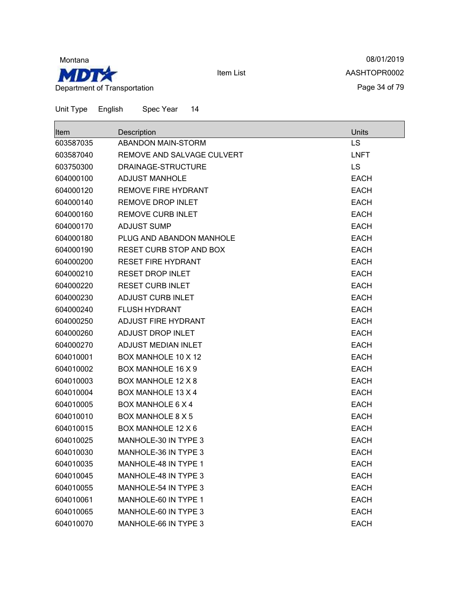

08/01/2019 AASHTOPR0002 Page 34 of 79

| ∣ltem     | Description                    | Units       |
|-----------|--------------------------------|-------------|
| 603587035 | <b>ABANDON MAIN-STORM</b>      | LS          |
| 603587040 | REMOVE AND SALVAGE CULVERT     | <b>LNFT</b> |
| 603750300 | DRAINAGE-STRUCTURE             | <b>LS</b>   |
| 604000100 | <b>ADJUST MANHOLE</b>          | <b>EACH</b> |
| 604000120 | <b>REMOVE FIRE HYDRANT</b>     | <b>EACH</b> |
| 604000140 | <b>REMOVE DROP INLET</b>       | <b>EACH</b> |
| 604000160 | <b>REMOVE CURB INLET</b>       | <b>EACH</b> |
| 604000170 | <b>ADJUST SUMP</b>             | <b>EACH</b> |
| 604000180 | PLUG AND ABANDON MANHOLE       | <b>EACH</b> |
| 604000190 | <b>RESET CURB STOP AND BOX</b> | <b>EACH</b> |
| 604000200 | <b>RESET FIRE HYDRANT</b>      | <b>EACH</b> |
| 604000210 | <b>RESET DROP INLET</b>        | <b>EACH</b> |
| 604000220 | <b>RESET CURB INLET</b>        | <b>EACH</b> |
| 604000230 | <b>ADJUST CURB INLET</b>       | <b>EACH</b> |
| 604000240 | <b>FLUSH HYDRANT</b>           | <b>EACH</b> |
| 604000250 | ADJUST FIRE HYDRANT            | <b>EACH</b> |
| 604000260 | <b>ADJUST DROP INLET</b>       | <b>EACH</b> |
| 604000270 | ADJUST MEDIAN INLET            | <b>EACH</b> |
| 604010001 | BOX MANHOLE 10 X 12            | <b>EACH</b> |
| 604010002 | <b>BOX MANHOLE 16 X 9</b>      | <b>EACH</b> |
| 604010003 | BOX MANHOLE 12 X 8             | <b>EACH</b> |
| 604010004 | <b>BOX MANHOLE 13 X 4</b>      | <b>EACH</b> |
| 604010005 | <b>BOX MANHOLE 6 X 4</b>       | <b>EACH</b> |
| 604010010 | <b>BOX MANHOLE 8 X 5</b>       | <b>EACH</b> |
| 604010015 | BOX MANHOLE 12 X 6             | <b>EACH</b> |
| 604010025 | MANHOLE-30 IN TYPE 3           | <b>EACH</b> |
| 604010030 | MANHOLE-36 IN TYPE 3           | <b>EACH</b> |
| 604010035 | <b>MANHOLE-48 IN TYPE 1</b>    | <b>EACH</b> |
| 604010045 | MANHOLE-48 IN TYPE 3           | <b>EACH</b> |
| 604010055 | MANHOLE-54 IN TYPE 3           | <b>EACH</b> |
| 604010061 | MANHOLE-60 IN TYPE 1           | <b>EACH</b> |
| 604010065 | MANHOLE-60 IN TYPE 3           | <b>EACH</b> |
| 604010070 | MANHOLE-66 IN TYPE 3           | <b>EACH</b> |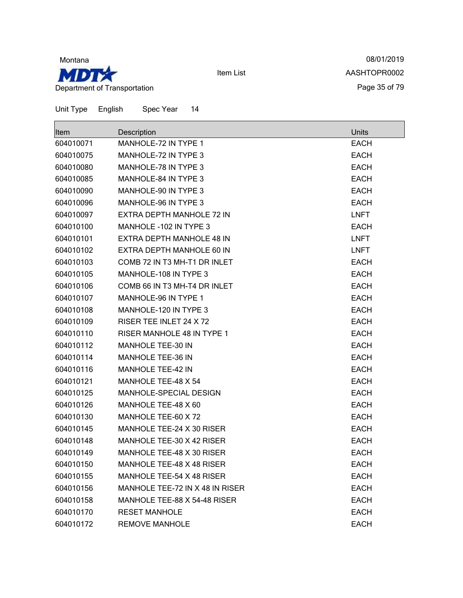

08/01/2019 AASHTOPR0002 Page 35 of 79

| ∣ltem     | Description                       | Units       |
|-----------|-----------------------------------|-------------|
| 604010071 | <b>MANHOLE-72 IN TYPE 1</b>       | <b>EACH</b> |
| 604010075 | <b>MANHOLE-72 IN TYPE 3</b>       | <b>EACH</b> |
| 604010080 | MANHOLE-78 IN TYPE 3              | <b>EACH</b> |
| 604010085 | <b>MANHOLE-84 IN TYPE 3</b>       | <b>EACH</b> |
| 604010090 | MANHOLE-90 IN TYPE 3              | <b>EACH</b> |
| 604010096 | MANHOLE-96 IN TYPE 3              | <b>EACH</b> |
| 604010097 | EXTRA DEPTH MANHOLE 72 IN         | <b>LNFT</b> |
| 604010100 | MANHOLE -102 IN TYPE 3            | <b>EACH</b> |
| 604010101 | EXTRA DEPTH MANHOLE 48 IN         | <b>LNFT</b> |
| 604010102 | EXTRA DEPTH MANHOLE 60 IN         | <b>LNFT</b> |
| 604010103 | COMB 72 IN T3 MH-T1 DR INLET      | <b>EACH</b> |
| 604010105 | MANHOLE-108 IN TYPE 3             | <b>EACH</b> |
| 604010106 | COMB 66 IN T3 MH-T4 DR INLET      | <b>EACH</b> |
| 604010107 | MANHOLE-96 IN TYPE 1              | <b>EACH</b> |
| 604010108 | MANHOLE-120 IN TYPE 3             | <b>EACH</b> |
| 604010109 | RISER TEE INLET 24 X 72           | <b>EACH</b> |
| 604010110 | <b>RISER MANHOLE 48 IN TYPE 1</b> | <b>EACH</b> |
| 604010112 | <b>MANHOLE TEE-30 IN</b>          | <b>EACH</b> |
| 604010114 | <b>MANHOLE TEE-36 IN</b>          | <b>EACH</b> |
| 604010116 | <b>MANHOLE TEE-42 IN</b>          | <b>EACH</b> |
| 604010121 | MANHOLE TEE-48 X 54               | <b>EACH</b> |
| 604010125 | MANHOLE-SPECIAL DESIGN            | <b>EACH</b> |
| 604010126 | MANHOLE TEE-48 X 60               | <b>EACH</b> |
| 604010130 | MANHOLE TEE-60 X 72               | <b>EACH</b> |
| 604010145 | MANHOLE TEE-24 X 30 RISER         | <b>EACH</b> |
| 604010148 | MANHOLE TEE-30 X 42 RISER         | <b>EACH</b> |
| 604010149 | MANHOLE TEE-48 X 30 RISER         | <b>EACH</b> |
| 604010150 | MANHOLE TEE-48 X 48 RISER         | EACH        |
| 604010155 | MANHOLE TEE-54 X 48 RISER         | <b>EACH</b> |
| 604010156 | MANHOLE TEE-72 IN X 48 IN RISER   | <b>EACH</b> |
| 604010158 | MANHOLE TEE-88 X 54-48 RISER      | <b>EACH</b> |
| 604010170 | <b>RESET MANHOLE</b>              | <b>EACH</b> |
| 604010172 | <b>REMOVE MANHOLE</b>             | <b>EACH</b> |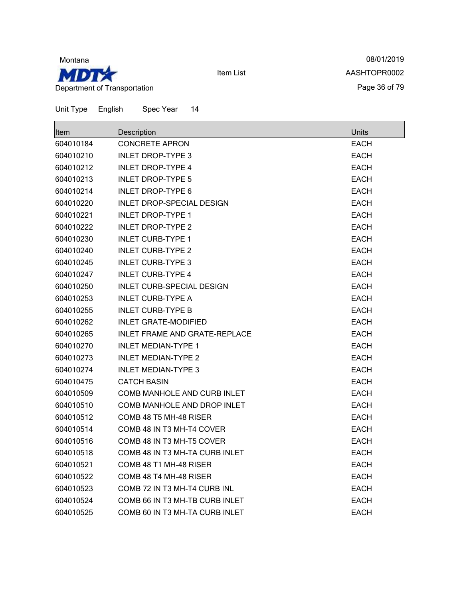

08/01/2019 AASHTOPR0002 Page 36 of 79

| Item      | Description                        | Units       |
|-----------|------------------------------------|-------------|
| 604010184 | <b>CONCRETE APRON</b>              | <b>EACH</b> |
| 604010210 | <b>INLET DROP-TYPE 3</b>           | <b>EACH</b> |
| 604010212 | <b>INLET DROP-TYPE 4</b>           | <b>EACH</b> |
| 604010213 | INLET DROP-TYPE 5                  | <b>EACH</b> |
| 604010214 | <b>INLET DROP-TYPE 6</b>           | <b>EACH</b> |
| 604010220 | INLET DROP-SPECIAL DESIGN          | <b>EACH</b> |
| 604010221 | <b>INLET DROP-TYPE 1</b>           | <b>EACH</b> |
| 604010222 | INLET DROP-TYPE 2                  | <b>EACH</b> |
| 604010230 | <b>INLET CURB-TYPE 1</b>           | <b>EACH</b> |
| 604010240 | <b>INLET CURB-TYPE 2</b>           | <b>EACH</b> |
| 604010245 | <b>INLET CURB-TYPE 3</b>           | <b>EACH</b> |
| 604010247 | <b>INLET CURB-TYPE 4</b>           | <b>EACH</b> |
| 604010250 | <b>INLET CURB-SPECIAL DESIGN</b>   | <b>EACH</b> |
| 604010253 | <b>INLET CURB-TYPE A</b>           | <b>EACH</b> |
| 604010255 | <b>INLET CURB-TYPE B</b>           | <b>EACH</b> |
| 604010262 | <b>INLET GRATE-MODIFIED</b>        | <b>EACH</b> |
| 604010265 | INLET FRAME AND GRATE-REPLACE      | <b>EACH</b> |
| 604010270 | <b>INLET MEDIAN-TYPE 1</b>         | <b>EACH</b> |
| 604010273 | <b>INLET MEDIAN-TYPE 2</b>         | <b>EACH</b> |
| 604010274 | <b>INLET MEDIAN-TYPE 3</b>         | <b>EACH</b> |
| 604010475 | <b>CATCH BASIN</b>                 | <b>EACH</b> |
| 604010509 | <b>COMB MANHOLE AND CURB INLET</b> | EACH        |
| 604010510 | COMB MANHOLE AND DROP INLET        | <b>EACH</b> |
| 604010512 | COMB 48 T5 MH-48 RISER             | <b>EACH</b> |
| 604010514 | COMB 48 IN T3 MH-T4 COVER          | <b>EACH</b> |
| 604010516 | COMB 48 IN T3 MH-T5 COVER          | <b>EACH</b> |
| 604010518 | COMB 48 IN T3 MH-TA CURB INLET     | <b>EACH</b> |
| 604010521 | COMB 48 T1 MH-48 RISER             | <b>EACH</b> |
| 604010522 | COMB 48 T4 MH-48 RISER             | <b>EACH</b> |
| 604010523 | COMB 72 IN T3 MH-T4 CURB INL       | <b>EACH</b> |
| 604010524 | COMB 66 IN T3 MH-TB CURB INLET     | <b>EACH</b> |
| 604010525 | COMB 60 IN T3 MH-TA CURB INLET     | <b>EACH</b> |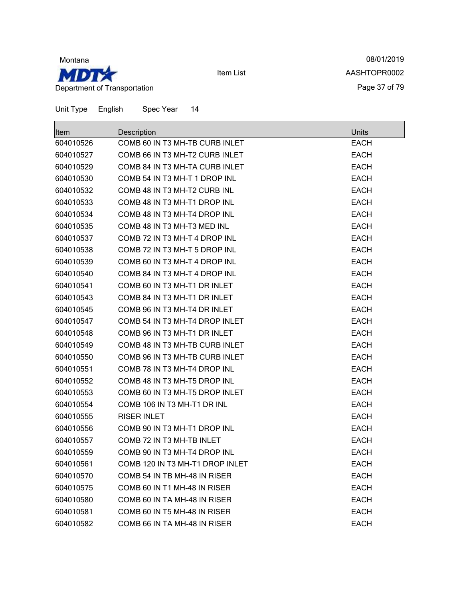

08/01/2019 AASHTOPR0002 Page 37 of 79

| Item      | Description                     | Units       |
|-----------|---------------------------------|-------------|
| 604010526 | COMB 60 IN T3 MH-TB CURB INLET  | <b>EACH</b> |
| 604010527 | COMB 66 IN T3 MH-T2 CURB INLET  | <b>EACH</b> |
| 604010529 | COMB 84 IN T3 MH-TA CURB INLET  | <b>EACH</b> |
| 604010530 | COMB 54 IN T3 MH-T 1 DROP INL   | <b>EACH</b> |
| 604010532 | COMB 48 IN T3 MH-T2 CURB INL    | <b>EACH</b> |
| 604010533 | COMB 48 IN T3 MH-T1 DROP INL    | <b>EACH</b> |
| 604010534 | COMB 48 IN T3 MH-T4 DROP INL    | <b>EACH</b> |
| 604010535 | COMB 48 IN T3 MH-T3 MED INL     | <b>EACH</b> |
| 604010537 | COMB 72 IN T3 MH-T 4 DROP INL   | <b>EACH</b> |
| 604010538 | COMB 72 IN T3 MH-T 5 DROP INL   | <b>EACH</b> |
| 604010539 | COMB 60 IN T3 MH-T 4 DROP INL   | <b>EACH</b> |
| 604010540 | COMB 84 IN T3 MH-T 4 DROP INL   | <b>EACH</b> |
| 604010541 | COMB 60 IN T3 MH-T1 DR INLET    | <b>EACH</b> |
| 604010543 | COMB 84 IN T3 MH-T1 DR INLET    | <b>EACH</b> |
| 604010545 | COMB 96 IN T3 MH-T4 DR INLET    | <b>EACH</b> |
| 604010547 | COMB 54 IN T3 MH-T4 DROP INLET  | <b>EACH</b> |
| 604010548 | COMB 96 IN T3 MH-T1 DR INLET    | <b>EACH</b> |
| 604010549 | COMB 48 IN T3 MH-TB CURB INLET  | <b>EACH</b> |
| 604010550 | COMB 96 IN T3 MH-TB CURB INLET  | <b>EACH</b> |
| 604010551 | COMB 78 IN T3 MH-T4 DROP INL    | <b>EACH</b> |
| 604010552 | COMB 48 IN T3 MH-T5 DROP INL    | <b>EACH</b> |
| 604010553 | COMB 60 IN T3 MH-T5 DROP INLET  | <b>EACH</b> |
| 604010554 | COMB 106 IN T3 MH-T1 DR INL     | <b>EACH</b> |
| 604010555 | <b>RISER INLET</b>              | <b>EACH</b> |
| 604010556 | COMB 90 IN T3 MH-T1 DROP INL    | <b>EACH</b> |
| 604010557 | COMB 72 IN T3 MH-TB INLET       | <b>EACH</b> |
| 604010559 | COMB 90 IN T3 MH-T4 DROP INL    | <b>EACH</b> |
| 604010561 | COMB 120 IN T3 MH-T1 DROP INLET | <b>EACH</b> |
| 604010570 | COMB 54 IN TB MH-48 IN RISER    | <b>EACH</b> |
| 604010575 | COMB 60 IN T1 MH-48 IN RISER    | <b>EACH</b> |
| 604010580 | COMB 60 IN TA MH-48 IN RISER    | <b>EACH</b> |
| 604010581 | COMB 60 IN T5 MH-48 IN RISER    | <b>EACH</b> |
| 604010582 | COMB 66 IN TA MH-48 IN RISER    | <b>EACH</b> |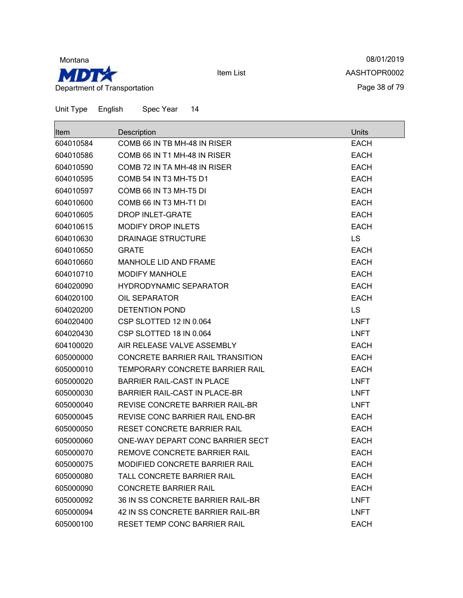

08/01/2019 AASHTOPR0002 Page 38 of 79

| ⊪tem      | Description                             | Units       |
|-----------|-----------------------------------------|-------------|
| 604010584 | COMB 66 IN TB MH-48 IN RISER            | <b>EACH</b> |
| 604010586 | COMB 66 IN T1 MH-48 IN RISER            | <b>EACH</b> |
| 604010590 | COMB 72 IN TA MH-48 IN RISER            | <b>EACH</b> |
| 604010595 | COMB 54 IN T3 MH-T5 D1                  | <b>EACH</b> |
| 604010597 | COMB 66 IN T3 MH-T5 DI                  | <b>EACH</b> |
| 604010600 | COMB 66 IN T3 MH-T1 DI                  | <b>EACH</b> |
| 604010605 | <b>DROP INLET-GRATE</b>                 | <b>EACH</b> |
| 604010615 | <b>MODIFY DROP INLETS</b>               | <b>EACH</b> |
| 604010630 | <b>DRAINAGE STRUCTURE</b>               | <b>LS</b>   |
| 604010650 | <b>GRATE</b>                            | <b>EACH</b> |
| 604010660 | MANHOLE LID AND FRAME                   | <b>EACH</b> |
| 604010710 | <b>MODIFY MANHOLE</b>                   | <b>EACH</b> |
| 604020090 | <b>HYDRODYNAMIC SEPARATOR</b>           | <b>EACH</b> |
| 604020100 | <b>OIL SEPARATOR</b>                    | <b>EACH</b> |
| 604020200 | <b>DETENTION POND</b>                   | <b>LS</b>   |
| 604020400 | CSP SLOTTED 12 IN 0.064                 | <b>LNFT</b> |
| 604020430 | CSP SLOTTED 18 IN 0.064                 | <b>LNFT</b> |
| 604100020 | AIR RELEASE VALVE ASSEMBLY              | <b>EACH</b> |
| 605000000 | <b>CONCRETE BARRIER RAIL TRANSITION</b> | <b>EACH</b> |
| 605000010 | TEMPORARY CONCRETE BARRIER RAIL         | <b>EACH</b> |
| 605000020 | <b>BARRIER RAIL-CAST IN PLACE</b>       | <b>LNFT</b> |
| 605000030 | <b>BARRIER RAIL-CAST IN PLACE-BR</b>    | <b>LNFT</b> |
| 605000040 | REVISE CONCRETE BARRIER RAIL-BR         | <b>LNFT</b> |
| 605000045 | REVISE CONC BARRIER RAIL END-BR         | <b>EACH</b> |
| 605000050 | RESET CONCRETE BARRIER RAIL             | <b>EACH</b> |
| 605000060 | ONE-WAY DEPART CONC BARRIER SECT        | <b>EACH</b> |
| 605000070 | REMOVE CONCRETE BARRIER RAIL            | <b>EACH</b> |
| 605000075 | <b>MODIFIED CONCRETE BARRIER RAIL</b>   | <b>EACH</b> |
| 605000080 | TALL CONCRETE BARRIER RAIL              | <b>EACH</b> |
| 605000090 | <b>CONCRETE BARRIER RAIL</b>            | <b>EACH</b> |
| 605000092 | 36 IN SS CONCRETE BARRIER RAIL-BR       | <b>LNFT</b> |
| 605000094 | 42 IN SS CONCRETE BARRIER RAIL-BR       | <b>LNFT</b> |
| 605000100 | RESET TEMP CONC BARRIER RAIL            | <b>EACH</b> |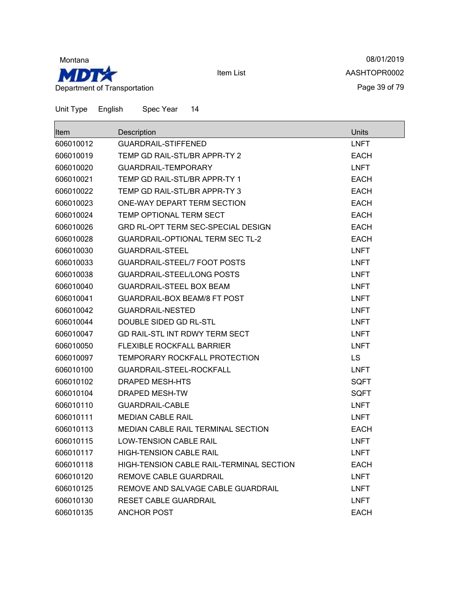

08/01/2019 AASHTOPR0002 Page 39 of 79

| Item      | Description                               | <b>Units</b> |
|-----------|-------------------------------------------|--------------|
| 606010012 | <b>GUARDRAIL-STIFFENED</b>                | <b>LNFT</b>  |
| 606010019 | TEMP GD RAIL-STL/BR APPR-TY 2             | <b>EACH</b>  |
| 606010020 | <b>GUARDRAIL-TEMPORARY</b>                | <b>LNFT</b>  |
| 606010021 | TEMP GD RAIL-STL/BR APPR-TY 1             | <b>EACH</b>  |
| 606010022 | TEMP GD RAIL-STL/BR APPR-TY 3             | <b>EACH</b>  |
| 606010023 | ONE-WAY DEPART TERM SECTION               | <b>EACH</b>  |
| 606010024 | <b>TEMP OPTIONAL TERM SECT</b>            | <b>EACH</b>  |
| 606010026 | <b>GRD RL-OPT TERM SEC-SPECIAL DESIGN</b> | <b>EACH</b>  |
| 606010028 | <b>GUARDRAIL-OPTIONAL TERM SEC TL-2</b>   | <b>EACH</b>  |
| 606010030 | <b>GUARDRAIL-STEEL</b>                    | <b>LNFT</b>  |
| 606010033 | <b>GUARDRAIL-STEEL/7 FOOT POSTS</b>       | <b>LNFT</b>  |
| 606010038 | <b>GUARDRAIL-STEEL/LONG POSTS</b>         | <b>LNFT</b>  |
| 606010040 | <b>GUARDRAIL-STEEL BOX BEAM</b>           | LNFT         |
| 606010041 | GUARDRAIL-BOX BEAM/8 FT POST              | <b>LNFT</b>  |
| 606010042 | <b>GUARDRAIL-NESTED</b>                   | <b>LNFT</b>  |
| 606010044 | DOUBLE SIDED GD RL-STL                    | <b>LNFT</b>  |
| 606010047 | GD RAIL-STL INT RDWY TERM SECT            | LNFT         |
| 606010050 | <b>FLEXIBLE ROCKFALL BARRIER</b>          | <b>LNFT</b>  |
| 606010097 | <b>TEMPORARY ROCKFALL PROTECTION</b>      | <b>LS</b>    |
| 606010100 | GUARDRAIL-STEEL-ROCKFALL                  | <b>LNFT</b>  |
| 606010102 | DRAPED MESH-HTS                           | SQFT         |
| 606010104 | <b>DRAPED MESH-TW</b>                     | SQFT         |
| 606010110 | <b>GUARDRAIL-CABLE</b>                    | <b>LNFT</b>  |
| 606010111 | <b>MEDIAN CABLE RAIL</b>                  | <b>LNFT</b>  |
| 606010113 | <b>MEDIAN CABLE RAIL TERMINAL SECTION</b> | <b>EACH</b>  |
| 606010115 | <b>LOW-TENSION CABLE RAIL</b>             | <b>LNFT</b>  |
| 606010117 | <b>HIGH-TENSION CABLE RAIL</b>            | <b>LNFT</b>  |
| 606010118 | HIGH-TENSION CABLE RAIL-TERMINAL SECTION  | <b>EACH</b>  |
| 606010120 | REMOVE CABLE GUARDRAIL                    | <b>LNFT</b>  |
| 606010125 | REMOVE AND SALVAGE CABLE GUARDRAIL        | <b>LNFT</b>  |
| 606010130 | <b>RESET CABLE GUARDRAIL</b>              | <b>LNFT</b>  |
| 606010135 | <b>ANCHOR POST</b>                        | <b>EACH</b>  |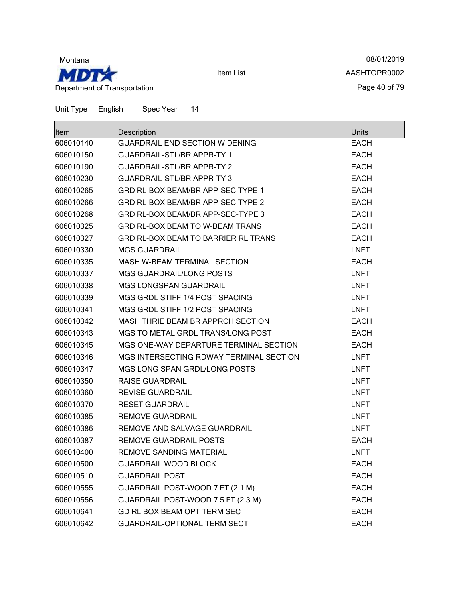

08/01/2019 AASHTOPR0002 Page 40 of 79

| ∣ltem     | Description                             | Units       |
|-----------|-----------------------------------------|-------------|
| 606010140 | <b>GUARDRAIL END SECTION WIDENING</b>   | <b>EACH</b> |
| 606010150 | <b>GUARDRAIL-STL/BR APPR-TY 1</b>       | <b>EACH</b> |
| 606010190 | <b>GUARDRAIL-STL/BR APPR-TY 2</b>       | <b>EACH</b> |
| 606010230 | <b>GUARDRAIL-STL/BR APPR-TY 3</b>       | <b>EACH</b> |
| 606010265 | GRD RL-BOX BEAM/BR APP-SEC TYPE 1       | <b>EACH</b> |
| 606010266 | GRD RL-BOX BEAM/BR APP-SEC TYPE 2       | <b>EACH</b> |
| 606010268 | GRD RL-BOX BEAM/BR APP-SEC-TYPE 3       | <b>EACH</b> |
| 606010325 | GRD RL-BOX BEAM TO W-BEAM TRANS         | <b>EACH</b> |
| 606010327 | GRD RL-BOX BEAM TO BARRIER RL TRANS     | <b>EACH</b> |
| 606010330 | <b>MGS GUARDRAIL</b>                    | <b>LNFT</b> |
| 606010335 | <b>MASH W-BEAM TERMINAL SECTION</b>     | <b>EACH</b> |
| 606010337 | <b>MGS GUARDRAIL/LONG POSTS</b>         | <b>LNFT</b> |
| 606010338 | <b>MGS LONGSPAN GUARDRAIL</b>           | <b>LNFT</b> |
| 606010339 | MGS GRDL STIFF 1/4 POST SPACING         | <b>LNFT</b> |
| 606010341 | MGS GRDL STIFF 1/2 POST SPACING         | <b>LNFT</b> |
| 606010342 | MASH THRIE BEAM BR APPRCH SECTION       | <b>EACH</b> |
| 606010343 | MGS TO METAL GRDL TRANS/LONG POST       | <b>EACH</b> |
| 606010345 | MGS ONE-WAY DEPARTURE TERMINAL SECTION  | <b>EACH</b> |
| 606010346 | MGS INTERSECTING RDWAY TERMINAL SECTION | <b>LNFT</b> |
| 606010347 | MGS LONG SPAN GRDL/LONG POSTS           | <b>LNFT</b> |
| 606010350 | <b>RAISE GUARDRAIL</b>                  | <b>LNFT</b> |
| 606010360 | <b>REVISE GUARDRAIL</b>                 | <b>LNFT</b> |
| 606010370 | <b>RESET GUARDRAIL</b>                  | <b>LNFT</b> |
| 606010385 | <b>REMOVE GUARDRAIL</b>                 | <b>LNFT</b> |
| 606010386 | REMOVE AND SALVAGE GUARDRAIL            | <b>LNFT</b> |
| 606010387 | <b>REMOVE GUARDRAIL POSTS</b>           | <b>EACH</b> |
| 606010400 | REMOVE SANDING MATERIAL                 | <b>LNFT</b> |
| 606010500 | <b>GUARDRAIL WOOD BLOCK</b>             | <b>EACH</b> |
| 606010510 | <b>GUARDRAIL POST</b>                   | <b>EACH</b> |
| 606010555 | GUARDRAIL POST-WOOD 7 FT (2.1 M)        | <b>EACH</b> |
| 606010556 | GUARDRAIL POST-WOOD 7.5 FT (2.3 M)      | <b>EACH</b> |
| 606010641 | GD RL BOX BEAM OPT TERM SEC             | <b>EACH</b> |
| 606010642 | <b>GUARDRAIL-OPTIONAL TERM SECT</b>     | <b>EACH</b> |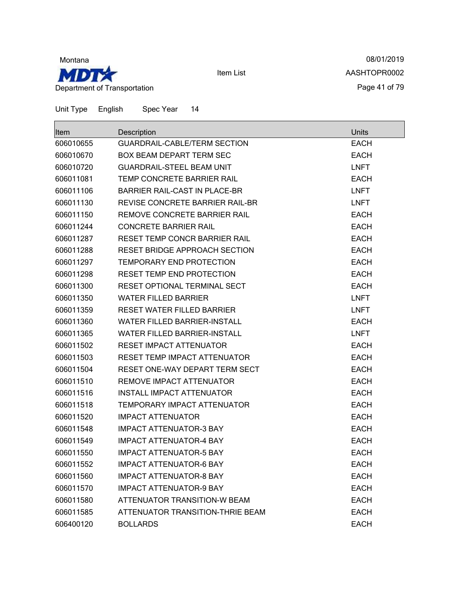

08/01/2019 AASHTOPR0002 Page 41 of 79

| <b>Item</b> | Description                          | <b>Units</b> |
|-------------|--------------------------------------|--------------|
| 606010655   | <b>GUARDRAIL-CABLE/TERM SECTION</b>  | <b>EACH</b>  |
| 606010670   | <b>BOX BEAM DEPART TERM SEC</b>      | <b>EACH</b>  |
| 606010720   | <b>GUARDRAIL-STEEL BEAM UNIT</b>     | <b>LNFT</b>  |
| 606011081   | TEMP CONCRETE BARRIER RAIL           | <b>EACH</b>  |
| 606011106   | BARRIER RAIL-CAST IN PLACE-BR        | <b>LNFT</b>  |
| 606011130   | REVISE CONCRETE BARRIER RAIL-BR      | <b>LNFT</b>  |
| 606011150   | REMOVE CONCRETE BARRIER RAIL         | <b>EACH</b>  |
| 606011244   | <b>CONCRETE BARRIER RAIL</b>         | <b>EACH</b>  |
| 606011287   | <b>RESET TEMP CONCR BARRIER RAIL</b> | <b>EACH</b>  |
| 606011288   | RESET BRIDGE APPROACH SECTION        | <b>EACH</b>  |
| 606011297   | <b>TEMPORARY END PROTECTION</b>      | <b>EACH</b>  |
| 606011298   | <b>RESET TEMP END PROTECTION</b>     | <b>EACH</b>  |
| 606011300   | <b>RESET OPTIONAL TERMINAL SECT</b>  | <b>EACH</b>  |
| 606011350   | <b>WATER FILLED BARRIER</b>          | <b>LNFT</b>  |
| 606011359   | <b>RESET WATER FILLED BARRIER</b>    | <b>LNFT</b>  |
| 606011360   | <b>WATER FILLED BARRIER-INSTALL</b>  | <b>EACH</b>  |
| 606011365   | <b>WATER FILLED BARRIER-INSTALL</b>  | <b>LNFT</b>  |
| 606011502   | <b>RESET IMPACT ATTENUATOR</b>       | <b>EACH</b>  |
| 606011503   | <b>RESET TEMP IMPACT ATTENUATOR</b>  | <b>EACH</b>  |
| 606011504   | RESET ONE-WAY DEPART TERM SECT       | <b>EACH</b>  |
| 606011510   | REMOVE IMPACT ATTENUATOR             | <b>EACH</b>  |
| 606011516   | <b>INSTALL IMPACT ATTENUATOR</b>     | <b>EACH</b>  |
| 606011518   | <b>TEMPORARY IMPACT ATTENUATOR</b>   | <b>EACH</b>  |
| 606011520   | <b>IMPACT ATTENUATOR</b>             | <b>EACH</b>  |
| 606011548   | <b>IMPACT ATTENUATOR-3 BAY</b>       | <b>EACH</b>  |
| 606011549   | <b>IMPACT ATTENUATOR-4 BAY</b>       | <b>EACH</b>  |
| 606011550   | <b>IMPACT ATTENUATOR-5 BAY</b>       | <b>EACH</b>  |
| 606011552   | <b>IMPACT ATTENUATOR-6 BAY</b>       | <b>EACH</b>  |
| 606011560   | <b>IMPACT ATTENUATOR-8 BAY</b>       | <b>EACH</b>  |
| 606011570   | <b>IMPACT ATTENUATOR-9 BAY</b>       | <b>EACH</b>  |
| 606011580   | ATTENUATOR TRANSITION-W BEAM         | <b>EACH</b>  |
| 606011585   | ATTENUATOR TRANSITION-THRIE BEAM     | <b>EACH</b>  |
| 606400120   | <b>BOLLARDS</b>                      | <b>EACH</b>  |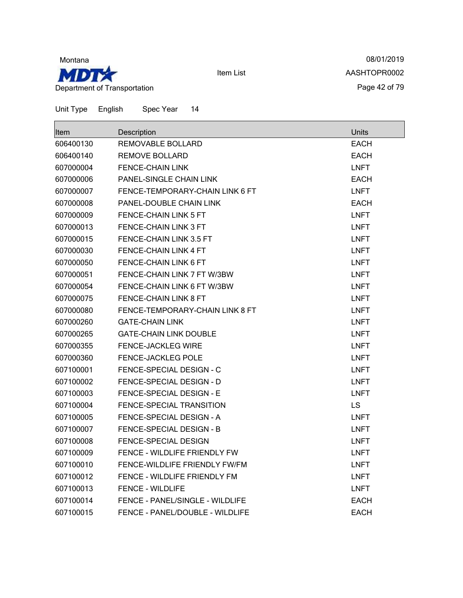

08/01/2019 AASHTOPR0002 Page 42 of 79

| <b>Item</b> | Description                            | <b>Units</b> |
|-------------|----------------------------------------|--------------|
| 606400130   | <b>REMOVABLE BOLLARD</b>               | <b>EACH</b>  |
| 606400140   | REMOVE BOLLARD                         | <b>EACH</b>  |
| 607000004   | <b>FENCE-CHAIN LINK</b>                | <b>LNFT</b>  |
| 607000006   | PANEL-SINGLE CHAIN LINK                | <b>EACH</b>  |
| 607000007   | FENCE-TEMPORARY-CHAIN LINK 6 FT        | LNFT         |
| 607000008   | PANEL-DOUBLE CHAIN LINK                | <b>EACH</b>  |
| 607000009   | <b>FENCE-CHAIN LINK 5 FT</b>           | <b>LNFT</b>  |
| 607000013   | FENCE-CHAIN LINK 3 FT                  | <b>LNFT</b>  |
| 607000015   | FENCE-CHAIN LINK 3.5 FT                | <b>LNFT</b>  |
| 607000030   | FENCE-CHAIN LINK 4 FT                  | <b>LNFT</b>  |
| 607000050   | FENCE-CHAIN LINK 6 FT                  | <b>LNFT</b>  |
| 607000051   | FENCE-CHAIN LINK 7 FT W/3BW            | <b>LNFT</b>  |
| 607000054   | FENCE-CHAIN LINK 6 FT W/3BW            | <b>LNFT</b>  |
| 607000075   | FENCE-CHAIN LINK 8 FT                  | <b>LNFT</b>  |
| 607000080   | FENCE-TEMPORARY-CHAIN LINK 8 FT        | <b>LNFT</b>  |
| 607000260   | <b>GATE-CHAIN LINK</b>                 | <b>LNFT</b>  |
| 607000265   | <b>GATE-CHAIN LINK DOUBLE</b>          | <b>LNFT</b>  |
| 607000355   | FENCE-JACKLEG WIRE                     | <b>LNFT</b>  |
| 607000360   | <b>FENCE-JACKLEG POLE</b>              | <b>LNFT</b>  |
| 607100001   | FENCE-SPECIAL DESIGN - C               | LNFT         |
| 607100002   | FENCE-SPECIAL DESIGN - D               | <b>LNFT</b>  |
| 607100003   | FENCE-SPECIAL DESIGN - E               | <b>LNFT</b>  |
| 607100004   | FENCE-SPECIAL TRANSITION               | <b>LS</b>    |
| 607100005   | FENCE-SPECIAL DESIGN - A               | <b>LNFT</b>  |
| 607100007   | FENCE-SPECIAL DESIGN - B               | <b>LNFT</b>  |
| 607100008   | <b>FENCE-SPECIAL DESIGN</b>            | <b>LNFT</b>  |
| 607100009   | FENCE - WILDLIFE FRIENDLY FW           | <b>LNFT</b>  |
| 607100010   | FENCE-WILDLIFE FRIENDLY FW/FM          | <b>LNFT</b>  |
| 607100012   | FENCE - WILDLIFE FRIENDLY FM           | <b>LNFT</b>  |
| 607100013   | <b>FENCE - WILDLIFE</b>                | <b>LNFT</b>  |
| 607100014   | <b>FENCE - PANEL/SINGLE - WILDLIFE</b> | <b>EACH</b>  |
| 607100015   | FENCE - PANEL/DOUBLE - WILDLIFE        | <b>EACH</b>  |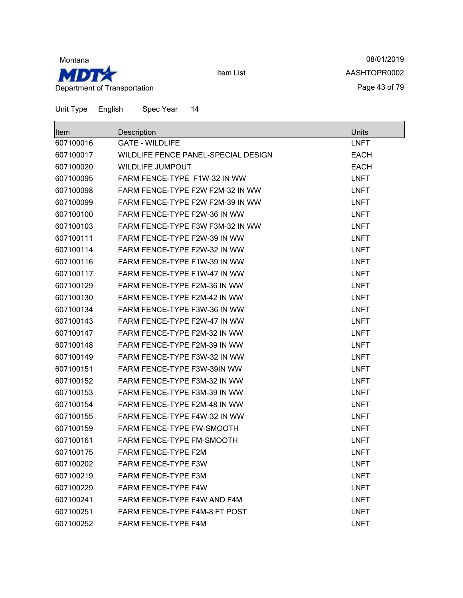

08/01/2019 AASHTOPR0002 Page 43 of 79

| <b>Item</b> | Description                         | Units       |
|-------------|-------------------------------------|-------------|
| 607100016   | <b>GATE - WILDLIFE</b>              | <b>LNFT</b> |
| 607100017   | WILDLIFE FENCE PANEL-SPECIAL DESIGN | <b>EACH</b> |
| 607100020   | <b>WILDLIFE JUMPOUT</b>             | <b>EACH</b> |
| 607100095   | FARM FENCE-TYPE F1W-32 IN WW        | <b>LNFT</b> |
| 607100098   | FARM FENCE-TYPE F2W F2M-32 IN WW    | <b>LNFT</b> |
| 607100099   | FARM FENCE-TYPE F2W F2M-39 IN WW    | <b>LNFT</b> |
| 607100100   | FARM FENCE-TYPE F2W-36 IN WW        | <b>LNFT</b> |
| 607100103   | FARM FENCE-TYPE F3W F3M-32 IN WW    | <b>LNFT</b> |
| 607100111   | FARM FENCE-TYPE F2W-39 IN WW        | <b>LNFT</b> |
| 607100114   | FARM FENCE-TYPE F2W-32 IN WW        | <b>LNFT</b> |
| 607100116   | FARM FENCE-TYPE F1W-39 IN WW        | <b>LNFT</b> |
| 607100117   | FARM FENCE-TYPE F1W-47 IN WW        | <b>LNFT</b> |
| 607100129   | FARM FENCE-TYPE F2M-36 IN WW        | <b>LNFT</b> |
| 607100130   | FARM FENCE-TYPE F2M-42 IN WW        | <b>LNFT</b> |
| 607100134   | FARM FENCE-TYPE F3W-36 IN WW        | <b>LNFT</b> |
| 607100143   | FARM FENCE-TYPE F2W-47 IN WW        | <b>LNFT</b> |
| 607100147   | FARM FENCE-TYPE F2M-32 IN WW        | <b>LNFT</b> |
| 607100148   | FARM FENCE-TYPE F2M-39 IN WW        | <b>LNFT</b> |
| 607100149   | FARM FENCE-TYPE F3W-32 IN WW        | <b>LNFT</b> |
| 607100151   | FARM FENCE-TYPE F3W-39IN WW         | <b>LNFT</b> |
| 607100152   | FARM FENCE-TYPE F3M-32 IN WW        | <b>LNFT</b> |
| 607100153   | FARM FENCE-TYPE F3M-39 IN WW        | <b>LNFT</b> |
| 607100154   | FARM FENCE-TYPE F2M-48 IN WW        | <b>LNFT</b> |
| 607100155   | FARM FENCE-TYPE F4W-32 IN WW        | <b>LNFT</b> |
| 607100159   | <b>FARM FENCE-TYPE FW-SMOOTH</b>    | <b>LNFT</b> |
| 607100161   | FARM FENCE-TYPE FM-SMOOTH           | <b>LNFT</b> |
| 607100175   | FARM FENCE-TYPE F2M                 | <b>LNFT</b> |
| 607100202   | FARM FENCE-TYPE F3W                 | <b>LNFT</b> |
| 607100219   | <b>FARM FENCE-TYPE F3M</b>          | <b>LNFT</b> |
| 607100229   | <b>FARM FENCE-TYPE F4W</b>          | <b>LNFT</b> |
| 607100241   | FARM FENCE-TYPE F4W AND F4M         | <b>LNFT</b> |
| 607100251   | FARM FENCE-TYPE F4M-8 FT POST       | <b>LNFT</b> |
| 607100252   | FARM FENCE-TYPE F4M                 | <b>LNFT</b> |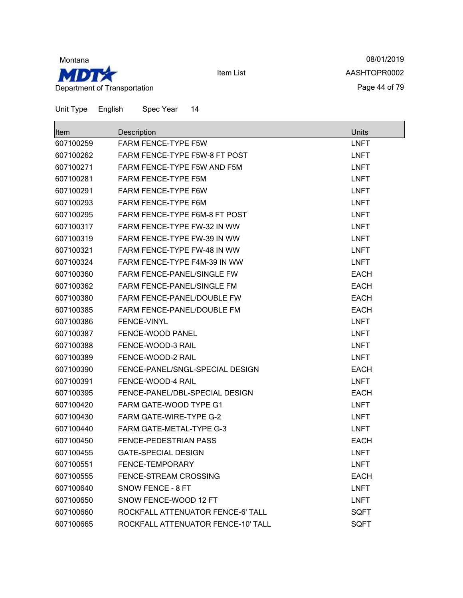

08/01/2019 AASHTOPR0002 Page 44 of 79

| lltem     | Description                        | <b>Units</b> |
|-----------|------------------------------------|--------------|
| 607100259 | <b>FARM FENCE-TYPE F5W</b>         | <b>LNFT</b>  |
| 607100262 | FARM FENCE-TYPE F5W-8 FT POST      | <b>LNFT</b>  |
| 607100271 | FARM FENCE-TYPE F5W AND F5M        | <b>LNFT</b>  |
| 607100281 | <b>FARM FENCE-TYPE F5M</b>         | <b>LNFT</b>  |
| 607100291 | FARM FENCE-TYPE F6W                | <b>LNFT</b>  |
| 607100293 | <b>FARM FENCE-TYPE F6M</b>         | LNFT         |
| 607100295 | FARM FENCE-TYPE F6M-8 FT POST      | <b>LNFT</b>  |
| 607100317 | FARM FENCE-TYPE FW-32 IN WW        | <b>LNFT</b>  |
| 607100319 | FARM FENCE-TYPE FW-39 IN WW        | <b>LNFT</b>  |
| 607100321 | FARM FENCE-TYPE FW-48 IN WW        | <b>LNFT</b>  |
| 607100324 | FARM FENCE-TYPE F4M-39 IN WW       | <b>LNFT</b>  |
| 607100360 | <b>FARM FENCE-PANEL/SINGLE FW</b>  | <b>EACH</b>  |
| 607100362 | <b>FARM FENCE-PANEL/SINGLE FM</b>  | <b>EACH</b>  |
| 607100380 | FARM FENCE-PANEL/DOUBLE FW         | <b>EACH</b>  |
| 607100385 | FARM FENCE-PANEL/DOUBLE FM         | <b>EACH</b>  |
| 607100386 | <b>FENCE-VINYL</b>                 | <b>LNFT</b>  |
| 607100387 | FENCE-WOOD PANEL                   | <b>LNFT</b>  |
| 607100388 | FENCE-WOOD-3 RAIL                  | <b>LNFT</b>  |
| 607100389 | FENCE-WOOD-2 RAIL                  | <b>LNFT</b>  |
| 607100390 | FENCE-PANEL/SNGL-SPECIAL DESIGN    | <b>EACH</b>  |
| 607100391 | FENCE-WOOD-4 RAIL                  | <b>LNFT</b>  |
| 607100395 | FENCE-PANEL/DBL-SPECIAL DESIGN     | <b>EACH</b>  |
| 607100420 | FARM GATE-WOOD TYPE G1             | <b>LNFT</b>  |
| 607100430 | <b>FARM GATE-WIRE-TYPE G-2</b>     | <b>LNFT</b>  |
| 607100440 | <b>FARM GATE-METAL-TYPE G-3</b>    | <b>LNFT</b>  |
| 607100450 | <b>FENCE-PEDESTRIAN PASS</b>       | <b>EACH</b>  |
| 607100455 | <b>GATE-SPECIAL DESIGN</b>         | <b>LNFT</b>  |
| 607100551 | <b>FENCE-TEMPORARY</b>             | <b>LNFT</b>  |
| 607100555 | FENCE-STREAM CROSSING              | <b>EACH</b>  |
| 607100640 | SNOW FENCE - 8 FT                  | <b>LNFT</b>  |
| 607100650 | SNOW FENCE-WOOD 12 FT              | <b>LNFT</b>  |
| 607100660 | ROCKFALL ATTENUATOR FENCE-6' TALL  | <b>SQFT</b>  |
| 607100665 | ROCKFALL ATTENUATOR FENCE-10' TALL | <b>SQFT</b>  |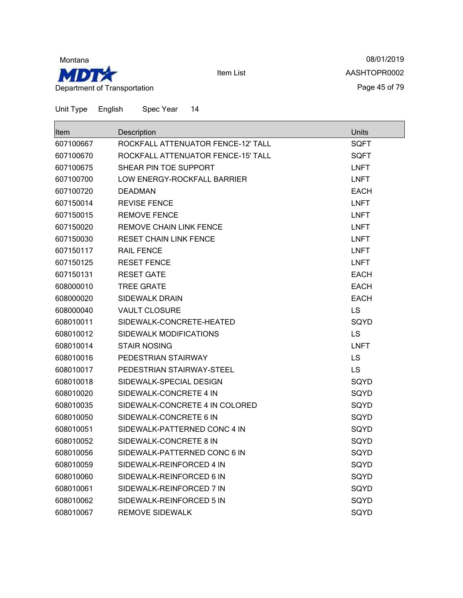

08/01/2019 AASHTOPR0002 Page 45 of 79

| <b>Item</b> | Description                        | Units       |
|-------------|------------------------------------|-------------|
| 607100667   | ROCKFALL ATTENUATOR FENCE-12' TALL | <b>SQFT</b> |
| 607100670   | ROCKFALL ATTENUATOR FENCE-15' TALL | <b>SQFT</b> |
| 607100675   | SHEAR PIN TOE SUPPORT              | <b>LNFT</b> |
| 607100700   | LOW ENERGY-ROCKFALL BARRIER        | <b>LNFT</b> |
| 607100720   | <b>DEADMAN</b>                     | EACH        |
| 607150014   | <b>REVISE FENCE</b>                | <b>LNFT</b> |
| 607150015   | <b>REMOVE FENCE</b>                | <b>LNFT</b> |
| 607150020   | <b>REMOVE CHAIN LINK FENCE</b>     | <b>LNFT</b> |
| 607150030   | <b>RESET CHAIN LINK FENCE</b>      | <b>LNFT</b> |
| 607150117   | <b>RAIL FENCE</b>                  | <b>LNFT</b> |
| 607150125   | <b>RESET FENCE</b>                 | <b>LNFT</b> |
| 607150131   | <b>RESET GATE</b>                  | <b>EACH</b> |
| 608000010   | <b>TREE GRATE</b>                  | <b>EACH</b> |
| 608000020   | <b>SIDEWALK DRAIN</b>              | <b>EACH</b> |
| 608000040   | <b>VAULT CLOSURE</b>               | <b>LS</b>   |
| 608010011   | SIDEWALK-CONCRETE-HEATED           | SQYD        |
| 608010012   | SIDEWALK MODIFICATIONS             | <b>LS</b>   |
| 608010014   | <b>STAIR NOSING</b>                | <b>LNFT</b> |
| 608010016   | PEDESTRIAN STAIRWAY                | <b>LS</b>   |
| 608010017   | PEDESTRIAN STAIRWAY-STEEL          | <b>LS</b>   |
| 608010018   | SIDEWALK-SPECIAL DESIGN            | SQYD        |
| 608010020   | SIDEWALK-CONCRETE 4 IN             | SQYD        |
| 608010035   | SIDEWALK-CONCRETE 4 IN COLORED     | SQYD        |
| 608010050   | SIDEWALK-CONCRETE 6 IN             | SQYD        |
| 608010051   | SIDEWALK-PATTERNED CONC 4 IN       | SQYD        |
| 608010052   | SIDEWALK-CONCRETE 8 IN             | SQYD        |
| 608010056   | SIDEWALK-PATTERNED CONC 6 IN       | SQYD        |
| 608010059   | SIDEWALK-REINFORCED 4 IN           | SQYD        |
| 608010060   | SIDEWALK-REINFORCED 6 IN           | SQYD        |
| 608010061   | SIDEWALK-REINFORCED 7 IN           | SQYD        |
| 608010062   | SIDEWALK-REINFORCED 5 IN           | SQYD        |
| 608010067   | <b>REMOVE SIDEWALK</b>             | SQYD        |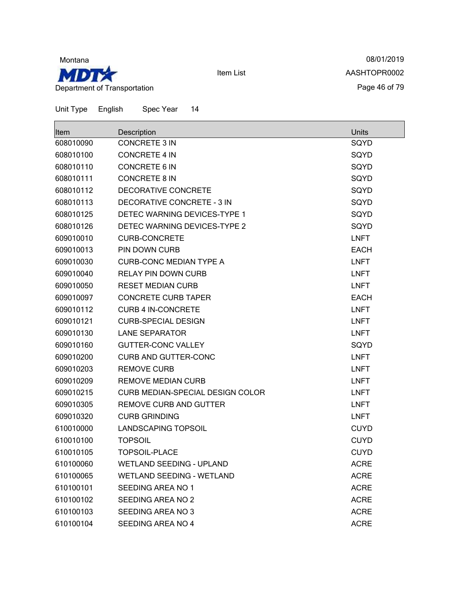

08/01/2019 AASHTOPR0002 Page 46 of 79

| <b>Item</b> | Description                      | <b>Units</b> |
|-------------|----------------------------------|--------------|
| 608010090   | <b>CONCRETE 3 IN</b>             | SQYD         |
| 608010100   | <b>CONCRETE 4 IN</b>             | SQYD         |
| 608010110   | <b>CONCRETE 6 IN</b>             | SQYD         |
| 608010111   | <b>CONCRETE 8 IN</b>             | SQYD         |
| 608010112   | DECORATIVE CONCRETE              | SQYD         |
| 608010113   | DECORATIVE CONCRETE - 3 IN       | SQYD         |
| 608010125   | DETEC WARNING DEVICES-TYPE 1     | SQYD         |
| 608010126   | DETEC WARNING DEVICES-TYPE 2     | SQYD         |
| 609010010   | <b>CURB-CONCRETE</b>             | <b>LNFT</b>  |
| 609010013   | PIN DOWN CURB                    | <b>EACH</b>  |
| 609010030   | <b>CURB-CONC MEDIAN TYPE A</b>   | <b>LNFT</b>  |
| 609010040   | <b>RELAY PIN DOWN CURB</b>       | <b>LNFT</b>  |
| 609010050   | <b>RESET MEDIAN CURB</b>         | <b>LNFT</b>  |
| 609010097   | <b>CONCRETE CURB TAPER</b>       | <b>EACH</b>  |
| 609010112   | <b>CURB 4 IN-CONCRETE</b>        | <b>LNFT</b>  |
| 609010121   | <b>CURB-SPECIAL DESIGN</b>       | <b>LNFT</b>  |
| 609010130   | <b>LANE SEPARATOR</b>            | <b>LNFT</b>  |
| 609010160   | <b>GUTTER-CONC VALLEY</b>        | SQYD         |
| 609010200   | <b>CURB AND GUTTER-CONC</b>      | <b>LNFT</b>  |
| 609010203   | <b>REMOVE CURB</b>               | <b>LNFT</b>  |
| 609010209   | <b>REMOVE MEDIAN CURB</b>        | <b>LNFT</b>  |
| 609010215   | CURB MEDIAN-SPECIAL DESIGN COLOR | <b>LNFT</b>  |
| 609010305   | <b>REMOVE CURB AND GUTTER</b>    | <b>LNFT</b>  |
| 609010320   | <b>CURB GRINDING</b>             | <b>LNFT</b>  |
| 610010000   | LANDSCAPING TOPSOIL              | <b>CUYD</b>  |
| 610010100   | <b>TOPSOIL</b>                   | <b>CUYD</b>  |
| 610010105   | <b>TOPSOIL-PLACE</b>             | <b>CUYD</b>  |
| 610100060   | <b>WETLAND SEEDING - UPLAND</b>  | <b>ACRE</b>  |
| 610100065   | <b>WETLAND SEEDING - WETLAND</b> | <b>ACRE</b>  |
| 610100101   | SEEDING AREA NO 1                | <b>ACRE</b>  |
| 610100102   | SEEDING AREA NO 2                | <b>ACRE</b>  |
| 610100103   | SEEDING AREA NO 3                | <b>ACRE</b>  |
| 610100104   | SEEDING AREA NO 4                | <b>ACRE</b>  |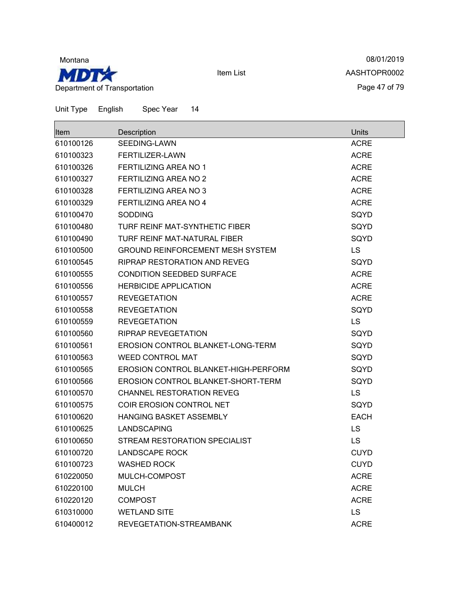

08/01/2019 AASHTOPR0002 Page 47 of 79

| <b>Item</b> | Description                             | <b>Units</b> |
|-------------|-----------------------------------------|--------------|
| 610100126   | SEEDING-LAWN                            | <b>ACRE</b>  |
| 610100323   | <b>FERTILIZER-LAWN</b>                  | <b>ACRE</b>  |
| 610100326   | <b>FERTILIZING AREA NO 1</b>            | <b>ACRE</b>  |
| 610100327   | <b>FERTILIZING AREA NO 2</b>            | <b>ACRE</b>  |
| 610100328   | <b>FERTILIZING AREA NO 3</b>            | <b>ACRE</b>  |
| 610100329   | <b>FERTILIZING AREA NO 4</b>            | <b>ACRE</b>  |
| 610100470   | <b>SODDING</b>                          | SQYD         |
| 610100480   | TURF REINF MAT-SYNTHETIC FIBER          | SQYD         |
| 610100490   | TURF REINF MAT-NATURAL FIBER            | SQYD         |
| 610100500   | <b>GROUND REINFORCEMENT MESH SYSTEM</b> | <b>LS</b>    |
| 610100545   | RIPRAP RESTORATION AND REVEG            | SQYD         |
| 610100555   | <b>CONDITION SEEDBED SURFACE</b>        | <b>ACRE</b>  |
| 610100556   | <b>HERBICIDE APPLICATION</b>            | <b>ACRE</b>  |
| 610100557   | <b>REVEGETATION</b>                     | <b>ACRE</b>  |
| 610100558   | <b>REVEGETATION</b>                     | SQYD         |
| 610100559   | <b>REVEGETATION</b>                     | LS           |
| 610100560   | <b>RIPRAP REVEGETATION</b>              | SQYD         |
| 610100561   | EROSION CONTROL BLANKET-LONG-TERM       | SQYD         |
| 610100563   | <b>WEED CONTROL MAT</b>                 | SQYD         |
| 610100565   | EROSION CONTROL BLANKET-HIGH-PERFORM    | SQYD         |
| 610100566   | EROSION CONTROL BLANKET-SHORT-TERM      | SQYD         |
| 610100570   | <b>CHANNEL RESTORATION REVEG</b>        | <b>LS</b>    |
| 610100575   | COIR EROSION CONTROL NET                | SQYD         |
| 610100620   | HANGING BASKET ASSEMBLY                 | <b>EACH</b>  |
| 610100625   | <b>LANDSCAPING</b>                      | <b>LS</b>    |
| 610100650   | STREAM RESTORATION SPECIALIST           | <b>LS</b>    |
| 610100720   | <b>LANDSCAPE ROCK</b>                   | <b>CUYD</b>  |
| 610100723   | <b>WASHED ROCK</b>                      | <b>CUYD</b>  |
| 610220050   | MULCH-COMPOST                           | <b>ACRE</b>  |
| 610220100   | <b>MULCH</b>                            | <b>ACRE</b>  |
| 610220120   | <b>COMPOST</b>                          | <b>ACRE</b>  |
| 610310000   | <b>WETLAND SITE</b>                     | LS           |
| 610400012   | REVEGETATION-STREAMBANK                 | <b>ACRE</b>  |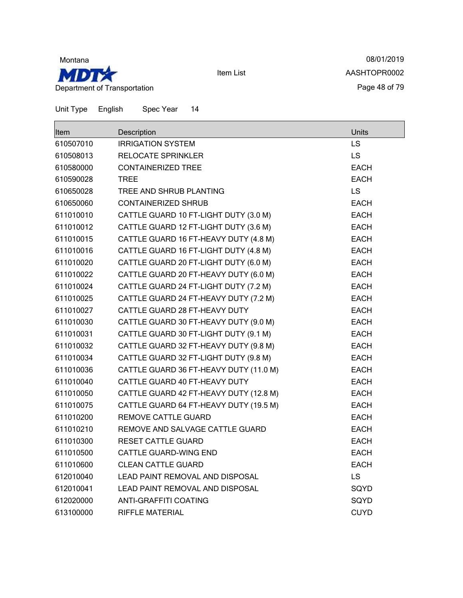

08/01/2019 AASHTOPR0002 Page 48 of 79

| <b>Item</b> | Description                            | Units       |
|-------------|----------------------------------------|-------------|
| 610507010   | <b>IRRIGATION SYSTEM</b>               | <b>LS</b>   |
| 610508013   | <b>RELOCATE SPRINKLER</b>              | LS          |
| 610580000   | <b>CONTAINERIZED TREE</b>              | EACH        |
| 610590028   | <b>TREE</b>                            | <b>EACH</b> |
| 610650028   | TREE AND SHRUB PLANTING                | <b>LS</b>   |
| 610650060   | <b>CONTAINERIZED SHRUB</b>             | <b>EACH</b> |
| 611010010   | CATTLE GUARD 10 FT-LIGHT DUTY (3.0 M)  | <b>EACH</b> |
| 611010012   | CATTLE GUARD 12 FT-LIGHT DUTY (3.6 M)  | <b>EACH</b> |
| 611010015   | CATTLE GUARD 16 FT-HEAVY DUTY (4.8 M)  | <b>EACH</b> |
| 611010016   | CATTLE GUARD 16 FT-LIGHT DUTY (4.8 M)  | <b>EACH</b> |
| 611010020   | CATTLE GUARD 20 FT-LIGHT DUTY (6.0 M)  | <b>EACH</b> |
| 611010022   | CATTLE GUARD 20 FT-HEAVY DUTY (6.0 M)  | <b>EACH</b> |
| 611010024   | CATTLE GUARD 24 FT-LIGHT DUTY (7.2 M)  | <b>EACH</b> |
| 611010025   | CATTLE GUARD 24 FT-HEAVY DUTY (7.2 M)  | <b>EACH</b> |
| 611010027   | CATTLE GUARD 28 FT-HEAVY DUTY          | <b>EACH</b> |
| 611010030   | CATTLE GUARD 30 FT-HEAVY DUTY (9.0 M)  | <b>EACH</b> |
| 611010031   | CATTLE GUARD 30 FT-LIGHT DUTY (9.1 M)  | <b>EACH</b> |
| 611010032   | CATTLE GUARD 32 FT-HEAVY DUTY (9.8 M)  | <b>EACH</b> |
| 611010034   | CATTLE GUARD 32 FT-LIGHT DUTY (9.8 M)  | <b>EACH</b> |
| 611010036   | CATTLE GUARD 36 FT-HEAVY DUTY (11.0 M) | <b>EACH</b> |
| 611010040   | CATTLE GUARD 40 FT-HEAVY DUTY          | <b>EACH</b> |
| 611010050   | CATTLE GUARD 42 FT-HEAVY DUTY (12.8 M) | <b>EACH</b> |
| 611010075   | CATTLE GUARD 64 FT-HEAVY DUTY (19.5 M) | <b>EACH</b> |
| 611010200   | <b>REMOVE CATTLE GUARD</b>             | <b>EACH</b> |
| 611010210   | REMOVE AND SALVAGE CATTLE GUARD        | <b>EACH</b> |
| 611010300   | <b>RESET CATTLE GUARD</b>              | <b>EACH</b> |
| 611010500   | CATTLE GUARD-WING END                  | <b>EACH</b> |
| 611010600   | <b>CLEAN CATTLE GUARD</b>              | <b>EACH</b> |
| 612010040   | LEAD PAINT REMOVAL AND DISPOSAL        | <b>LS</b>   |
| 612010041   | LEAD PAINT REMOVAL AND DISPOSAL        | SQYD        |
| 612020000   | ANTI-GRAFFITI COATING                  | SQYD        |
| 613100000   | <b>RIFFLE MATERIAL</b>                 | <b>CUYD</b> |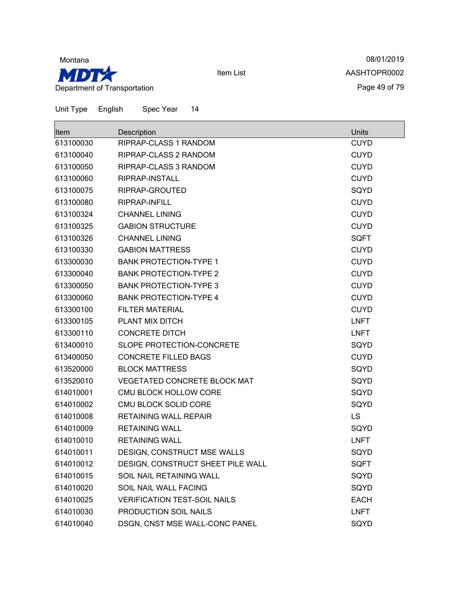

08/01/2019 AASHTOPR0002 Page 49 of 79

| lltem     | Description                         | Units       |
|-----------|-------------------------------------|-------------|
| 613100030 | RIPRAP-CLASS 1 RANDOM               | <b>CUYD</b> |
| 613100040 | RIPRAP-CLASS 2 RANDOM               | <b>CUYD</b> |
| 613100050 | RIPRAP-CLASS 3 RANDOM               | <b>CUYD</b> |
| 613100060 | RIPRAP-INSTALL                      | <b>CUYD</b> |
| 613100075 | RIPRAP-GROUTED                      | SQYD        |
| 613100080 | RIPRAP-INFILL                       | <b>CUYD</b> |
| 613100324 | <b>CHANNEL LINING</b>               | <b>CUYD</b> |
| 613100325 | <b>GABION STRUCTURE</b>             | <b>CUYD</b> |
| 613100326 | <b>CHANNEL LINING</b>               | <b>SQFT</b> |
| 613100330 | <b>GABION MATTRESS</b>              | <b>CUYD</b> |
| 613300030 | <b>BANK PROTECTION-TYPE 1</b>       | <b>CUYD</b> |
| 613300040 | <b>BANK PROTECTION-TYPE 2</b>       | <b>CUYD</b> |
| 613300050 | <b>BANK PROTECTION-TYPE 3</b>       | <b>CUYD</b> |
| 613300060 | <b>BANK PROTECTION-TYPE 4</b>       | <b>CUYD</b> |
| 613300100 | <b>FILTER MATERIAL</b>              | <b>CUYD</b> |
| 613300105 | PLANT MIX DITCH                     | <b>LNFT</b> |
| 613300110 | <b>CONCRETE DITCH</b>               | <b>LNFT</b> |
| 613400010 | SLOPE PROTECTION-CONCRETE           | SQYD        |
| 613400050 | <b>CONCRETE FILLED BAGS</b>         | <b>CUYD</b> |
| 613520000 | <b>BLOCK MATTRESS</b>               | SQYD        |
| 613520010 | <b>VEGETATED CONCRETE BLOCK MAT</b> | SQYD        |
| 614010001 | CMU BLOCK HOLLOW CORE               | SQYD        |
| 614010002 | CMU BLOCK SOLID CORE                | SQYD        |
| 614010008 | RETAINING WALL REPAIR               | LS          |
| 614010009 | <b>RETAINING WALL</b>               | SQYD        |
| 614010010 | <b>RETAINING WALL</b>               | <b>LNFT</b> |
| 614010011 | DESIGN, CONSTRUCT MSE WALLS         | SQYD        |
| 614010012 | DESIGN, CONSTRUCT SHEET PILE WALL   | <b>SQFT</b> |
| 614010015 | SOIL NAIL RETAINING WALL            | SQYD        |
| 614010020 | SOIL NAIL WALL FACING               | SQYD        |
| 614010025 | <b>VERIFICATION TEST-SOIL NAILS</b> | <b>EACH</b> |
| 614010030 | PRODUCTION SOIL NAILS               | <b>LNFT</b> |
| 614010040 | DSGN, CNST MSE WALL-CONC PANEL      | SQYD        |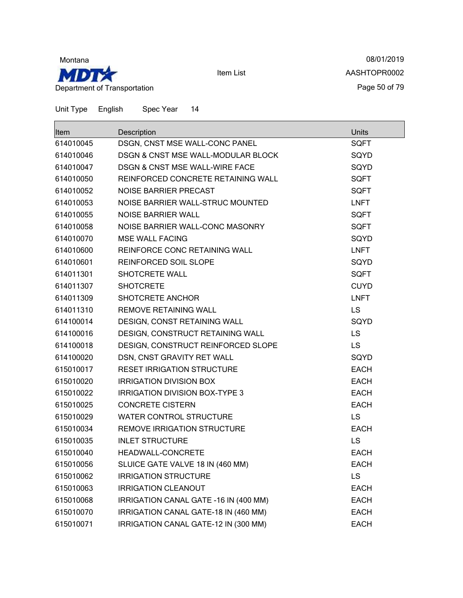

08/01/2019 AASHTOPR0002 Page 50 of 79

| ltem      | Description                               | Units       |
|-----------|-------------------------------------------|-------------|
| 614010045 | DSGN, CNST MSE WALL-CONC PANEL            | <b>SQFT</b> |
| 614010046 | DSGN & CNST MSE WALL-MODULAR BLOCK        | SQYD        |
| 614010047 | <b>DSGN &amp; CNST MSE WALL-WIRE FACE</b> | SQYD        |
| 614010050 | REINFORCED CONCRETE RETAINING WALL        | <b>SQFT</b> |
| 614010052 | NOISE BARRIER PRECAST                     | <b>SQFT</b> |
| 614010053 | NOISE BARRIER WALL-STRUC MOUNTED          | <b>LNFT</b> |
| 614010055 | <b>NOISE BARRIER WALL</b>                 | <b>SQFT</b> |
| 614010058 | NOISE BARRIER WALL-CONC MASONRY           | <b>SQFT</b> |
| 614010070 | <b>MSE WALL FACING</b>                    | SQYD        |
| 614010600 | REINFORCE CONC RETAINING WALL             | <b>LNFT</b> |
| 614010601 | REINFORCED SOIL SLOPE                     | SQYD        |
| 614011301 | SHOTCRETE WALL                            | <b>SQFT</b> |
| 614011307 | <b>SHOTCRETE</b>                          | <b>CUYD</b> |
| 614011309 | SHOTCRETE ANCHOR                          | <b>LNFT</b> |
| 614011310 | REMOVE RETAINING WALL                     | <b>LS</b>   |
| 614100014 | DESIGN, CONST RETAINING WALL              | SQYD        |
| 614100016 | DESIGN, CONSTRUCT RETAINING WALL          | <b>LS</b>   |
| 614100018 | DESIGN, CONSTRUCT REINFORCED SLOPE        | <b>LS</b>   |
| 614100020 | DSN, CNST GRAVITY RET WALL                | SQYD        |
| 615010017 | <b>RESET IRRIGATION STRUCTURE</b>         | <b>EACH</b> |
| 615010020 | <b>IRRIGATION DIVISION BOX</b>            | <b>EACH</b> |
| 615010022 | <b>IRRIGATION DIVISION BOX-TYPE 3</b>     | <b>EACH</b> |
| 615010025 | <b>CONCRETE CISTERN</b>                   | <b>EACH</b> |
| 615010029 | <b>WATER CONTROL STRUCTURE</b>            | <b>LS</b>   |
| 615010034 | <b>REMOVE IRRIGATION STRUCTURE</b>        | <b>EACH</b> |
| 615010035 | <b>INLET STRUCTURE</b>                    | <b>LS</b>   |
| 615010040 | HEADWALL-CONCRETE                         | <b>EACH</b> |
| 615010056 | SLUICE GATE VALVE 18 IN (460 MM)          | <b>EACH</b> |
| 615010062 | <b>IRRIGATION STRUCTURE</b>               | <b>LS</b>   |
| 615010063 | <b>IRRIGATION CLEANOUT</b>                | <b>EACH</b> |
| 615010068 | IRRIGATION CANAL GATE -16 IN (400 MM)     | <b>EACH</b> |
| 615010070 | IRRIGATION CANAL GATE-18 IN (460 MM)      | <b>EACH</b> |
| 615010071 | IRRIGATION CANAL GATE-12 IN (300 MM)      | <b>EACH</b> |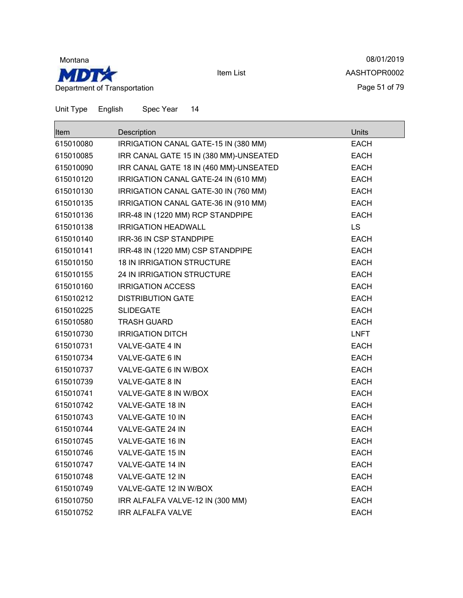

08/01/2019 AASHTOPR0002 Page 51 of 79

| Item      | Description                            | Units       |
|-----------|----------------------------------------|-------------|
| 615010080 | IRRIGATION CANAL GATE-15 IN (380 MM)   | <b>EACH</b> |
| 615010085 | IRR CANAL GATE 15 IN (380 MM)-UNSEATED | EACH        |
| 615010090 | IRR CANAL GATE 18 IN (460 MM)-UNSEATED | <b>EACH</b> |
| 615010120 | IRRIGATION CANAL GATE-24 IN (610 MM)   | <b>EACH</b> |
| 615010130 | IRRIGATION CANAL GATE-30 IN (760 MM)   | <b>EACH</b> |
| 615010135 | IRRIGATION CANAL GATE-36 IN (910 MM)   | <b>EACH</b> |
| 615010136 | IRR-48 IN (1220 MM) RCP STANDPIPE      | <b>EACH</b> |
| 615010138 | <b>IRRIGATION HEADWALL</b>             | <b>LS</b>   |
| 615010140 | IRR-36 IN CSP STANDPIPE                | <b>EACH</b> |
| 615010141 | IRR-48 IN (1220 MM) CSP STANDPIPE      | <b>EACH</b> |
| 615010150 | <b>18 IN IRRIGATION STRUCTURE</b>      | <b>EACH</b> |
| 615010155 | 24 IN IRRIGATION STRUCTURE             | <b>EACH</b> |
| 615010160 | <b>IRRIGATION ACCESS</b>               | <b>EACH</b> |
| 615010212 | <b>DISTRIBUTION GATE</b>               | <b>EACH</b> |
| 615010225 | <b>SLIDEGATE</b>                       | <b>EACH</b> |
| 615010580 | <b>TRASH GUARD</b>                     | <b>EACH</b> |
| 615010730 | <b>IRRIGATION DITCH</b>                | <b>LNFT</b> |
| 615010731 | VALVE-GATE 4 IN                        | EACH        |
| 615010734 | VALVE-GATE 6 IN                        | <b>EACH</b> |
| 615010737 | VALVE-GATE 6 IN W/BOX                  | EACH        |
| 615010739 | VALVE-GATE 8 IN                        | <b>EACH</b> |
| 615010741 | VALVE-GATE 8 IN W/BOX                  | <b>EACH</b> |
| 615010742 | VALVE-GATE 18 IN                       | <b>EACH</b> |
| 615010743 | VALVE-GATE 10 IN                       | EACH        |
| 615010744 | VALVE-GATE 24 IN                       | <b>EACH</b> |
| 615010745 | VALVE-GATE 16 IN                       | <b>EACH</b> |
| 615010746 | <b>VALVE-GATE 15 IN</b>                | <b>EACH</b> |
| 615010747 | VALVE-GATE 14 IN                       | <b>EACH</b> |
| 615010748 | VALVE-GATE 12 IN                       | <b>EACH</b> |
| 615010749 | VALVE-GATE 12 IN W/BOX                 | <b>EACH</b> |
| 615010750 | IRR ALFALFA VALVE-12 IN (300 MM)       | <b>EACH</b> |
| 615010752 | <b>IRR ALFALFA VALVE</b>               | EACH        |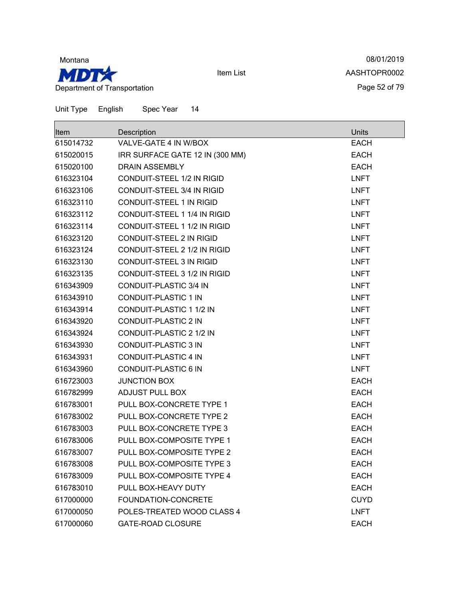

08/01/2019 AASHTOPR0002 Page 52 of 79

| ltem      | Description                       | Units       |
|-----------|-----------------------------------|-------------|
| 615014732 | VALVE-GATE 4 IN W/BOX             | <b>EACH</b> |
| 615020015 | IRR SURFACE GATE 12 IN (300 MM)   | <b>EACH</b> |
| 615020100 | <b>DRAIN ASSEMBLY</b>             | <b>EACH</b> |
| 616323104 | <b>CONDUIT-STEEL 1/2 IN RIGID</b> | <b>LNFT</b> |
| 616323106 | CONDUIT-STEEL 3/4 IN RIGID        | <b>LNFT</b> |
| 616323110 | <b>CONDUIT-STEEL 1 IN RIGID</b>   | <b>LNFT</b> |
| 616323112 | CONDUIT-STEEL 1 1/4 IN RIGID      | <b>LNFT</b> |
| 616323114 | CONDUIT-STEEL 1 1/2 IN RIGID      | <b>LNFT</b> |
| 616323120 | <b>CONDUIT-STEEL 2 IN RIGID</b>   | <b>LNFT</b> |
| 616323124 | CONDUIT-STEEL 2 1/2 IN RIGID      | <b>LNFT</b> |
| 616323130 | <b>CONDUIT-STEEL 3 IN RIGID</b>   | <b>LNFT</b> |
| 616323135 | CONDUIT-STEEL 3 1/2 IN RIGID      | <b>LNFT</b> |
| 616343909 | CONDUIT-PLASTIC 3/4 IN            | <b>LNFT</b> |
| 616343910 | <b>CONDUIT-PLASTIC 1 IN</b>       | <b>LNFT</b> |
| 616343914 | CONDUIT-PLASTIC 1 1/2 IN          | <b>LNFT</b> |
| 616343920 | <b>CONDUIT-PLASTIC 2 IN</b>       | <b>LNFT</b> |
| 616343924 | CONDUIT-PLASTIC 2 1/2 IN          | <b>LNFT</b> |
| 616343930 | <b>CONDUIT-PLASTIC 3 IN</b>       | <b>LNFT</b> |
| 616343931 | <b>CONDUIT-PLASTIC 4 IN</b>       | <b>LNFT</b> |
| 616343960 | <b>CONDUIT-PLASTIC 6 IN</b>       | <b>LNFT</b> |
| 616723003 | <b>JUNCTION BOX</b>               | <b>EACH</b> |
| 616782999 | <b>ADJUST PULL BOX</b>            | <b>EACH</b> |
| 616783001 | PULL BOX-CONCRETE TYPE 1          | <b>EACH</b> |
| 616783002 | PULL BOX-CONCRETE TYPE 2          | <b>EACH</b> |
| 616783003 | PULL BOX-CONCRETE TYPE 3          | <b>EACH</b> |
| 616783006 | PULL BOX-COMPOSITE TYPE 1         | <b>EACH</b> |
| 616783007 | PULL BOX-COMPOSITE TYPE 2         | <b>EACH</b> |
| 616783008 | PULL BOX-COMPOSITE TYPE 3         | <b>EACH</b> |
| 616783009 | PULL BOX-COMPOSITE TYPE 4         | <b>EACH</b> |
| 616783010 | PULL BOX-HEAVY DUTY               | <b>EACH</b> |
| 617000000 | FOUNDATION-CONCRETE               | <b>CUYD</b> |
| 617000050 | POLES-TREATED WOOD CLASS 4        | <b>LNFT</b> |
| 617000060 | <b>GATE-ROAD CLOSURE</b>          | <b>EACH</b> |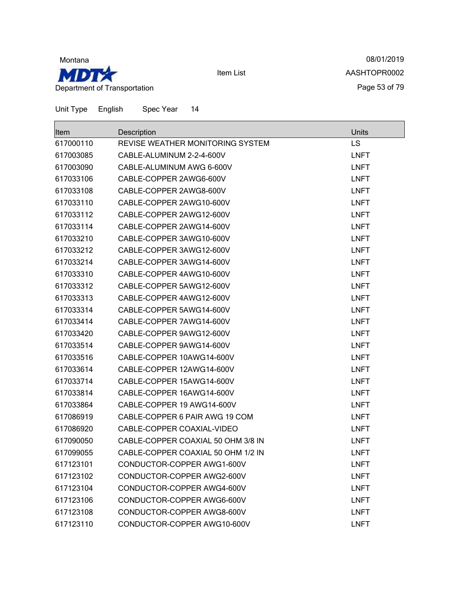

08/01/2019 AASHTOPR0002 Page 53 of 79

| ⊪ltem     | Description                        | Units       |
|-----------|------------------------------------|-------------|
| 617000110 | REVISE WEATHER MONITORING SYSTEM   | LS          |
| 617003085 | CABLE-ALUMINUM 2-2-4-600V          | <b>LNFT</b> |
| 617003090 | CABLE-ALUMINUM AWG 6-600V          | <b>LNFT</b> |
| 617033106 | CABLE-COPPER 2AWG6-600V            | <b>LNFT</b> |
| 617033108 | CABLE-COPPER 2AWG8-600V            | <b>LNFT</b> |
| 617033110 | CABLE-COPPER 2AWG10-600V           | <b>LNFT</b> |
| 617033112 | CABLE-COPPER 2AWG12-600V           | <b>LNFT</b> |
| 617033114 | CABLE-COPPER 2AWG14-600V           | <b>LNFT</b> |
| 617033210 | CABLE-COPPER 3AWG10-600V           | <b>LNFT</b> |
| 617033212 | CABLE-COPPER 3AWG12-600V           | <b>LNFT</b> |
| 617033214 | CABLE-COPPER 3AWG14-600V           | <b>LNFT</b> |
| 617033310 | CABLE-COPPER 4AWG10-600V           | <b>LNFT</b> |
| 617033312 | CABLE-COPPER 5AWG12-600V           | <b>LNFT</b> |
| 617033313 | CABLE-COPPER 4AWG12-600V           | <b>LNFT</b> |
| 617033314 | CABLE-COPPER 5AWG14-600V           | <b>LNFT</b> |
| 617033414 | CABLE-COPPER 7AWG14-600V           | <b>LNFT</b> |
| 617033420 | CABLE-COPPER 9AWG12-600V           | <b>LNFT</b> |
| 617033514 | CABLE-COPPER 9AWG14-600V           | <b>LNFT</b> |
| 617033516 | CABLE-COPPER 10AWG14-600V          | <b>LNFT</b> |
| 617033614 | CABLE-COPPER 12AWG14-600V          | <b>LNFT</b> |
| 617033714 | CABLE-COPPER 15AWG14-600V          | <b>LNFT</b> |
| 617033814 | CABLE-COPPER 16AWG14-600V          | <b>LNFT</b> |
| 617033864 | CABLE-COPPER 19 AWG14-600V         | <b>LNFT</b> |
| 617086919 | CABLE-COPPER 6 PAIR AWG 19 COM     | <b>LNFT</b> |
| 617086920 | CABLE-COPPER COAXIAL-VIDEO         | <b>LNFT</b> |
| 617090050 | CABLE-COPPER COAXIAL 50 OHM 3/8 IN | <b>LNFT</b> |
| 617099055 | CABLE-COPPER COAXIAL 50 OHM 1/2 IN | <b>LNFT</b> |
| 617123101 | CONDUCTOR-COPPER AWG1-600V         | <b>LNFT</b> |
| 617123102 | CONDUCTOR-COPPER AWG2-600V         | <b>LNFT</b> |
| 617123104 | CONDUCTOR-COPPER AWG4-600V         | <b>LNFT</b> |
| 617123106 | CONDUCTOR-COPPER AWG6-600V         | <b>LNFT</b> |
| 617123108 | CONDUCTOR-COPPER AWG8-600V         | <b>LNFT</b> |
| 617123110 | CONDUCTOR-COPPER AWG10-600V        | <b>LNFT</b> |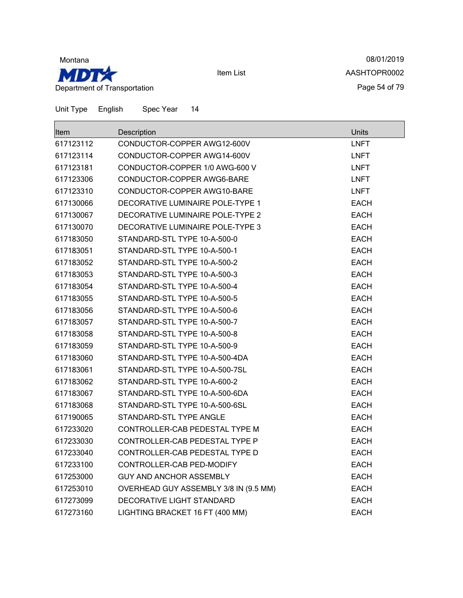

08/01/2019 AASHTOPR0002 Page 54 of 79

| <b>Item</b> | Description                           | <b>Units</b> |
|-------------|---------------------------------------|--------------|
| 617123112   | CONDUCTOR-COPPER AWG12-600V           | <b>LNFT</b>  |
| 617123114   | CONDUCTOR-COPPER AWG14-600V           | <b>LNFT</b>  |
| 617123181   | CONDUCTOR-COPPER 1/0 AWG-600 V        | <b>LNFT</b>  |
| 617123306   | CONDUCTOR-COPPER AWG6-BARE            | <b>LNFT</b>  |
| 617123310   | CONDUCTOR-COPPER AWG10-BARE           | <b>LNFT</b>  |
| 617130066   | DECORATIVE LUMINAIRE POLE-TYPE 1      | <b>EACH</b>  |
| 617130067   | DECORATIVE LUMINAIRE POLE-TYPE 2      | <b>EACH</b>  |
| 617130070   | DECORATIVE LUMINAIRE POLE-TYPE 3      | <b>EACH</b>  |
| 617183050   | STANDARD-STL TYPE 10-A-500-0          | EACH         |
| 617183051   | STANDARD-STL TYPE 10-A-500-1          | <b>EACH</b>  |
| 617183052   | STANDARD-STL TYPE 10-A-500-2          | <b>EACH</b>  |
| 617183053   | STANDARD-STL TYPE 10-A-500-3          | <b>EACH</b>  |
| 617183054   | STANDARD-STL TYPE 10-A-500-4          | <b>EACH</b>  |
| 617183055   | STANDARD-STL TYPE 10-A-500-5          | <b>EACH</b>  |
| 617183056   | STANDARD-STL TYPE 10-A-500-6          | <b>EACH</b>  |
| 617183057   | STANDARD-STL TYPE 10-A-500-7          | EACH         |
| 617183058   | STANDARD-STL TYPE 10-A-500-8          | <b>EACH</b>  |
| 617183059   | STANDARD-STL TYPE 10-A-500-9          | <b>EACH</b>  |
| 617183060   | STANDARD-STL TYPE 10-A-500-4DA        | <b>EACH</b>  |
| 617183061   | STANDARD-STL TYPE 10-A-500-7SL        | <b>EACH</b>  |
| 617183062   | STANDARD-STL TYPE 10-A-600-2          | <b>EACH</b>  |
| 617183067   | STANDARD-STL TYPE 10-A-500-6DA        | <b>EACH</b>  |
| 617183068   | STANDARD-STL TYPE 10-A-500-6SL        | <b>EACH</b>  |
| 617190065   | STANDARD-STL TYPE ANGLE               | EACH         |
| 617233020   | CONTROLLER-CAB PEDESTAL TYPE M        | <b>EACH</b>  |
| 617233030   | CONTROLLER-CAB PEDESTAL TYPE P        | <b>EACH</b>  |
| 617233040   | CONTROLLER-CAB PEDESTAL TYPE D        | <b>EACH</b>  |
| 617233100   | CONTROLLER-CAB PED-MODIFY             | EACH         |
| 617253000   | <b>GUY AND ANCHOR ASSEMBLY</b>        | <b>EACH</b>  |
| 617253010   | OVERHEAD GUY ASSEMBLY 3/8 IN (9.5 MM) | <b>EACH</b>  |
| 617273099   | DECORATIVE LIGHT STANDARD             | EACH         |
| 617273160   | LIGHTING BRACKET 16 FT (400 MM)       | <b>EACH</b>  |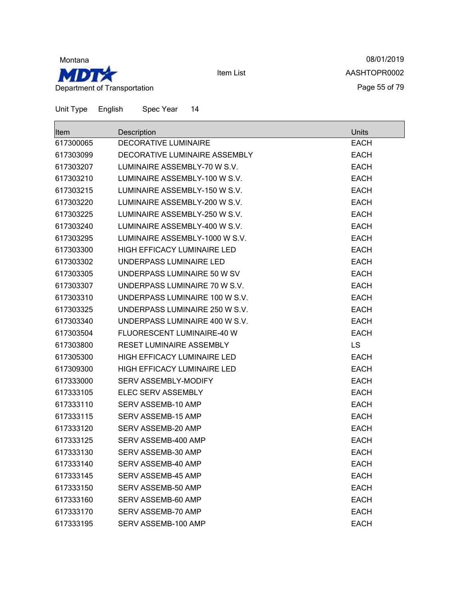

08/01/2019 AASHTOPR0002 Page 55 of 79

| <b>Item</b> | Description                        | <b>Units</b> |
|-------------|------------------------------------|--------------|
| 617300065   | <b>DECORATIVE LUMINAIRE</b>        | <b>EACH</b>  |
| 617303099   | DECORATIVE LUMINAIRE ASSEMBLY      | <b>EACH</b>  |
| 617303207   | LUMINAIRE ASSEMBLY-70 W S.V.       | <b>EACH</b>  |
| 617303210   | LUMINAIRE ASSEMBLY-100 W S.V.      | <b>EACH</b>  |
| 617303215   | LUMINAIRE ASSEMBLY-150 W S.V.      | <b>EACH</b>  |
| 617303220   | LUMINAIRE ASSEMBLY-200 W S.V.      | <b>EACH</b>  |
| 617303225   | LUMINAIRE ASSEMBLY-250 W S.V.      | <b>EACH</b>  |
| 617303240   | LUMINAIRE ASSEMBLY-400 W S.V.      | <b>EACH</b>  |
| 617303295   | LUMINAIRE ASSEMBLY-1000 W S.V.     | <b>EACH</b>  |
| 617303300   | <b>HIGH EFFICACY LUMINAIRE LED</b> | <b>EACH</b>  |
| 617303302   | UNDERPASS LUMINAIRE LED            | <b>EACH</b>  |
| 617303305   | UNDERPASS LUMINAIRE 50 W SV        | <b>EACH</b>  |
| 617303307   | UNDERPASS LUMINAIRE 70 W S.V.      | <b>EACH</b>  |
| 617303310   | UNDERPASS LUMINAIRE 100 W S.V.     | <b>EACH</b>  |
| 617303325   | UNDERPASS LUMINAIRE 250 W S.V.     | <b>EACH</b>  |
| 617303340   | UNDERPASS LUMINAIRE 400 W S.V.     | <b>EACH</b>  |
| 617303504   | FLUORESCENT LUMINAIRE-40 W         | <b>EACH</b>  |
| 617303800   | RESET LUMINAIRE ASSEMBLY           | <b>LS</b>    |
| 617305300   | HIGH EFFICACY LUMINAIRE LED        | <b>EACH</b>  |
| 617309300   | <b>HIGH EFFICACY LUMINAIRE LED</b> | <b>EACH</b>  |
| 617333000   | SERV ASSEMBLY-MODIFY               | <b>EACH</b>  |
| 617333105   | ELEC SERV ASSEMBLY                 | <b>EACH</b>  |
| 617333110   | SERV ASSEMB-10 AMP                 | <b>EACH</b>  |
| 617333115   | SERV ASSEMB-15 AMP                 | <b>EACH</b>  |
| 617333120   | SERV ASSEMB-20 AMP                 | <b>EACH</b>  |
| 617333125   | SERV ASSEMB-400 AMP                | <b>EACH</b>  |
| 617333130   | SERV ASSEMB-30 AMP                 | <b>EACH</b>  |
| 617333140   | SERV ASSEMB-40 AMP                 | <b>EACH</b>  |
| 617333145   | <b>SERV ASSEMB-45 AMP</b>          | <b>EACH</b>  |
| 617333150   | SERV ASSEMB-50 AMP                 | <b>EACH</b>  |
| 617333160   | SERV ASSEMB-60 AMP                 | <b>EACH</b>  |
| 617333170   | SERV ASSEMB-70 AMP                 | <b>EACH</b>  |
| 617333195   | SERV ASSEMB-100 AMP                | <b>EACH</b>  |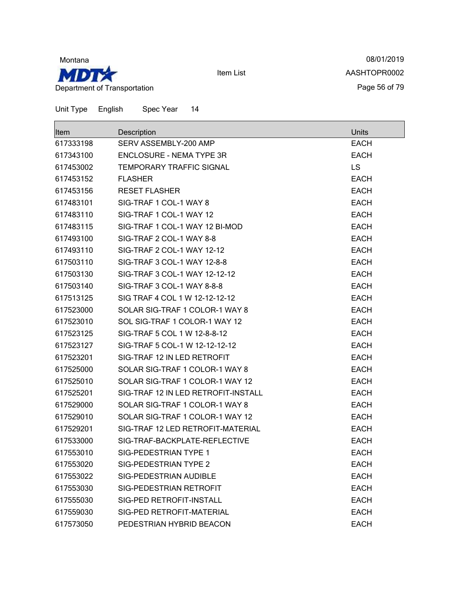

08/01/2019 AASHTOPR0002 Page 56 of 79

| Item      | Description                         | Units       |
|-----------|-------------------------------------|-------------|
| 617333198 | SERV ASSEMBLY-200 AMP               | <b>EACH</b> |
| 617343100 | <b>ENCLOSURE - NEMA TYPE 3R</b>     | <b>EACH</b> |
| 617453002 | <b>TEMPORARY TRAFFIC SIGNAL</b>     | <b>LS</b>   |
| 617453152 | <b>FLASHER</b>                      | <b>EACH</b> |
| 617453156 | <b>RESET FLASHER</b>                | <b>EACH</b> |
| 617483101 | SIG-TRAF 1 COL-1 WAY 8              | <b>EACH</b> |
| 617483110 | SIG-TRAF 1 COL-1 WAY 12             | <b>EACH</b> |
| 617483115 | SIG-TRAF 1 COL-1 WAY 12 BI-MOD      | <b>EACH</b> |
| 617493100 | SIG-TRAF 2 COL-1 WAY 8-8            | <b>EACH</b> |
| 617493110 | SIG-TRAF 2 COL-1 WAY 12-12          | <b>EACH</b> |
| 617503110 | SIG-TRAF 3 COL-1 WAY 12-8-8         | <b>EACH</b> |
| 617503130 | SIG-TRAF 3 COL-1 WAY 12-12-12       | <b>EACH</b> |
| 617503140 | SIG-TRAF 3 COL-1 WAY 8-8-8          | <b>EACH</b> |
| 617513125 | SIG TRAF 4 COL 1 W 12-12-12-12      | <b>EACH</b> |
| 617523000 | SOLAR SIG-TRAF 1 COLOR-1 WAY 8      | <b>EACH</b> |
| 617523010 | SOL SIG-TRAF 1 COLOR-1 WAY 12       | <b>EACH</b> |
| 617523125 | SIG-TRAF 5 COL 1 W 12-8-8-12        | <b>EACH</b> |
| 617523127 | SIG-TRAF 5 COL-1 W 12-12-12-12      | <b>EACH</b> |
| 617523201 | SIG-TRAF 12 IN LED RETROFIT         | <b>EACH</b> |
| 617525000 | SOLAR SIG-TRAF 1 COLOR-1 WAY 8      | <b>EACH</b> |
| 617525010 | SOLAR SIG-TRAF 1 COLOR-1 WAY 12     | <b>EACH</b> |
| 617525201 | SIG-TRAF 12 IN LED RETROFIT-INSTALL | <b>EACH</b> |
| 617529000 | SOLAR SIG-TRAF 1 COLOR-1 WAY 8      | <b>EACH</b> |
| 617529010 | SOLAR SIG-TRAF 1 COLOR-1 WAY 12     | <b>EACH</b> |
| 617529201 | SIG-TRAF 12 LED RETROFIT-MATERIAL   | <b>EACH</b> |
| 617533000 | SIG-TRAF-BACKPLATE-REFLECTIVE       | <b>EACH</b> |
| 617553010 | SIG-PEDESTRIAN TYPE 1               | <b>EACH</b> |
| 617553020 | <b>SIG-PEDESTRIAN TYPE 2</b>        | <b>EACH</b> |
| 617553022 | SIG-PEDESTRIAN AUDIBLE              | <b>EACH</b> |
| 617553030 | SIG-PEDESTRIAN RETROFIT             | <b>EACH</b> |
| 617555030 | SIG-PED RETROFIT-INSTALL            | <b>EACH</b> |
| 617559030 | SIG-PED RETROFIT-MATERIAL           | <b>EACH</b> |
| 617573050 | PEDESTRIAN HYBRID BEACON            | <b>EACH</b> |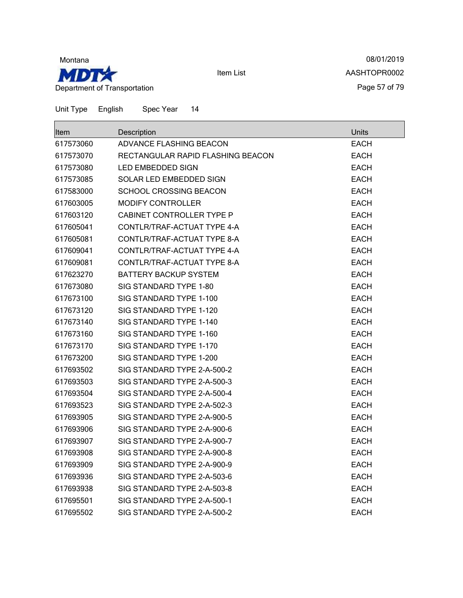

08/01/2019 AASHTOPR0002 Page 57 of 79

| <b>Item</b> | Description                       | Units       |
|-------------|-----------------------------------|-------------|
| 617573060   | ADVANCE FLASHING BEACON           | EACH        |
| 617573070   | RECTANGULAR RAPID FLASHING BEACON | <b>EACH</b> |
| 617573080   | LED EMBEDDED SIGN                 | <b>EACH</b> |
| 617573085   | SOLAR LED EMBEDDED SIGN           | <b>EACH</b> |
| 617583000   | <b>SCHOOL CROSSING BEACON</b>     | <b>EACH</b> |
| 617603005   | <b>MODIFY CONTROLLER</b>          | <b>EACH</b> |
| 617603120   | CABINET CONTROLLER TYPE P         | <b>EACH</b> |
| 617605041   | CONTLR/TRAF-ACTUAT TYPE 4-A       | <b>EACH</b> |
| 617605081   | CONTLR/TRAF-ACTUAT TYPE 8-A       | <b>EACH</b> |
| 617609041   | CONTLR/TRAF-ACTUAT TYPE 4-A       | <b>EACH</b> |
| 617609081   | CONTLR/TRAF-ACTUAT TYPE 8-A       | <b>EACH</b> |
| 617623270   | <b>BATTERY BACKUP SYSTEM</b>      | <b>EACH</b> |
| 617673080   | SIG STANDARD TYPE 1-80            | <b>EACH</b> |
| 617673100   | SIG STANDARD TYPE 1-100           | <b>EACH</b> |
| 617673120   | SIG STANDARD TYPE 1-120           | <b>EACH</b> |
| 617673140   | SIG STANDARD TYPE 1-140           | <b>EACH</b> |
| 617673160   | SIG STANDARD TYPE 1-160           | <b>EACH</b> |
| 617673170   | SIG STANDARD TYPE 1-170           | <b>EACH</b> |
| 617673200   | SIG STANDARD TYPE 1-200           | <b>EACH</b> |
| 617693502   | SIG STANDARD TYPE 2-A-500-2       | <b>EACH</b> |
| 617693503   | SIG STANDARD TYPE 2-A-500-3       | <b>EACH</b> |
| 617693504   | SIG STANDARD TYPE 2-A-500-4       | <b>EACH</b> |
| 617693523   | SIG STANDARD TYPE 2-A-502-3       | <b>EACH</b> |
| 617693905   | SIG STANDARD TYPE 2-A-900-5       | <b>EACH</b> |
| 617693906   | SIG STANDARD TYPE 2-A-900-6       | <b>EACH</b> |
| 617693907   | SIG STANDARD TYPE 2-A-900-7       | <b>EACH</b> |
| 617693908   | SIG STANDARD TYPE 2-A-900-8       | <b>EACH</b> |
| 617693909   | SIG STANDARD TYPE 2-A-900-9       | <b>EACH</b> |
| 617693936   | SIG STANDARD TYPE 2-A-503-6       | <b>EACH</b> |
| 617693938   | SIG STANDARD TYPE 2-A-503-8       | <b>EACH</b> |
| 617695501   | SIG STANDARD TYPE 2-A-500-1       | <b>EACH</b> |
| 617695502   | SIG STANDARD TYPE 2-A-500-2       | <b>EACH</b> |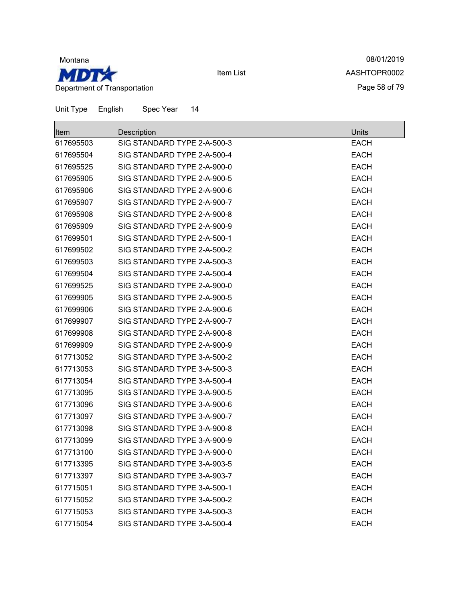

Unit Type English Spec Year 14

Item List

08/01/2019 AASHTOPR0002 Page 58 of 79

| Item      | Description                 | Units       |
|-----------|-----------------------------|-------------|
| 617695503 | SIG STANDARD TYPE 2-A-500-3 | <b>EACH</b> |
| 617695504 | SIG STANDARD TYPE 2-A-500-4 | <b>EACH</b> |
| 617695525 | SIG STANDARD TYPE 2-A-900-0 | <b>EACH</b> |
| 617695905 | SIG STANDARD TYPE 2-A-900-5 | <b>EACH</b> |
| 617695906 | SIG STANDARD TYPE 2-A-900-6 | <b>EACH</b> |
| 617695907 | SIG STANDARD TYPE 2-A-900-7 | <b>EACH</b> |
| 617695908 | SIG STANDARD TYPE 2-A-900-8 | <b>EACH</b> |
| 617695909 | SIG STANDARD TYPE 2-A-900-9 | <b>EACH</b> |
| 617699501 | SIG STANDARD TYPE 2-A-500-1 | <b>EACH</b> |
| 617699502 | SIG STANDARD TYPE 2-A-500-2 | <b>EACH</b> |
| 617699503 | SIG STANDARD TYPE 2-A-500-3 | <b>EACH</b> |
| 617699504 | SIG STANDARD TYPE 2-A-500-4 | <b>EACH</b> |
| 617699525 | SIG STANDARD TYPE 2-A-900-0 | <b>EACH</b> |
| 617699905 | SIG STANDARD TYPE 2-A-900-5 | <b>EACH</b> |
| 617699906 | SIG STANDARD TYPE 2-A-900-6 | <b>EACH</b> |
| 617699907 | SIG STANDARD TYPE 2-A-900-7 | <b>EACH</b> |
| 617699908 | SIG STANDARD TYPE 2-A-900-8 | <b>EACH</b> |
| 617699909 | SIG STANDARD TYPE 2-A-900-9 | <b>EACH</b> |
| 617713052 | SIG STANDARD TYPE 3-A-500-2 | <b>EACH</b> |
| 617713053 | SIG STANDARD TYPE 3-A-500-3 | <b>EACH</b> |
| 617713054 | SIG STANDARD TYPE 3-A-500-4 | <b>EACH</b> |
| 617713095 | SIG STANDARD TYPE 3-A-900-5 | <b>EACH</b> |
| 617713096 | SIG STANDARD TYPE 3-A-900-6 | <b>EACH</b> |
| 617713097 | SIG STANDARD TYPE 3-A-900-7 | <b>EACH</b> |
| 617713098 | SIG STANDARD TYPE 3-A-900-8 | <b>EACH</b> |
| 617713099 | SIG STANDARD TYPE 3-A-900-9 | <b>EACH</b> |
| 617713100 | SIG STANDARD TYPE 3-A-900-0 | <b>EACH</b> |
| 617713395 | SIG STANDARD TYPE 3-A-903-5 | <b>EACH</b> |
| 617713397 | SIG STANDARD TYPE 3-A-903-7 | <b>EACH</b> |
| 617715051 | SIG STANDARD TYPE 3-A-500-1 | <b>EACH</b> |
| 617715052 | SIG STANDARD TYPE 3-A-500-2 | <b>EACH</b> |
| 617715053 | SIG STANDARD TYPE 3-A-500-3 | <b>EACH</b> |
| 617715054 | SIG STANDARD TYPE 3-A-500-4 | <b>EACH</b> |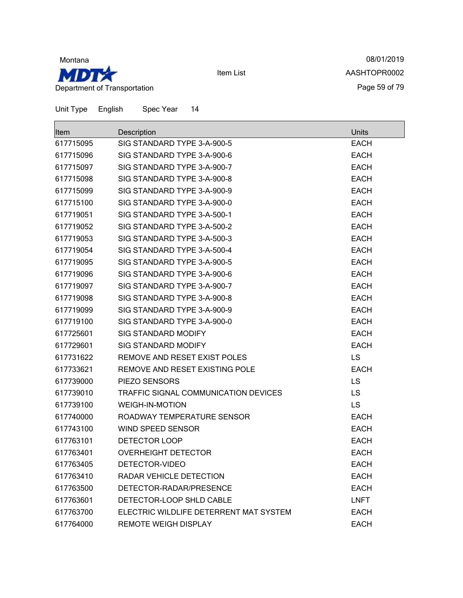

08/01/2019 AASHTOPR0002 Page 59 of 79

|  | Unit Type | English | Spec Year |  |  |
|--|-----------|---------|-----------|--|--|
|--|-----------|---------|-----------|--|--|

| Item      | Description                            | Units       |
|-----------|----------------------------------------|-------------|
| 617715095 | SIG STANDARD TYPE 3-A-900-5            | <b>EACH</b> |
| 617715096 | SIG STANDARD TYPE 3-A-900-6            | <b>EACH</b> |
| 617715097 | SIG STANDARD TYPE 3-A-900-7            | <b>EACH</b> |
| 617715098 | SIG STANDARD TYPE 3-A-900-8            | <b>EACH</b> |
| 617715099 | SIG STANDARD TYPE 3-A-900-9            | <b>EACH</b> |
| 617715100 | SIG STANDARD TYPE 3-A-900-0            | <b>EACH</b> |
| 617719051 | SIG STANDARD TYPE 3-A-500-1            | <b>EACH</b> |
| 617719052 | SIG STANDARD TYPE 3-A-500-2            | <b>EACH</b> |
| 617719053 | SIG STANDARD TYPE 3-A-500-3            | <b>EACH</b> |
| 617719054 | SIG STANDARD TYPE 3-A-500-4            | <b>EACH</b> |
| 617719095 | SIG STANDARD TYPE 3-A-900-5            | <b>EACH</b> |
| 617719096 | SIG STANDARD TYPE 3-A-900-6            | <b>EACH</b> |
| 617719097 | SIG STANDARD TYPE 3-A-900-7            | <b>EACH</b> |
| 617719098 | SIG STANDARD TYPE 3-A-900-8            | <b>EACH</b> |
| 617719099 | SIG STANDARD TYPE 3-A-900-9            | <b>EACH</b> |
| 617719100 | SIG STANDARD TYPE 3-A-900-0            | <b>EACH</b> |
| 617725601 | <b>SIG STANDARD MODIFY</b>             | <b>EACH</b> |
| 617729601 | SIG STANDARD MODIFY                    | <b>EACH</b> |
| 617731622 | REMOVE AND RESET EXIST POLES           | LS          |
| 617733621 | REMOVE AND RESET EXISTING POLE         | <b>EACH</b> |
| 617739000 | PIEZO SENSORS                          | LS          |
| 617739010 | TRAFFIC SIGNAL COMMUNICATION DEVICES   | LS          |
| 617739100 | <b>WEIGH-IN-MOTION</b>                 | LS          |
| 617740000 | ROADWAY TEMPERATURE SENSOR             | <b>EACH</b> |
| 617743100 | <b>WIND SPEED SENSOR</b>               | <b>EACH</b> |
| 617763101 | DETECTOR LOOP                          | <b>EACH</b> |
| 617763401 | <b>OVERHEIGHT DETECTOR</b>             | <b>EACH</b> |
| 617763405 | DETECTOR-VIDEO                         | <b>EACH</b> |
| 617763410 | RADAR VEHICLE DETECTION                | <b>EACH</b> |
| 617763500 | DETECTOR-RADAR/PRESENCE                | <b>EACH</b> |
| 617763601 | DETECTOR-LOOP SHLD CABLE               | <b>LNFT</b> |
| 617763700 | ELECTRIC WILDLIFE DETERRENT MAT SYSTEM | <b>EACH</b> |
| 617764000 | <b>REMOTE WEIGH DISPLAY</b>            | <b>EACH</b> |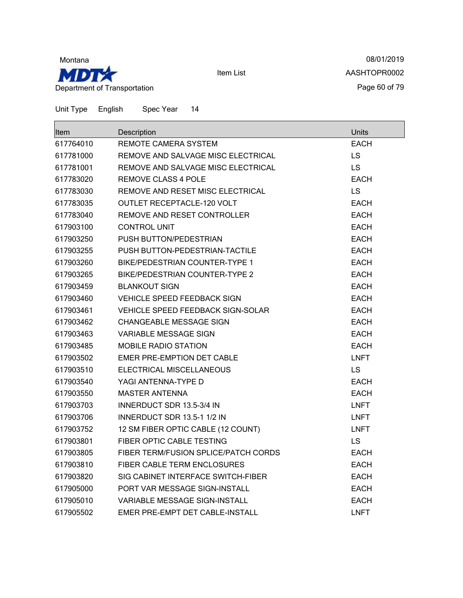

08/01/2019 AASHTOPR0002 Page 60 of 79

| <b>Item</b> | Description                          | Units       |
|-------------|--------------------------------------|-------------|
| 617764010   | REMOTE CAMERA SYSTEM                 | <b>EACH</b> |
| 617781000   | REMOVE AND SALVAGE MISC ELECTRICAL   | <b>LS</b>   |
| 617781001   | REMOVE AND SALVAGE MISC ELECTRICAL   | <b>LS</b>   |
| 617783020   | <b>REMOVE CLASS 4 POLE</b>           | <b>EACH</b> |
| 617783030   | REMOVE AND RESET MISC ELECTRICAL     | LS          |
| 617783035   | <b>OUTLET RECEPTACLE-120 VOLT</b>    | <b>EACH</b> |
| 617783040   | REMOVE AND RESET CONTROLLER          | <b>EACH</b> |
| 617903100   | <b>CONTROL UNIT</b>                  | <b>EACH</b> |
| 617903250   | PUSH BUTTON/PEDESTRIAN               | EACH        |
| 617903255   | PUSH BUTTON-PEDESTRIAN-TACTILE       | <b>EACH</b> |
| 617903260   | BIKE/PEDESTRIAN COUNTER-TYPE 1       | <b>EACH</b> |
| 617903265   | BIKE/PEDESTRIAN COUNTER-TYPE 2       | <b>EACH</b> |
| 617903459   | <b>BLANKOUT SIGN</b>                 | <b>EACH</b> |
| 617903460   | <b>VEHICLE SPEED FEEDBACK SIGN</b>   | <b>EACH</b> |
| 617903461   | VEHICLE SPEED FEEDBACK SIGN-SOLAR    | EACH        |
| 617903462   | CHANGEABLE MESSAGE SIGN              | EACH        |
| 617903463   | VARIABLE MESSAGE SIGN                | <b>EACH</b> |
| 617903485   | <b>MOBILE RADIO STATION</b>          | <b>EACH</b> |
| 617903502   | <b>EMER PRE-EMPTION DET CABLE</b>    | <b>LNFT</b> |
| 617903510   | ELECTRICAL MISCELLANEOUS             | <b>LS</b>   |
| 617903540   | YAGI ANTENNA-TYPE D                  | <b>EACH</b> |
| 617903550   | <b>MASTER ANTENNA</b>                | <b>EACH</b> |
| 617903703   | INNERDUCT SDR 13.5-3/4 IN            | <b>LNFT</b> |
| 617903706   | INNERDUCT SDR 13.5-1 1/2 IN          | LNFT        |
| 617903752   | 12 SM FIBER OPTIC CABLE (12 COUNT)   | <b>LNFT</b> |
| 617903801   | FIBER OPTIC CABLE TESTING            | <b>LS</b>   |
| 617903805   | FIBER TERM/FUSION SPLICE/PATCH CORDS | <b>EACH</b> |
| 617903810   | <b>FIBER CABLE TERM ENCLOSURES</b>   | EACH        |
| 617903820   | SIG CABINET INTERFACE SWITCH-FIBER   | <b>EACH</b> |
| 617905000   | PORT VAR MESSAGE SIGN-INSTALL        | <b>EACH</b> |
| 617905010   | VARIABLE MESSAGE SIGN-INSTALL        | EACH        |
| 617905502   | EMER PRE-EMPT DET CABLE-INSTALL      | <b>LNFT</b> |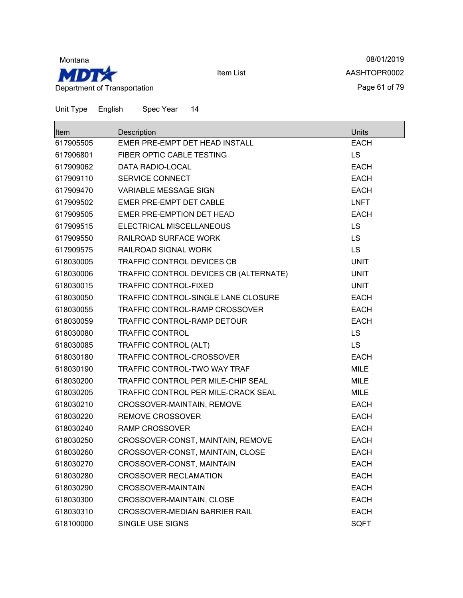

08/01/2019 AASHTOPR0002 Page 61 of 79

| lltem     | Description                            | Units       |
|-----------|----------------------------------------|-------------|
| 617905505 | EMER PRE-EMPT DET HEAD INSTALL         | <b>EACH</b> |
| 617906801 | FIBER OPTIC CABLE TESTING              | LS.         |
| 617909062 | DATA RADIO-LOCAL                       | <b>EACH</b> |
| 617909110 | <b>SERVICE CONNECT</b>                 | <b>EACH</b> |
| 617909470 | VARIABLE MESSAGE SIGN                  | <b>EACH</b> |
| 617909502 | EMER PRE-EMPT DET CABLE                | <b>LNFT</b> |
| 617909505 | EMER PRE-EMPTION DET HEAD              | <b>EACH</b> |
| 617909515 | ELECTRICAL MISCELLANEOUS               | LS          |
| 617909550 | RAILROAD SURFACE WORK                  | <b>LS</b>   |
| 617909575 | RAILROAD SIGNAL WORK                   | <b>LS</b>   |
| 618030005 | TRAFFIC CONTROL DEVICES CB             | <b>UNIT</b> |
| 618030006 | TRAFFIC CONTROL DEVICES CB (ALTERNATE) | <b>UNIT</b> |
| 618030015 | <b>TRAFFIC CONTROL-FIXED</b>           | <b>UNIT</b> |
| 618030050 | TRAFFIC CONTROL-SINGLE LANE CLOSURE    | <b>EACH</b> |
| 618030055 | TRAFFIC CONTROL-RAMP CROSSOVER         | <b>EACH</b> |
| 618030059 | TRAFFIC CONTROL-RAMP DETOUR            | <b>EACH</b> |
| 618030080 | <b>TRAFFIC CONTROL</b>                 | LS          |
| 618030085 | TRAFFIC CONTROL (ALT)                  | <b>LS</b>   |
| 618030180 | TRAFFIC CONTROL-CROSSOVER              | <b>EACH</b> |
| 618030190 | TRAFFIC CONTROL-TWO WAY TRAF           | <b>MILE</b> |
| 618030200 | TRAFFIC CONTROL PER MILE-CHIP SEAL     | <b>MILE</b> |
| 618030205 | TRAFFIC CONTROL PER MILE-CRACK SEAL    | <b>MILE</b> |
| 618030210 | CROSSOVER-MAINTAIN, REMOVE             | <b>EACH</b> |
| 618030220 | <b>REMOVE CROSSOVER</b>                | <b>EACH</b> |
| 618030240 | <b>RAMP CROSSOVER</b>                  | <b>EACH</b> |
| 618030250 | CROSSOVER-CONST, MAINTAIN, REMOVE      | <b>EACH</b> |
| 618030260 | CROSSOVER-CONST, MAINTAIN, CLOSE       | <b>EACH</b> |
| 618030270 | CROSSOVER-CONST, MAINTAIN              | <b>EACH</b> |
| 618030280 | <b>CROSSOVER RECLAMATION</b>           | <b>EACH</b> |
| 618030290 | CROSSOVER-MAINTAIN                     | <b>EACH</b> |
| 618030300 | CROSSOVER-MAINTAIN, CLOSE              | <b>EACH</b> |
| 618030310 | <b>CROSSOVER-MEDIAN BARRIER RAIL</b>   | <b>EACH</b> |
| 618100000 | SINGLE USE SIGNS                       | <b>SQFT</b> |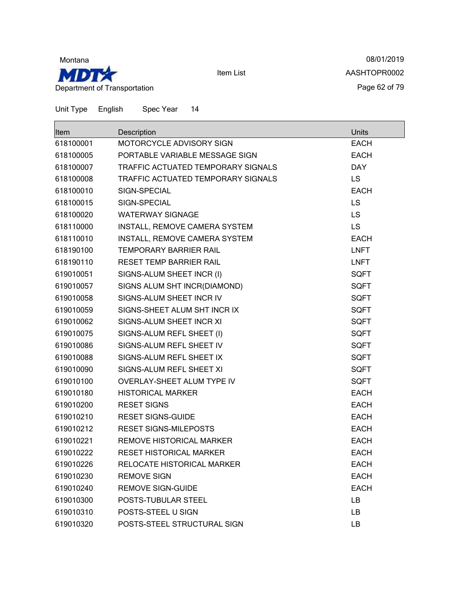

08/01/2019 AASHTOPR0002 Page 62 of 79

| Item      | Description                        | Units       |
|-----------|------------------------------------|-------------|
| 618100001 | MOTORCYCLE ADVISORY SIGN           | <b>EACH</b> |
| 618100005 | PORTABLE VARIABLE MESSAGE SIGN     | <b>EACH</b> |
| 618100007 | TRAFFIC ACTUATED TEMPORARY SIGNALS | <b>DAY</b>  |
| 618100008 | TRAFFIC ACTUATED TEMPORARY SIGNALS | <b>LS</b>   |
| 618100010 | SIGN-SPECIAL                       | <b>EACH</b> |
| 618100015 | SIGN-SPECIAL                       | LS          |
| 618100020 | <b>WATERWAY SIGNAGE</b>            | <b>LS</b>   |
| 618110000 | INSTALL, REMOVE CAMERA SYSTEM      | <b>LS</b>   |
| 618110010 | INSTALL, REMOVE CAMERA SYSTEM      | <b>EACH</b> |
| 618190100 | <b>TEMPORARY BARRIER RAIL</b>      | <b>LNFT</b> |
| 618190110 | <b>RESET TEMP BARRIER RAIL</b>     | <b>LNFT</b> |
| 619010051 | SIGNS-ALUM SHEET INCR (I)          | <b>SQFT</b> |
| 619010057 | SIGNS ALUM SHT INCR(DIAMOND)       | <b>SQFT</b> |
| 619010058 | SIGNS-ALUM SHEET INCR IV           | <b>SQFT</b> |
| 619010059 | SIGNS-SHEET ALUM SHT INCR IX       | <b>SQFT</b> |
| 619010062 | SIGNS-ALUM SHEET INCR XI           | <b>SQFT</b> |
| 619010075 | SIGNS-ALUM REFL SHEET (I)          | <b>SQFT</b> |
| 619010086 | SIGNS-ALUM REFL SHEET IV           | <b>SQFT</b> |
| 619010088 | SIGNS-ALUM REFL SHEET IX           | <b>SQFT</b> |
| 619010090 | SIGNS-ALUM REFL SHEET XI           | <b>SQFT</b> |
| 619010100 | OVERLAY-SHEET ALUM TYPE IV         | <b>SQFT</b> |
| 619010180 | <b>HISTORICAL MARKER</b>           | <b>EACH</b> |
| 619010200 | <b>RESET SIGNS</b>                 | <b>EACH</b> |
| 619010210 | <b>RESET SIGNS-GUIDE</b>           | <b>EACH</b> |
| 619010212 | <b>RESET SIGNS-MILEPOSTS</b>       | <b>EACH</b> |
| 619010221 | REMOVE HISTORICAL MARKER           | <b>EACH</b> |
| 619010222 | <b>RESET HISTORICAL MARKER</b>     | <b>EACH</b> |
| 619010226 | RELOCATE HISTORICAL MARKER         | <b>EACH</b> |
| 619010230 | <b>REMOVE SIGN</b>                 | <b>EACH</b> |
| 619010240 | <b>REMOVE SIGN-GUIDE</b>           | <b>EACH</b> |
| 619010300 | POSTS-TUBULAR STEEL                | <b>LB</b>   |
| 619010310 | POSTS-STEEL U SIGN                 | LB          |
| 619010320 | POSTS-STEEL STRUCTURAL SIGN        | LB          |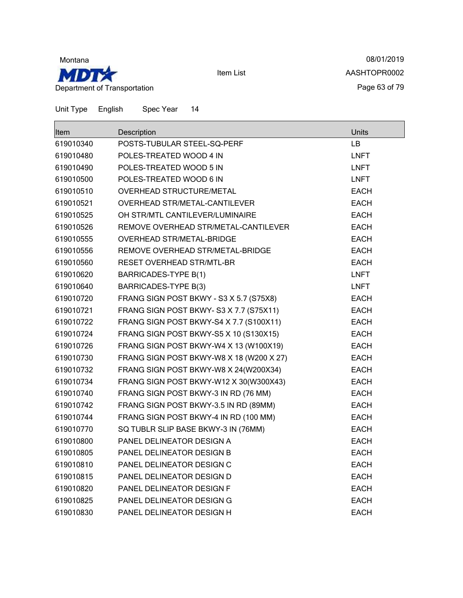

08/01/2019 AASHTOPR0002 Page 63 of 79

| <b>Item</b> | Description                              | Units       |
|-------------|------------------------------------------|-------------|
| 619010340   | POSTS-TUBULAR STEEL-SQ-PERF              | <b>LB</b>   |
| 619010480   | POLES-TREATED WOOD 4 IN                  | <b>LNFT</b> |
| 619010490   | POLES-TREATED WOOD 5 IN                  | <b>LNFT</b> |
| 619010500   | POLES-TREATED WOOD 6 IN                  | <b>LNFT</b> |
| 619010510   | OVERHEAD STRUCTURE/METAL                 | <b>EACH</b> |
| 619010521   | OVERHEAD STR/METAL-CANTILEVER            | <b>EACH</b> |
| 619010525   | OH STR/MTL CANTILEVER/LUMINAIRE          | <b>EACH</b> |
| 619010526   | REMOVE OVERHEAD STR/METAL-CANTILEVER     | <b>EACH</b> |
| 619010555   | OVERHEAD STR/METAL-BRIDGE                | <b>EACH</b> |
| 619010556   | REMOVE OVERHEAD STR/METAL-BRIDGE         | <b>EACH</b> |
| 619010560   | <b>RESET OVERHEAD STR/MTL-BR</b>         | <b>EACH</b> |
| 619010620   | <b>BARRICADES-TYPE B(1)</b>              | <b>LNFT</b> |
| 619010640   | <b>BARRICADES-TYPE B(3)</b>              | <b>LNFT</b> |
| 619010720   | FRANG SIGN POST BKWY - S3 X 5.7 (S75X8)  | <b>EACH</b> |
| 619010721   | FRANG SIGN POST BKWY-S3 X 7.7 (S75X11)   | <b>EACH</b> |
| 619010722   | FRANG SIGN POST BKWY-S4 X 7.7 (S100X11)  | <b>EACH</b> |
| 619010724   | FRANG SIGN POST BKWY-S5 X 10 (S130X15)   | <b>EACH</b> |
| 619010726   | FRANG SIGN POST BKWY-W4 X 13 (W100X19)   | <b>EACH</b> |
| 619010730   | FRANG SIGN POST BKWY-W8 X 18 (W200 X 27) | <b>EACH</b> |
| 619010732   | FRANG SIGN POST BKWY-W8 X 24(W200X34)    | <b>EACH</b> |
| 619010734   | FRANG SIGN POST BKWY-W12 X 30(W300X43)   | <b>EACH</b> |
| 619010740   | FRANG SIGN POST BKWY-3 IN RD (76 MM)     | <b>EACH</b> |
| 619010742   | FRANG SIGN POST BKWY-3.5 IN RD (89MM)    | <b>EACH</b> |
| 619010744   | FRANG SIGN POST BKWY-4 IN RD (100 MM)    | <b>EACH</b> |
| 619010770   | SQ TUBLR SLIP BASE BKWY-3 IN (76MM)      | <b>EACH</b> |
| 619010800   | PANEL DELINEATOR DESIGN A                | <b>EACH</b> |
| 619010805   | PANEL DELINEATOR DESIGN B                | <b>EACH</b> |
| 619010810   | PANEL DELINEATOR DESIGN C                | <b>EACH</b> |
| 619010815   | PANEL DELINEATOR DESIGN D                | <b>EACH</b> |
| 619010820   | PANEL DELINEATOR DESIGN F                | <b>EACH</b> |
| 619010825   | PANEL DELINEATOR DESIGN G                | <b>EACH</b> |
| 619010830   | PANEL DELINEATOR DESIGN H                | <b>EACH</b> |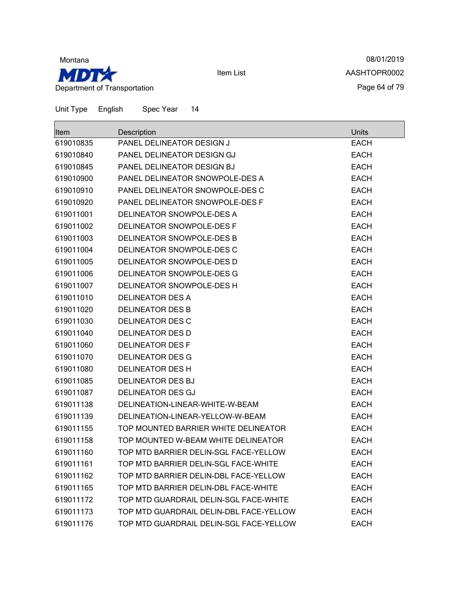

08/01/2019 AASHTOPR0002 Page 64 of 79

| lltem     | Description                             | Units       |
|-----------|-----------------------------------------|-------------|
| 619010835 | PANEL DELINEATOR DESIGN J               | <b>EACH</b> |
| 619010840 | PANEL DELINEATOR DESIGN GJ              | <b>EACH</b> |
| 619010845 | PANEL DELINEATOR DESIGN BJ              | <b>EACH</b> |
| 619010900 | PANEL DELINEATOR SNOWPOLE-DES A         | <b>EACH</b> |
| 619010910 | PANEL DELINEATOR SNOWPOLE-DES C         | <b>EACH</b> |
| 619010920 | PANEL DELINEATOR SNOWPOLE-DES F         | <b>EACH</b> |
| 619011001 | DELINEATOR SNOWPOLE-DES A               | <b>EACH</b> |
| 619011002 | DELINEATOR SNOWPOLE-DES F               | <b>EACH</b> |
| 619011003 | DELINEATOR SNOWPOLE-DES B               | <b>EACH</b> |
| 619011004 | DELINEATOR SNOWPOLE-DES C               | <b>EACH</b> |
| 619011005 | DELINEATOR SNOWPOLE-DES D               | <b>EACH</b> |
| 619011006 | DELINEATOR SNOWPOLE-DES G               | <b>EACH</b> |
| 619011007 | DELINEATOR SNOWPOLE-DES H               | <b>EACH</b> |
| 619011010 | <b>DELINEATOR DES A</b>                 | <b>EACH</b> |
| 619011020 | <b>DELINEATOR DES B</b>                 | <b>EACH</b> |
| 619011030 | <b>DELINEATOR DES C</b>                 | <b>EACH</b> |
| 619011040 | <b>DELINEATOR DES D</b>                 | <b>EACH</b> |
| 619011060 | <b>DELINEATOR DES F</b>                 | <b>EACH</b> |
| 619011070 | <b>DELINEATOR DES G</b>                 | <b>EACH</b> |
| 619011080 | <b>DELINEATOR DES H</b>                 | <b>EACH</b> |
| 619011085 | <b>DELINEATOR DES BJ</b>                | <b>EACH</b> |
| 619011087 | <b>DELINEATOR DES GJ</b>                | <b>EACH</b> |
| 619011138 | DELINEATION-LINEAR-WHITE-W-BEAM         | <b>EACH</b> |
| 619011139 | DELINEATION-LINEAR-YELLOW-W-BEAM        | <b>EACH</b> |
| 619011155 | TOP MOUNTED BARRIER WHITE DELINEATOR    | <b>EACH</b> |
| 619011158 | TOP MOUNTED W-BEAM WHITE DELINEATOR     | <b>EACH</b> |
| 619011160 | TOP MTD BARRIER DELIN-SGL FACE-YELLOW   | <b>EACH</b> |
| 619011161 | TOP MTD BARRIER DELIN-SGL FACE-WHITE    | <b>EACH</b> |
| 619011162 | TOP MTD BARRIER DELIN-DBL FACE-YELLOW   | <b>EACH</b> |
| 619011165 | TOP MTD BARRIER DELIN-DBL FACE-WHITE    | <b>EACH</b> |
| 619011172 | TOP MTD GUARDRAIL DELIN-SGL FACE-WHITE  | <b>EACH</b> |
| 619011173 | TOP MTD GUARDRAIL DELIN-DBL FACE-YELLOW | <b>EACH</b> |
| 619011176 | TOP MTD GUARDRAIL DELIN-SGL FACE-YELLOW | <b>EACH</b> |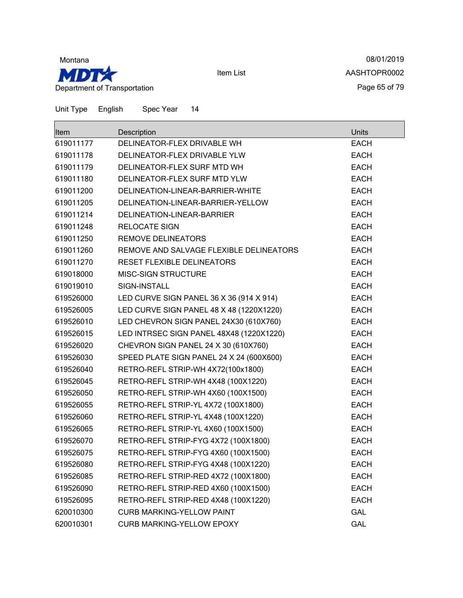

08/01/2019 AASHTOPR0002 Page 65 of 79

Unit Type English Spec Year 14

| lltem     | Description                              | <b>Units</b> |
|-----------|------------------------------------------|--------------|
| 619011177 | DELINEATOR-FLEX DRIVABLE WH              | <b>EACH</b>  |
| 619011178 | DELINEATOR-FLEX DRIVABLE YLW             | <b>EACH</b>  |
| 619011179 | DELINEATOR-FLEX SURF MTD WH              | <b>EACH</b>  |
| 619011180 | DELINEATOR-FLEX SURF MTD YLW             | <b>EACH</b>  |
| 619011200 | DELINEATION-LINEAR-BARRIER-WHITE         | <b>EACH</b>  |
| 619011205 | DELINEATION-LINEAR-BARRIER-YELLOW        | <b>EACH</b>  |
| 619011214 | DELINEATION-LINEAR-BARRIER               | <b>EACH</b>  |
| 619011248 | <b>RELOCATE SIGN</b>                     | <b>EACH</b>  |
| 619011250 | <b>REMOVE DELINEATORS</b>                | <b>EACH</b>  |
| 619011260 | REMOVE AND SALVAGE FLEXIBLE DELINEATORS  | <b>EACH</b>  |
| 619011270 | RESET FLEXIBLE DELINEATORS               | <b>EACH</b>  |
| 619018000 | <b>MISC-SIGN STRUCTURE</b>               | <b>EACH</b>  |
| 619019010 | SIGN-INSTALL                             | <b>EACH</b>  |
| 619526000 | LED CURVE SIGN PANEL 36 X 36 (914 X 914) | <b>EACH</b>  |
| 619526005 | LED CURVE SIGN PANEL 48 X 48 (1220X1220) | <b>EACH</b>  |
| 619526010 | LED CHEVRON SIGN PANEL 24X30 (610X760)   | <b>EACH</b>  |
| 619526015 | LED INTRSEC SIGN PANEL 48X48 (1220X1220) | <b>EACH</b>  |
| 619526020 | CHEVRON SIGN PANEL 24 X 30 (610X760)     | <b>EACH</b>  |
| 619526030 | SPEED PLATE SIGN PANEL 24 X 24 (600X600) | <b>EACH</b>  |
| 619526040 | RETRO-REFL STRIP-WH 4X72(100x1800)       | <b>EACH</b>  |
| 619526045 | RETRO-REFL STRIP-WH 4X48 (100X1220)      | <b>EACH</b>  |
| 619526050 | RETRO-REFL STRIP-WH 4X60 (100X1500)      | <b>EACH</b>  |
| 619526055 | RETRO-REFL STRIP-YL 4X72 (100X1800)      | <b>EACH</b>  |
| 619526060 | RETRO-REFL STRIP-YL 4X48 (100X1220)      | <b>EACH</b>  |
| 619526065 | RETRO-REFL STRIP-YL 4X60 (100X1500)      | <b>EACH</b>  |
| 619526070 | RETRO-REFL STRIP-FYG 4X72 (100X1800)     | <b>EACH</b>  |
| 619526075 | RETRO-REFL STRIP-FYG 4X60 (100X1500)     | <b>EACH</b>  |
| 619526080 | RETRO-REFL STRIP-FYG 4X48 (100X1220)     | EACH         |
| 619526085 | RETRO-REFL STRIP-RED 4X72 (100X1800)     | <b>EACH</b>  |
| 619526090 | RETRO-REFL STRIP-RED 4X60 (100X1500)     | <b>EACH</b>  |
| 619526095 | RETRO-REFL STRIP-RED 4X48 (100X1220)     | <b>EACH</b>  |
| 620010300 | <b>CURB MARKING-YELLOW PAINT</b>         | GAL          |
| 620010301 | CURB MARKING-YELLOW EPOXY                | <b>GAL</b>   |

Item List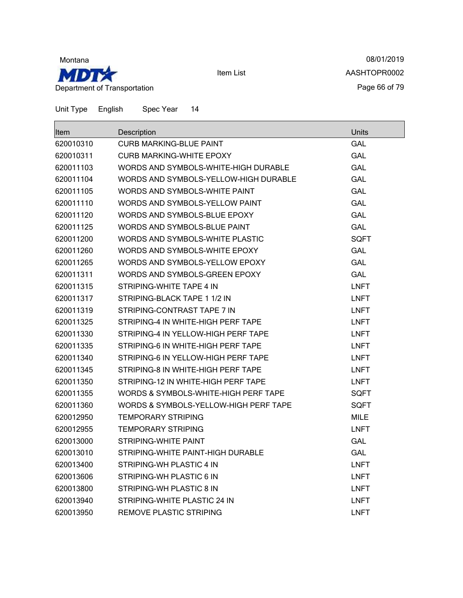

08/01/2019 AASHTOPR0002 Page 66 of 79

| <b>Item</b> | Description                           | Units       |
|-------------|---------------------------------------|-------------|
| 620010310   | CURB MARKING-BLUE PAINT               | GAL         |
| 620010311   | CURB MARKING-WHITE EPOXY              | <b>GAL</b>  |
| 620011103   | WORDS AND SYMBOLS-WHITE-HIGH DURABLE  | <b>GAL</b>  |
| 620011104   | WORDS AND SYMBOLS-YELLOW-HIGH DURABLE | <b>GAL</b>  |
| 620011105   | WORDS AND SYMBOLS-WHITE PAINT         | <b>GAL</b>  |
| 620011110   | WORDS AND SYMBOLS-YELLOW PAINT        | GAL         |
| 620011120   | WORDS AND SYMBOLS-BLUE EPOXY          | <b>GAL</b>  |
| 620011125   | WORDS AND SYMBOLS-BLUE PAINT          | <b>GAL</b>  |
| 620011200   | WORDS AND SYMBOLS-WHITE PLASTIC       | SQFT        |
| 620011260   | WORDS AND SYMBOLS-WHITE EPOXY         | <b>GAL</b>  |
| 620011265   | WORDS AND SYMBOLS-YELLOW EPOXY        | <b>GAL</b>  |
| 620011311   | WORDS AND SYMBOLS-GREEN EPOXY         | GAL         |
| 620011315   | STRIPING-WHITE TAPE 4 IN              | <b>LNFT</b> |
| 620011317   | STRIPING-BLACK TAPE 1 1/2 IN          | LNFT        |
| 620011319   | STRIPING-CONTRAST TAPE 7 IN           | <b>LNFT</b> |
| 620011325   | STRIPING-4 IN WHITE-HIGH PERF TAPE    | <b>LNFT</b> |
| 620011330   | STRIPING-4 IN YELLOW-HIGH PERF TAPE   | <b>LNFT</b> |
| 620011335   | STRIPING-6 IN WHITE-HIGH PERF TAPE    | <b>LNFT</b> |
| 620011340   | STRIPING-6 IN YELLOW-HIGH PERF TAPE   | <b>LNFT</b> |
| 620011345   | STRIPING-8 IN WHITE-HIGH PERF TAPE    | LNFT        |
| 620011350   | STRIPING-12 IN WHITE-HIGH PERF TAPE   | <b>LNFT</b> |
| 620011355   | WORDS & SYMBOLS-WHITE-HIGH PERF TAPE  | SQFT        |
| 620011360   | WORDS & SYMBOLS-YELLOW-HIGH PERF TAPE | SQFT        |
| 620012950   | <b>TEMPORARY STRIPING</b>             | MILE        |
| 620012955   | <b>TEMPORARY STRIPING</b>             | <b>LNFT</b> |
| 620013000   | STRIPING-WHITE PAINT                  | GAL         |
| 620013010   | STRIPING-WHITE PAINT-HIGH DURABLE     | GAL         |
| 620013400   | STRIPING-WH PLASTIC 4 IN              | <b>LNFT</b> |
| 620013606   | STRIPING-WH PLASTIC 6 IN              | <b>LNFT</b> |
| 620013800   | STRIPING-WH PLASTIC 8 IN              | <b>LNFT</b> |
| 620013940   | STRIPING-WHITE PLASTIC 24 IN          | <b>LNFT</b> |
| 620013950   | <b>REMOVE PLASTIC STRIPING</b>        | <b>LNFT</b> |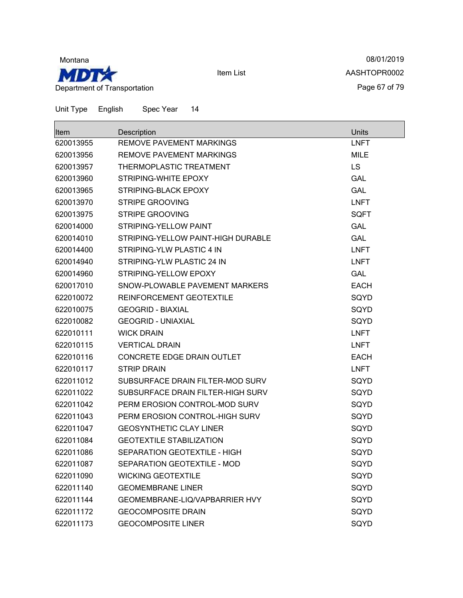

08/01/2019 AASHTOPR0002 Page 67 of 79

Unit Type English Spec Year 14

| <b>Item</b> | Description                        | <b>Units</b> |
|-------------|------------------------------------|--------------|
| 620013955   | <b>REMOVE PAVEMENT MARKINGS</b>    | <b>LNFT</b>  |
| 620013956   | REMOVE PAVEMENT MARKINGS           | <b>MILE</b>  |
| 620013957   | THERMOPLASTIC TREATMENT            | <b>LS</b>    |
| 620013960   | STRIPING-WHITE EPOXY               | <b>GAL</b>   |
| 620013965   | STRIPING-BLACK EPOXY               | <b>GAL</b>   |
| 620013970   | <b>STRIPE GROOVING</b>             | <b>LNFT</b>  |
| 620013975   | <b>STRIPE GROOVING</b>             | <b>SQFT</b>  |
| 620014000   | STRIPING-YELLOW PAINT              | <b>GAL</b>   |
| 620014010   | STRIPING-YELLOW PAINT-HIGH DURABLE | <b>GAL</b>   |
| 620014400   | STRIPING-YLW PLASTIC 4 IN          | <b>LNFT</b>  |
| 620014940   | STRIPING-YLW PLASTIC 24 IN         | <b>LNFT</b>  |
| 620014960   | STRIPING-YELLOW EPOXY              | <b>GAL</b>   |
| 620017010   | SNOW-PLOWABLE PAVEMENT MARKERS     | <b>EACH</b>  |
| 622010072   | REINFORCEMENT GEOTEXTILE           | SQYD         |
| 622010075   | <b>GEOGRID - BIAXIAL</b>           | SQYD         |
| 622010082   | <b>GEOGRID - UNIAXIAL</b>          | SQYD         |
| 622010111   | <b>WICK DRAIN</b>                  | <b>LNFT</b>  |
| 622010115   | <b>VERTICAL DRAIN</b>              | <b>LNFT</b>  |
| 622010116   | CONCRETE EDGE DRAIN OUTLET         | <b>EACH</b>  |
| 622010117   | <b>STRIP DRAIN</b>                 | <b>LNFT</b>  |
| 622011012   | SUBSURFACE DRAIN FILTER-MOD SURV   | SQYD         |
| 622011022   | SUBSURFACE DRAIN FILTER-HIGH SURV  | SQYD         |
| 622011042   | PERM EROSION CONTROL-MOD SURV      | SQYD         |
| 622011043   | PERM EROSION CONTROL-HIGH SURV     | SQYD         |
| 622011047   | <b>GEOSYNTHETIC CLAY LINER</b>     | SQYD         |
| 622011084   | <b>GEOTEXTILE STABILIZATION</b>    | SQYD         |
| 622011086   | SEPARATION GEOTEXTILE - HIGH       | SQYD         |
| 622011087   | SEPARATION GEOTEXTILE - MOD        | SQYD         |
| 622011090   | <b>WICKING GEOTEXTILE</b>          | SQYD         |
| 622011140   | <b>GEOMEMBRANE LINER</b>           | SQYD         |
| 622011144   | GEOMEMBRANE-LIQ/VAPBARRIER HVY     | SQYD         |
| 622011172   | <b>GEOCOMPOSITE DRAIN</b>          | SQYD         |
| 622011173   | <b>GEOCOMPOSITE LINER</b>          | SQYD         |

Item List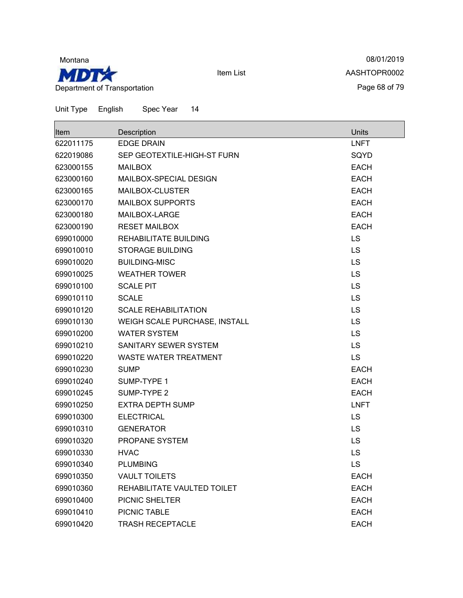

08/01/2019 AASHTOPR0002 Page 68 of 79

| <b>Item</b> | Description                   | <b>Units</b> |
|-------------|-------------------------------|--------------|
| 622011175   | <b>EDGE DRAIN</b>             | <b>LNFT</b>  |
| 622019086   | SEP GEOTEXTILE-HIGH-ST FURN   | SQYD         |
| 623000155   | <b>MAILBOX</b>                | <b>EACH</b>  |
| 623000160   | MAILBOX-SPECIAL DESIGN        | <b>EACH</b>  |
| 623000165   | MAILBOX-CLUSTER               | <b>EACH</b>  |
| 623000170   | <b>MAILBOX SUPPORTS</b>       | <b>EACH</b>  |
| 623000180   | MAILBOX-LARGE                 | <b>EACH</b>  |
| 623000190   | <b>RESET MAILBOX</b>          | <b>EACH</b>  |
| 699010000   | REHABILITATE BUILDING         | LS           |
| 699010010   | <b>STORAGE BUILDING</b>       | <b>LS</b>    |
| 699010020   | <b>BUILDING-MISC</b>          | LS           |
| 699010025   | <b>WEATHER TOWER</b>          | LS           |
| 699010100   | <b>SCALE PIT</b>              | <b>LS</b>    |
| 699010110   | <b>SCALE</b>                  | <b>LS</b>    |
| 699010120   | <b>SCALE REHABILITATION</b>   | LS           |
| 699010130   | WEIGH SCALE PURCHASE, INSTALL | LS           |
| 699010200   | <b>WATER SYSTEM</b>           | <b>LS</b>    |
| 699010210   | SANITARY SEWER SYSTEM         | <b>LS</b>    |
| 699010220   | <b>WASTE WATER TREATMENT</b>  | <b>LS</b>    |
| 699010230   | <b>SUMP</b>                   | <b>EACH</b>  |
| 699010240   | SUMP-TYPE 1                   | <b>EACH</b>  |
| 699010245   | SUMP-TYPE 2                   | <b>EACH</b>  |
| 699010250   | <b>EXTRA DEPTH SUMP</b>       | <b>LNFT</b>  |
| 699010300   | <b>ELECTRICAL</b>             | <b>LS</b>    |
| 699010310   | <b>GENERATOR</b>              | <b>LS</b>    |
| 699010320   | PROPANE SYSTEM                | LS           |
| 699010330   | <b>HVAC</b>                   | LS           |
| 699010340   | <b>PLUMBING</b>               | LS           |
| 699010350   | <b>VAULT TOILETS</b>          | <b>EACH</b>  |
| 699010360   | REHABILITATE VAULTED TOILET   | <b>EACH</b>  |
| 699010400   | PICNIC SHELTER                | <b>EACH</b>  |
| 699010410   | PICNIC TABLE                  | <b>EACH</b>  |
| 699010420   | <b>TRASH RECEPTACLE</b>       | <b>EACH</b>  |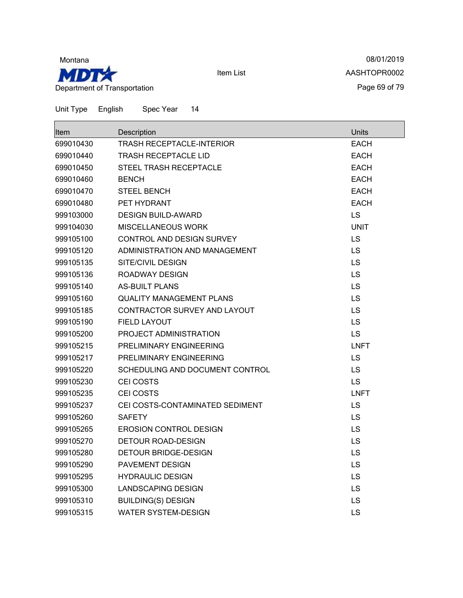

08/01/2019 AASHTOPR0002 Page 69 of 79

| <b>Item</b> | Description                      | Units       |
|-------------|----------------------------------|-------------|
| 699010430   | <b>TRASH RECEPTACLE-INTERIOR</b> | <b>EACH</b> |
| 699010440   | <b>TRASH RECEPTACLE LID</b>      | <b>EACH</b> |
| 699010450   | <b>STEEL TRASH RECEPTACLE</b>    | <b>EACH</b> |
| 699010460   | <b>BENCH</b>                     | <b>EACH</b> |
| 699010470   | <b>STEEL BENCH</b>               | <b>EACH</b> |
| 699010480   | PET HYDRANT                      | <b>EACH</b> |
| 999103000   | <b>DESIGN BUILD-AWARD</b>        | LS          |
| 999104030   | MISCELLANEOUS WORK               | <b>UNIT</b> |
| 999105100   | CONTROL AND DESIGN SURVEY        | LS          |
| 999105120   | ADMINISTRATION AND MANAGEMENT    | LS          |
| 999105135   | SITE/CIVIL DESIGN                | LS          |
| 999105136   | ROADWAY DESIGN                   | LS          |
| 999105140   | <b>AS-BUILT PLANS</b>            | LS          |
| 999105160   | <b>QUALITY MANAGEMENT PLANS</b>  | LS          |
| 999105185   | CONTRACTOR SURVEY AND LAYOUT     | LS          |
| 999105190   | <b>FIELD LAYOUT</b>              | LS          |
| 999105200   | PROJECT ADMINISTRATION           | LS          |
| 999105215   | PRELIMINARY ENGINEERING          | <b>LNFT</b> |
| 999105217   | PRELIMINARY ENGINEERING          | LS          |
| 999105220   | SCHEDULING AND DOCUMENT CONTROL  | LS          |
| 999105230   | <b>CEI COSTS</b>                 | LS          |
| 999105235   | CEI COSTS                        | <b>LNFT</b> |
| 999105237   | CEI COSTS-CONTAMINATED SEDIMENT  | LS          |
| 999105260   | <b>SAFETY</b>                    | LS          |
| 999105265   | <b>EROSION CONTROL DESIGN</b>    | LS          |
| 999105270   | DETOUR ROAD-DESIGN               | LS          |
| 999105280   | DETOUR BRIDGE-DESIGN             | LS          |
| 999105290   | PAVEMENT DESIGN                  | LS          |
| 999105295   | <b>HYDRAULIC DESIGN</b>          | LS          |
| 999105300   | <b>LANDSCAPING DESIGN</b>        | LS          |
| 999105310   | <b>BUILDING(S) DESIGN</b>        | LS          |
| 999105315   | <b>WATER SYSTEM-DESIGN</b>       | LS          |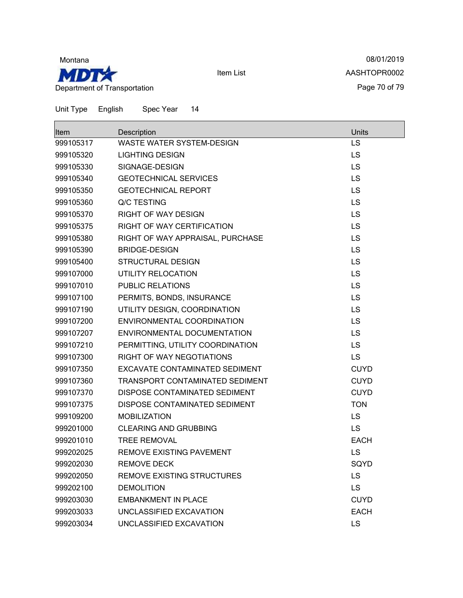

08/01/2019 AASHTOPR0002 Page 70 of 79

| lltem     | Description                       | <b>Units</b> |
|-----------|-----------------------------------|--------------|
| 999105317 | WASTE WATER SYSTEM-DESIGN         | <b>LS</b>    |
| 999105320 | <b>LIGHTING DESIGN</b>            | <b>LS</b>    |
| 999105330 | SIGNAGE-DESIGN                    | <b>LS</b>    |
| 999105340 | <b>GEOTECHNICAL SERVICES</b>      | <b>LS</b>    |
| 999105350 | <b>GEOTECHNICAL REPORT</b>        | LS           |
| 999105360 | Q/C TESTING                       | <b>LS</b>    |
| 999105370 | <b>RIGHT OF WAY DESIGN</b>        | LS           |
| 999105375 | RIGHT OF WAY CERTIFICATION        | LS           |
| 999105380 | RIGHT OF WAY APPRAISAL, PURCHASE  | LS           |
| 999105390 | <b>BRIDGE-DESIGN</b>              | <b>LS</b>    |
| 999105400 | <b>STRUCTURAL DESIGN</b>          | LS           |
| 999107000 | UTILITY RELOCATION                | LS           |
| 999107010 | <b>PUBLIC RELATIONS</b>           | LS           |
| 999107100 | PERMITS, BONDS, INSURANCE         | LS           |
| 999107190 | UTILITY DESIGN, COORDINATION      | <b>LS</b>    |
| 999107200 | ENVIRONMENTAL COORDINATION        | LS           |
| 999107207 | ENVIRONMENTAL DOCUMENTATION       | LS           |
| 999107210 | PERMITTING, UTILITY COORDINATION  | <b>LS</b>    |
| 999107300 | RIGHT OF WAY NEGOTIATIONS         | <b>LS</b>    |
| 999107350 | EXCAVATE CONTAMINATED SEDIMENT    | <b>CUYD</b>  |
| 999107360 | TRANSPORT CONTAMINATED SEDIMENT   | <b>CUYD</b>  |
| 999107370 | DISPOSE CONTAMINATED SEDIMENT     | <b>CUYD</b>  |
| 999107375 | DISPOSE CONTAMINATED SEDIMENT     | <b>TON</b>   |
| 999109200 | <b>MOBILIZATION</b>               | <b>LS</b>    |
| 999201000 | <b>CLEARING AND GRUBBING</b>      | <b>LS</b>    |
| 999201010 | <b>TREE REMOVAL</b>               | <b>EACH</b>  |
| 999202025 | <b>REMOVE EXISTING PAVEMENT</b>   | LS           |
| 999202030 | <b>REMOVE DECK</b>                | SQYD         |
| 999202050 | <b>REMOVE EXISTING STRUCTURES</b> | LS           |
| 999202100 | <b>DEMOLITION</b>                 | <b>LS</b>    |
| 999203030 | <b>EMBANKMENT IN PLACE</b>        | <b>CUYD</b>  |
| 999203033 | UNCLASSIFIED EXCAVATION           | <b>EACH</b>  |
| 999203034 | UNCLASSIFIED EXCAVATION           | <b>LS</b>    |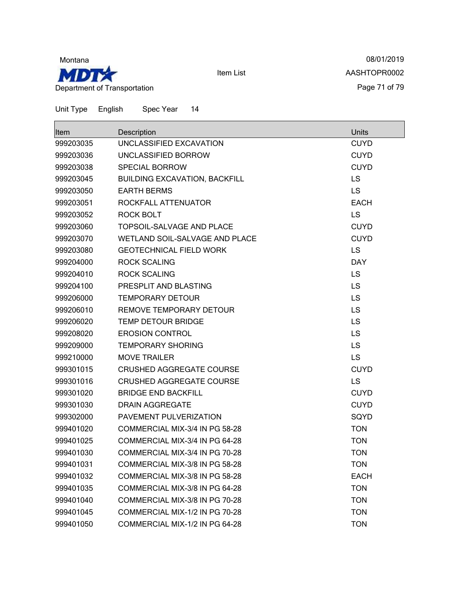

08/01/2019 AASHTOPR0002 Page 71 of 79

| Item      | Description                          | Units       |
|-----------|--------------------------------------|-------------|
| 999203035 | UNCLASSIFIED EXCAVATION              | <b>CUYD</b> |
| 999203036 | UNCLASSIFIED BORROW                  | <b>CUYD</b> |
| 999203038 | <b>SPECIAL BORROW</b>                | <b>CUYD</b> |
| 999203045 | <b>BUILDING EXCAVATION, BACKFILL</b> | <b>LS</b>   |
| 999203050 | <b>EARTH BERMS</b>                   | <b>LS</b>   |
| 999203051 | ROCKFALL ATTENUATOR                  | <b>EACH</b> |
| 999203052 | ROCK BOLT                            | LS          |
| 999203060 | TOPSOIL-SALVAGE AND PLACE            | <b>CUYD</b> |
| 999203070 | WETLAND SOIL-SALVAGE AND PLACE       | <b>CUYD</b> |
| 999203080 | <b>GEOTECHNICAL FIELD WORK</b>       | LS          |
| 999204000 | <b>ROCK SCALING</b>                  | <b>DAY</b>  |
| 999204010 | <b>ROCK SCALING</b>                  | <b>LS</b>   |
| 999204100 | PRESPLIT AND BLASTING                | LS          |
| 999206000 | <b>TEMPORARY DETOUR</b>              | LS          |
| 999206010 | REMOVE TEMPORARY DETOUR              | LS          |
| 999206020 | <b>TEMP DETOUR BRIDGE</b>            | <b>LS</b>   |
| 999208020 | <b>EROSION CONTROL</b>               | LS          |
| 999209000 | <b>TEMPORARY SHORING</b>             | LS          |
| 999210000 | <b>MOVE TRAILER</b>                  | <b>LS</b>   |
| 999301015 | <b>CRUSHED AGGREGATE COURSE</b>      | <b>CUYD</b> |
| 999301016 | <b>CRUSHED AGGREGATE COURSE</b>      | LS          |
| 999301020 | <b>BRIDGE END BACKFILL</b>           | <b>CUYD</b> |
| 999301030 | <b>DRAIN AGGREGATE</b>               | <b>CUYD</b> |
| 999302000 | PAVEMENT PULVERIZATION               | SQYD        |
| 999401020 | COMMERCIAL MIX-3/4 IN PG 58-28       | <b>TON</b>  |
| 999401025 | COMMERCIAL MIX-3/4 IN PG 64-28       | <b>TON</b>  |
| 999401030 | COMMERCIAL MIX-3/4 IN PG 70-28       | <b>TON</b>  |
| 999401031 | COMMERCIAL MIX-3/8 IN PG 58-28       | <b>TON</b>  |
| 999401032 | COMMERCIAL MIX-3/8 IN PG 58-28       | <b>EACH</b> |
| 999401035 | COMMERCIAL MIX-3/8 IN PG 64-28       | <b>TON</b>  |
| 999401040 | COMMERCIAL MIX-3/8 IN PG 70-28       | <b>TON</b>  |
| 999401045 | COMMERCIAL MIX-1/2 IN PG 70-28       | <b>TON</b>  |
| 999401050 | COMMERCIAL MIX-1/2 IN PG 64-28       | <b>TON</b>  |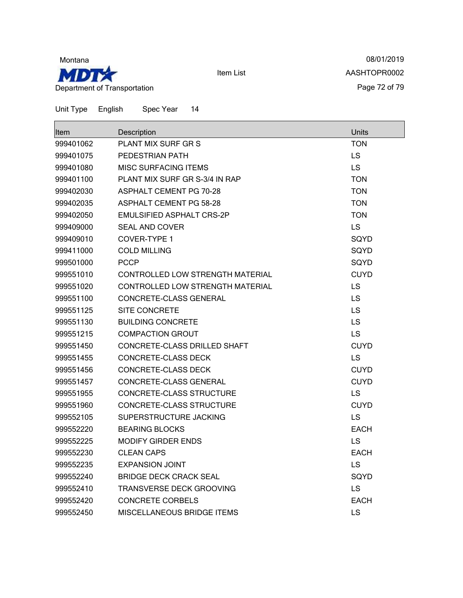

08/01/2019 AASHTOPR0002 Page 72 of 79

| Item      | Description                       | Units       |
|-----------|-----------------------------------|-------------|
| 999401062 | PLANT MIX SURF GR S               | <b>TON</b>  |
| 999401075 | PEDESTRIAN PATH                   | LS          |
| 999401080 | <b>MISC SURFACING ITEMS</b>       | <b>LS</b>   |
| 999401100 | PLANT MIX SURF GR S-3/4 IN RAP    | <b>TON</b>  |
| 999402030 | <b>ASPHALT CEMENT PG 70-28</b>    | TON         |
| 999402035 | <b>ASPHALT CEMENT PG 58-28</b>    | <b>TON</b>  |
| 999402050 | EMULSIFIED ASPHALT CRS-2P         | <b>TON</b>  |
| 999409000 | <b>SEAL AND COVER</b>             | <b>LS</b>   |
| 999409010 | COVER-TYPE 1                      | SQYD        |
| 999411000 | <b>COLD MILLING</b>               | SQYD        |
| 999501000 | <b>PCCP</b>                       | SQYD        |
| 999551010 | CONTROLLED LOW STRENGTH MATERIAL  | <b>CUYD</b> |
| 999551020 | CONTROLLED LOW STRENGTH MATERIAL  | <b>LS</b>   |
| 999551100 | CONCRETE-CLASS GENERAL            | <b>LS</b>   |
| 999551125 | <b>SITE CONCRETE</b>              | <b>LS</b>   |
| 999551130 | <b>BUILDING CONCRETE</b>          | LS          |
| 999551215 | <b>COMPACTION GROUT</b>           | LS          |
| 999551450 | CONCRETE-CLASS DRILLED SHAFT      | <b>CUYD</b> |
| 999551455 | <b>CONCRETE-CLASS DECK</b>        | LS          |
| 999551456 | <b>CONCRETE-CLASS DECK</b>        | <b>CUYD</b> |
| 999551457 | CONCRETE-CLASS GENERAL            | <b>CUYD</b> |
| 999551955 | CONCRETE-CLASS STRUCTURE          | <b>LS</b>   |
| 999551960 | CONCRETE-CLASS STRUCTURE          | <b>CUYD</b> |
| 999552105 | SUPERSTRUCTURE JACKING            | LS          |
| 999552220 | <b>BEARING BLOCKS</b>             | <b>EACH</b> |
| 999552225 | <b>MODIFY GIRDER ENDS</b>         | LS          |
| 999552230 | <b>CLEAN CAPS</b>                 | <b>EACH</b> |
| 999552235 | <b>EXPANSION JOINT</b>            | LS          |
| 999552240 | <b>BRIDGE DECK CRACK SEAL</b>     | SQYD        |
| 999552410 | TRANSVERSE DECK GROOVING          | LS          |
| 999552420 | <b>CONCRETE CORBELS</b>           | <b>EACH</b> |
| 999552450 | <b>MISCELLANEOUS BRIDGE ITEMS</b> | LS          |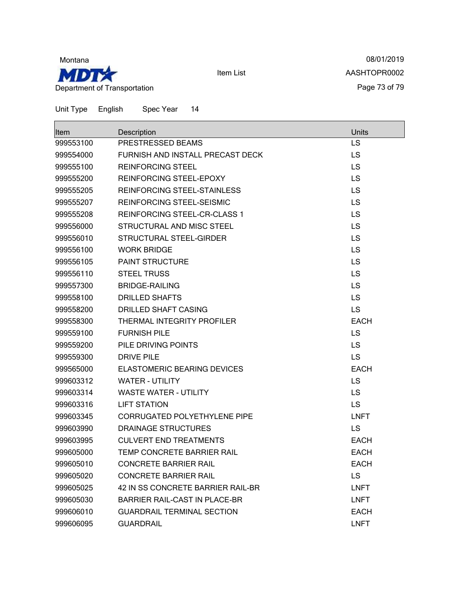

08/01/2019 AASHTOPR0002 Page 73 of 79

| ltem      | Description                       | Units       |
|-----------|-----------------------------------|-------------|
| 999553100 | PRESTRESSED BEAMS                 | <b>LS</b>   |
| 999554000 | FURNISH AND INSTALL PRECAST DECK  | <b>LS</b>   |
| 999555100 | <b>REINFORCING STEEL</b>          | <b>LS</b>   |
| 999555200 | REINFORCING STEEL-EPOXY           | LS          |
| 999555205 | REINFORCING STEEL-STAINLESS       | LS          |
| 999555207 | <b>REINFORCING STEEL-SEISMIC</b>  | <b>LS</b>   |
| 999555208 | REINFORCING STEEL-CR-CLASS 1      | LS          |
| 999556000 | STRUCTURAL AND MISC STEEL         | LS          |
| 999556010 | STRUCTURAL STEEL-GIRDER           | <b>LS</b>   |
| 999556100 | <b>WORK BRIDGE</b>                | LS          |
| 999556105 | <b>PAINT STRUCTURE</b>            | LS          |
| 999556110 | <b>STEEL TRUSS</b>                | <b>LS</b>   |
| 999557300 | <b>BRIDGE-RAILING</b>             | <b>LS</b>   |
| 999558100 | <b>DRILLED SHAFTS</b>             | LS          |
| 999558200 | <b>DRILLED SHAFT CASING</b>       | <b>LS</b>   |
| 999558300 | THERMAL INTEGRITY PROFILER        | <b>EACH</b> |
| 999559100 | <b>FURNISH PILE</b>               | <b>LS</b>   |
| 999559200 | PILE DRIVING POINTS               | <b>LS</b>   |
| 999559300 | <b>DRIVE PILE</b>                 | <b>LS</b>   |
| 999565000 | ELASTOMERIC BEARING DEVICES       | <b>EACH</b> |
| 999603312 | <b>WATER - UTILITY</b>            | <b>LS</b>   |
| 999603314 | <b>WASTE WATER - UTILITY</b>      | <b>LS</b>   |
| 999603316 | LIFT STATION                      | <b>LS</b>   |
| 999603345 | CORRUGATED POLYETHYLENE PIPE      | <b>LNFT</b> |
| 999603990 | <b>DRAINAGE STRUCTURES</b>        | <b>LS</b>   |
| 999603995 | <b>CULVERT END TREATMENTS</b>     | <b>EACH</b> |
| 999605000 | TEMP CONCRETE BARRIER RAIL        | <b>EACH</b> |
| 999605010 | <b>CONCRETE BARRIER RAIL</b>      | <b>EACH</b> |
| 999605020 | <b>CONCRETE BARRIER RAIL</b>      | <b>LS</b>   |
| 999605025 | 42 IN SS CONCRETE BARRIER RAIL-BR | <b>LNFT</b> |
| 999605030 | BARRIER RAIL-CAST IN PLACE-BR     | <b>LNFT</b> |
| 999606010 | <b>GUARDRAIL TERMINAL SECTION</b> | <b>EACH</b> |
| 999606095 | <b>GUARDRAIL</b>                  | <b>LNFT</b> |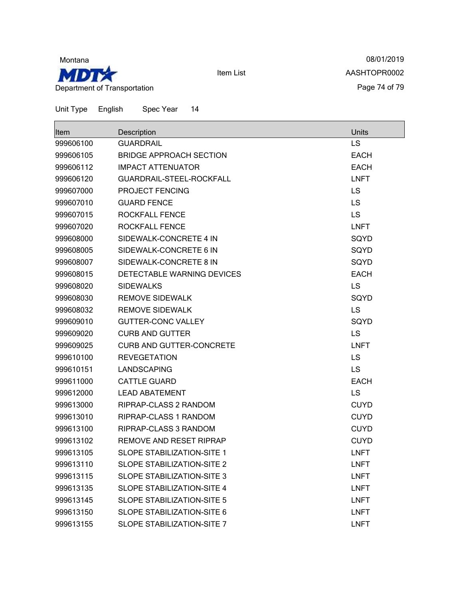

08/01/2019 AASHTOPR0002 Page 74 of 79

| Item      | Description                       | Units       |
|-----------|-----------------------------------|-------------|
| 999606100 | <b>GUARDRAIL</b>                  | LS          |
| 999606105 | BRIDGE APPROACH SECTION           | <b>EACH</b> |
| 999606112 | <b>IMPACT ATTENUATOR</b>          | <b>EACH</b> |
| 999606120 | GUARDRAIL-STEEL-ROCKFALL          | <b>LNFT</b> |
| 999607000 | PROJECT FENCING                   | LS          |
| 999607010 | <b>GUARD FENCE</b>                | LS          |
| 999607015 | <b>ROCKFALL FENCE</b>             | <b>LS</b>   |
| 999607020 | <b>ROCKFALL FENCE</b>             | <b>LNFT</b> |
| 999608000 | SIDEWALK-CONCRETE 4 IN            | SQYD        |
| 999608005 | SIDEWALK-CONCRETE 6 IN            | SQYD        |
| 999608007 | SIDEWALK-CONCRETE 8 IN            | SQYD        |
| 999608015 | DETECTABLE WARNING DEVICES        | <b>EACH</b> |
| 999608020 | <b>SIDEWALKS</b>                  | <b>LS</b>   |
| 999608030 | <b>REMOVE SIDEWALK</b>            | SQYD        |
| 999608032 | <b>REMOVE SIDEWALK</b>            | <b>LS</b>   |
| 999609010 | <b>GUTTER-CONC VALLEY</b>         | SQYD        |
| 999609020 | <b>CURB AND GUTTER</b>            | LS          |
| 999609025 | CURB AND GUTTER-CONCRETE          | <b>LNFT</b> |
| 999610100 | <b>REVEGETATION</b>               | <b>LS</b>   |
| 999610151 | LANDSCAPING                       | LS          |
| 999611000 | <b>CATTLE GUARD</b>               | <b>EACH</b> |
| 999612000 | <b>LEAD ABATEMENT</b>             | LS          |
| 999613000 | <b>RIPRAP-CLASS 2 RANDOM</b>      | <b>CUYD</b> |
| 999613010 | <b>RIPRAP-CLASS 1 RANDOM</b>      | <b>CUYD</b> |
| 999613100 | RIPRAP-CLASS 3 RANDOM             | <b>CUYD</b> |
| 999613102 | <b>REMOVE AND RESET RIPRAP</b>    | <b>CUYD</b> |
| 999613105 | SLOPE STABILIZATION-SITE 1        | <b>LNFT</b> |
| 999613110 | <b>SLOPE STABILIZATION-SITE 2</b> | <b>LNFT</b> |
| 999613115 | <b>SLOPE STABILIZATION-SITE 3</b> | <b>LNFT</b> |
| 999613135 | <b>SLOPE STABILIZATION-SITE 4</b> | <b>LNFT</b> |
| 999613145 | <b>SLOPE STABILIZATION-SITE 5</b> | <b>LNFT</b> |
| 999613150 | SLOPE STABILIZATION-SITE 6        | <b>LNFT</b> |
| 999613155 | SLOPE STABILIZATION-SITE 7        | <b>LNFT</b> |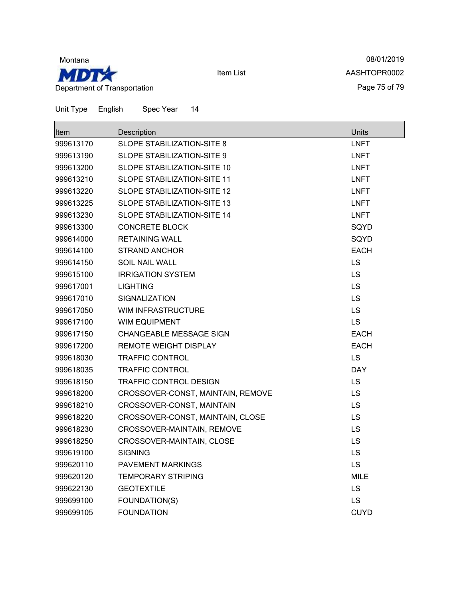

08/01/2019 AASHTOPR0002 Page 75 of 79

┑

| $1 + \ldots$      | $D = -$      |  |
|-------------------|--------------|--|
| Unit Type English | Spec Year 14 |  |

| Item      | Description                       | <b>Units</b> |
|-----------|-----------------------------------|--------------|
| 999613170 | <b>SLOPE STABILIZATION-SITE 8</b> | <b>LNFT</b>  |
| 999613190 | SLOPE STABILIZATION-SITE 9        | <b>LNFT</b>  |
| 999613200 | SLOPE STABILIZATION-SITE 10       | <b>LNFT</b>  |
| 999613210 | SLOPE STABILIZATION-SITE 11       | <b>LNFT</b>  |
| 999613220 | SLOPE STABILIZATION-SITE 12       | <b>LNFT</b>  |
| 999613225 | SLOPE STABILIZATION-SITE 13       | <b>LNFT</b>  |
| 999613230 | SLOPE STABILIZATION-SITE 14       | <b>LNFT</b>  |
| 999613300 | <b>CONCRETE BLOCK</b>             | SQYD         |
| 999614000 | <b>RETAINING WALL</b>             | SQYD         |
| 999614100 | STRAND ANCHOR                     | <b>EACH</b>  |
| 999614150 | <b>SOIL NAIL WALL</b>             | <b>LS</b>    |
| 999615100 | <b>IRRIGATION SYSTEM</b>          | <b>LS</b>    |
| 999617001 | <b>LIGHTING</b>                   | LS           |
| 999617010 | SIGNALIZATION                     | <b>LS</b>    |
| 999617050 | WIM INFRASTRUCTURE                | LS           |
| 999617100 | <b>WIM EQUIPMENT</b>              | <b>LS</b>    |
| 999617150 | CHANGEABLE MESSAGE SIGN           | <b>EACH</b>  |
| 999617200 | <b>REMOTE WEIGHT DISPLAY</b>      | <b>EACH</b>  |
| 999618030 | <b>TRAFFIC CONTROL</b>            | <b>LS</b>    |
| 999618035 | <b>TRAFFIC CONTROL</b>            | <b>DAY</b>   |
| 999618150 | TRAFFIC CONTROL DESIGN            | <b>LS</b>    |
| 999618200 | CROSSOVER-CONST, MAINTAIN, REMOVE | <b>LS</b>    |
| 999618210 | CROSSOVER-CONST, MAINTAIN         | <b>LS</b>    |
| 999618220 | CROSSOVER-CONST, MAINTAIN, CLOSE  | <b>LS</b>    |
| 999618230 | CROSSOVER-MAINTAIN, REMOVE        | <b>LS</b>    |
| 999618250 | CROSSOVER-MAINTAIN, CLOSE         | <b>LS</b>    |
| 999619100 | <b>SIGNING</b>                    | <b>LS</b>    |
| 999620110 | PAVEMENT MARKINGS                 | <b>LS</b>    |
| 999620120 | <b>TEMPORARY STRIPING</b>         | <b>MILE</b>  |
| 999622130 | <b>GEOTEXTILE</b>                 | <b>LS</b>    |
| 999699100 | FOUNDATION(S)                     | LS           |
| 999699105 | <b>FOUNDATION</b>                 | <b>CUYD</b>  |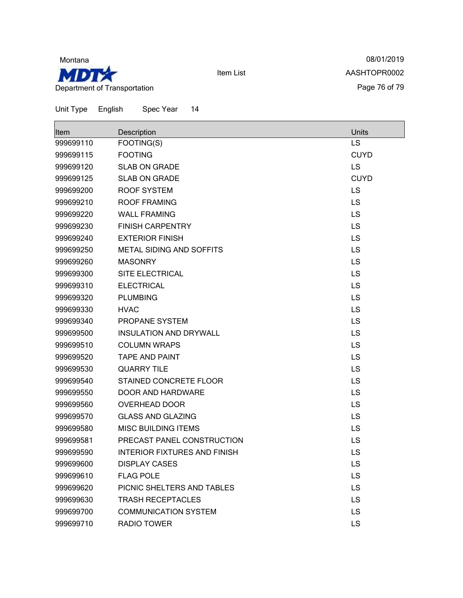

08/01/2019 AASHTOPR0002 Page 76 of 79

| <b>Item</b> | Description                         | Units       |
|-------------|-------------------------------------|-------------|
| 999699110   | FOOTING(S)                          | LS          |
| 999699115   | <b>FOOTING</b>                      | <b>CUYD</b> |
| 999699120   | <b>SLAB ON GRADE</b>                | <b>LS</b>   |
| 999699125   | <b>SLAB ON GRADE</b>                | <b>CUYD</b> |
| 999699200   | <b>ROOF SYSTEM</b>                  | LS          |
| 999699210   | <b>ROOF FRAMING</b>                 | LS          |
| 999699220   | <b>WALL FRAMING</b>                 | LS          |
| 999699230   | <b>FINISH CARPENTRY</b>             | LS          |
| 999699240   | <b>EXTERIOR FINISH</b>              | LS          |
| 999699250   | <b>METAL SIDING AND SOFFITS</b>     | <b>LS</b>   |
| 999699260   | <b>MASONRY</b>                      | <b>LS</b>   |
| 999699300   | <b>SITE ELECTRICAL</b>              | LS          |
| 999699310   | <b>ELECTRICAL</b>                   | <b>LS</b>   |
| 999699320   | <b>PLUMBING</b>                     | LS          |
| 999699330   | <b>HVAC</b>                         | LS          |
| 999699340   | PROPANE SYSTEM                      | LS          |
| 999699500   | <b>INSULATION AND DRYWALL</b>       | LS          |
| 999699510   | <b>COLUMN WRAPS</b>                 | LS          |
| 999699520   | <b>TAPE AND PAINT</b>               | <b>LS</b>   |
| 999699530   | <b>QUARRY TILE</b>                  | LS          |
| 999699540   | STAINED CONCRETE FLOOR              | LS          |
| 999699550   | <b>DOOR AND HARDWARE</b>            | LS          |
| 999699560   | <b>OVERHEAD DOOR</b>                | LS          |
| 999699570   | <b>GLASS AND GLAZING</b>            | LS          |
| 999699580   | <b>MISC BUILDING ITEMS</b>          | LS          |
| 999699581   | PRECAST PANEL CONSTRUCTION          | LS          |
| 999699590   | <b>INTERIOR FIXTURES AND FINISH</b> | LS          |
| 999699600   | <b>DISPLAY CASES</b>                | LS          |
| 999699610   | <b>FLAG POLE</b>                    | LS          |
| 999699620   | PICNIC SHELTERS AND TABLES          | LS          |
| 999699630   | <b>TRASH RECEPTACLES</b>            | LS          |
| 999699700   | <b>COMMUNICATION SYSTEM</b>         | LS          |
| 999699710   | RADIO TOWER                         | LS          |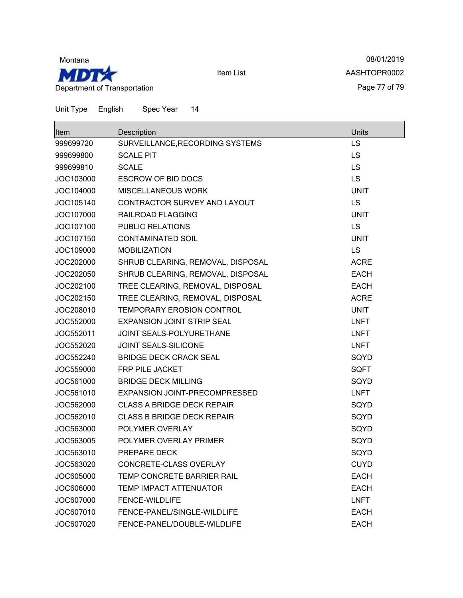

08/01/2019 AASHTOPR0002 Page 77 of 79

Unit Type English Spec Year 14

| Item      | Description                       | Units       |
|-----------|-----------------------------------|-------------|
| 999699720 | SURVEILLANCE, RECORDING SYSTEMS   | LS          |
| 999699800 | <b>SCALE PIT</b>                  | LS          |
| 999699810 | <b>SCALE</b>                      | LS          |
| JOC103000 | <b>ESCROW OF BID DOCS</b>         | LS          |
| JOC104000 | <b>MISCELLANEOUS WORK</b>         | <b>UNIT</b> |
| JOC105140 | CONTRACTOR SURVEY AND LAYOUT      | <b>LS</b>   |
| JOC107000 | RAILROAD FLAGGING                 | <b>UNIT</b> |
| JOC107100 | <b>PUBLIC RELATIONS</b>           | LS          |
| JOC107150 | <b>CONTAMINATED SOIL</b>          | <b>UNIT</b> |
| JOC109000 | <b>MOBILIZATION</b>               | LS          |
| JOC202000 | SHRUB CLEARING, REMOVAL, DISPOSAL | <b>ACRE</b> |
| JOC202050 | SHRUB CLEARING, REMOVAL, DISPOSAL | <b>EACH</b> |
| JOC202100 | TREE CLEARING, REMOVAL, DISPOSAL  | <b>EACH</b> |
| JOC202150 | TREE CLEARING, REMOVAL, DISPOSAL  | <b>ACRE</b> |
| JOC208010 | <b>TEMPORARY EROSION CONTROL</b>  | <b>UNIT</b> |
| JOC552000 | <b>EXPANSION JOINT STRIP SEAL</b> | <b>LNFT</b> |
| JOC552011 | <b>JOINT SEALS-POLYURETHANE</b>   | <b>LNFT</b> |
| JOC552020 | <b>JOINT SEALS-SILICONE</b>       | <b>LNFT</b> |
| JOC552240 | <b>BRIDGE DECK CRACK SEAL</b>     | SQYD        |
| JOC559000 | <b>FRP PILE JACKET</b>            | <b>SQFT</b> |
| JOC561000 | <b>BRIDGE DECK MILLING</b>        | SQYD        |
| JOC561010 | EXPANSION JOINT-PRECOMPRESSED     | <b>LNFT</b> |
| JOC562000 | <b>CLASS A BRIDGE DECK REPAIR</b> | SQYD        |
| JOC562010 | <b>CLASS B BRIDGE DECK REPAIR</b> | SQYD        |
| JOC563000 | POLYMER OVERLAY                   | SQYD        |
| JOC563005 | POLYMER OVERLAY PRIMER            | SQYD        |
| JOC563010 | PREPARE DECK                      | SQYD        |
| JOC563020 | CONCRETE-CLASS OVERLAY            | <b>CUYD</b> |
| JOC605000 | TEMP CONCRETE BARRIER RAIL        | <b>EACH</b> |
| JOC606000 | <b>TEMP IMPACT ATTENUATOR</b>     | <b>EACH</b> |
| JOC607000 | <b>FENCE-WILDLIFE</b>             | <b>LNFT</b> |
| JOC607010 | FENCE-PANEL/SINGLE-WILDLIFE       | <b>EACH</b> |
| JOC607020 | FENCE-PANEL/DOUBLE-WILDLIFE       | <b>EACH</b> |

Item List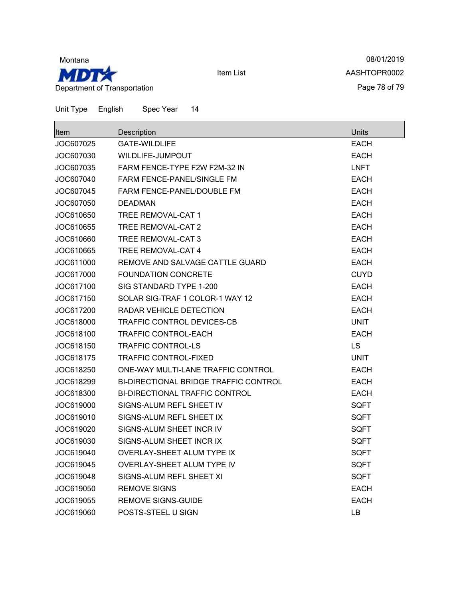

08/01/2019 AASHTOPR0002 Page 78 of 79

| <b>Item</b> | Description                           | Units       |
|-------------|---------------------------------------|-------------|
| JOC607025   | <b>GATE-WILDLIFE</b>                  | <b>EACH</b> |
| JOC607030   | WILDLIFE-JUMPOUT                      | <b>EACH</b> |
| JOC607035   | FARM FENCE-TYPE F2W F2M-32 IN         | <b>LNFT</b> |
| JOC607040   | <b>FARM FENCE-PANEL/SINGLE FM</b>     | <b>EACH</b> |
| JOC607045   | FARM FENCE-PANEL/DOUBLE FM            | <b>EACH</b> |
| JOC607050   | <b>DEADMAN</b>                        | <b>EACH</b> |
| JOC610650   | TREE REMOVAL-CAT 1                    | <b>EACH</b> |
| JOC610655   | TREE REMOVAL-CAT 2                    | <b>EACH</b> |
| JOC610660   | TREE REMOVAL-CAT 3                    | <b>EACH</b> |
| JOC610665   | <b>TREE REMOVAL-CAT 4</b>             | <b>EACH</b> |
| JOC611000   | REMOVE AND SALVAGE CATTLE GUARD       | <b>EACH</b> |
| JOC617000   | <b>FOUNDATION CONCRETE</b>            | <b>CUYD</b> |
| JOC617100   | SIG STANDARD TYPE 1-200               | <b>EACH</b> |
| JOC617150   | SOLAR SIG-TRAF 1 COLOR-1 WAY 12       | <b>EACH</b> |
| JOC617200   | RADAR VEHICLE DETECTION               | <b>EACH</b> |
| JOC618000   | TRAFFIC CONTROL DEVICES-CB            | <b>UNIT</b> |
| JOC618100   | <b>TRAFFIC CONTROL-EACH</b>           | <b>EACH</b> |
| JOC618150   | <b>TRAFFIC CONTROL-LS</b>             | LS          |
| JOC618175   | <b>TRAFFIC CONTROL-FIXED</b>          | <b>UNIT</b> |
| JOC618250   | ONE-WAY MULTI-LANE TRAFFIC CONTROL    | <b>EACH</b> |
| JOC618299   | BI-DIRECTIONAL BRIDGE TRAFFIC CONTROL | <b>EACH</b> |
| JOC618300   | BI-DIRECTIONAL TRAFFIC CONTROL        | <b>EACH</b> |
| JOC619000   | SIGNS-ALUM REFL SHEET IV              | <b>SQFT</b> |
| JOC619010   | SIGNS-ALUM REFL SHEET IX              | <b>SQFT</b> |
| JOC619020   | SIGNS-ALUM SHEET INCR IV              | <b>SQFT</b> |
| JOC619030   | SIGNS-ALUM SHEET INCR IX              | <b>SQFT</b> |
| JOC619040   | OVERLAY-SHEET ALUM TYPE IX            | SQFT        |
| JOC619045   | OVERLAY-SHEET ALUM TYPE IV            | SQFT        |
| JOC619048   | SIGNS-ALUM REFL SHEET XI              | <b>SQFT</b> |
| JOC619050   | <b>REMOVE SIGNS</b>                   | <b>EACH</b> |
| JOC619055   | <b>REMOVE SIGNS-GUIDE</b>             | <b>EACH</b> |
| JOC619060   | POSTS-STEEL U SIGN                    | LB.         |